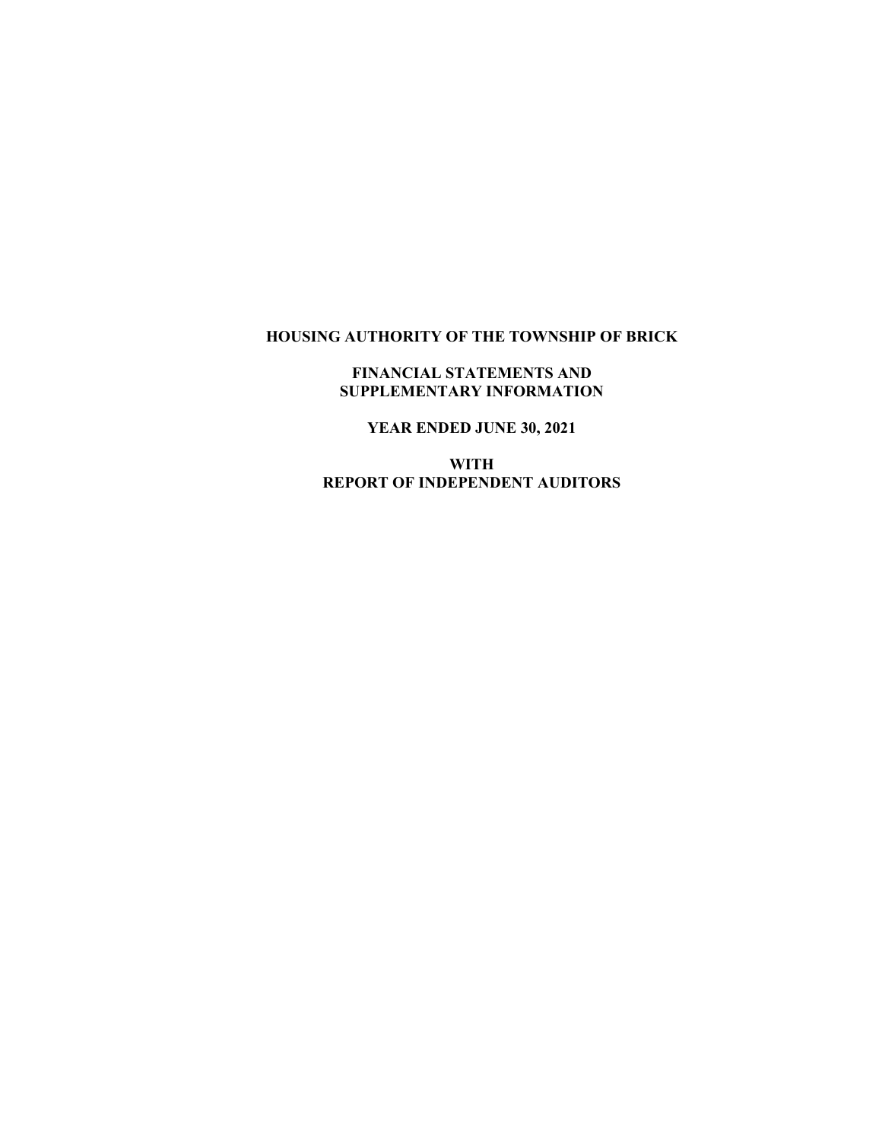# **HOUSING AUTHORITY OF THE TOWNSHIP OF BRICK**

## **FINANCIAL STATEMENTS AND SUPPLEMENTARY INFORMATION**

**YEAR ENDED JUNE 30, 2021**

**WITH REPORT OF INDEPENDENT AUDITORS**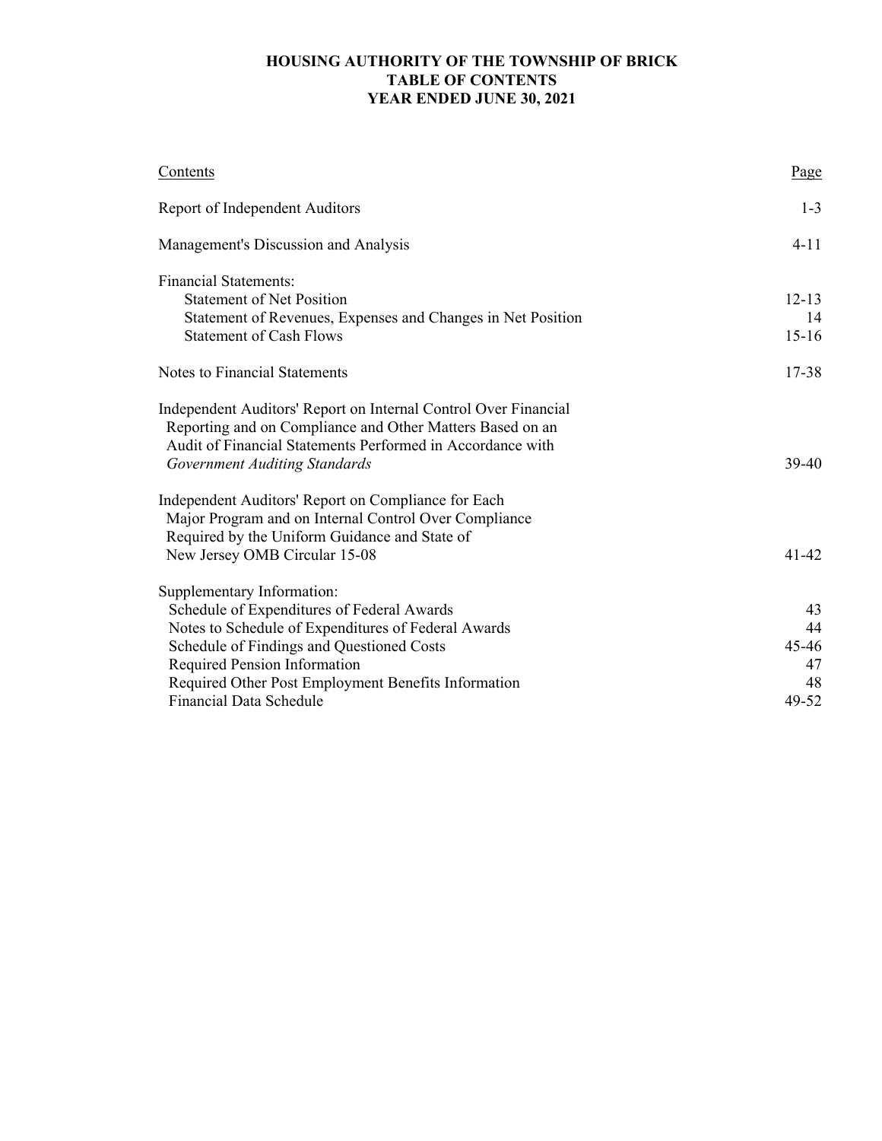# **HOUSING AUTHORITY OF THE TOWNSHIP OF BRICK TABLE OF CONTENTS YEAR ENDED JUNE 30, 2021**

| Contents                                                                                                                                                                                   | Page      |
|--------------------------------------------------------------------------------------------------------------------------------------------------------------------------------------------|-----------|
| Report of Independent Auditors                                                                                                                                                             | $1 - 3$   |
| Management's Discussion and Analysis                                                                                                                                                       | $4 - 11$  |
| <b>Financial Statements:</b>                                                                                                                                                               |           |
| <b>Statement of Net Position</b>                                                                                                                                                           | $12 - 13$ |
| Statement of Revenues, Expenses and Changes in Net Position                                                                                                                                | 14        |
| <b>Statement of Cash Flows</b>                                                                                                                                                             | $15 - 16$ |
| <b>Notes to Financial Statements</b>                                                                                                                                                       | 17-38     |
| Independent Auditors' Report on Internal Control Over Financial<br>Reporting and on Compliance and Other Matters Based on an<br>Audit of Financial Statements Performed in Accordance with |           |
| <b>Government Auditing Standards</b>                                                                                                                                                       | 39-40     |
| Independent Auditors' Report on Compliance for Each<br>Major Program and on Internal Control Over Compliance<br>Required by the Uniform Guidance and State of                              |           |
| New Jersey OMB Circular 15-08                                                                                                                                                              | $41 - 42$ |
| Supplementary Information:                                                                                                                                                                 |           |
| Schedule of Expenditures of Federal Awards                                                                                                                                                 | 43        |
| Notes to Schedule of Expenditures of Federal Awards                                                                                                                                        | 44        |
| Schedule of Findings and Questioned Costs                                                                                                                                                  | 45-46     |
| Required Pension Information                                                                                                                                                               | 47        |
| Required Other Post Employment Benefits Information                                                                                                                                        | 48        |
| <b>Financial Data Schedule</b>                                                                                                                                                             | 49-52     |
|                                                                                                                                                                                            |           |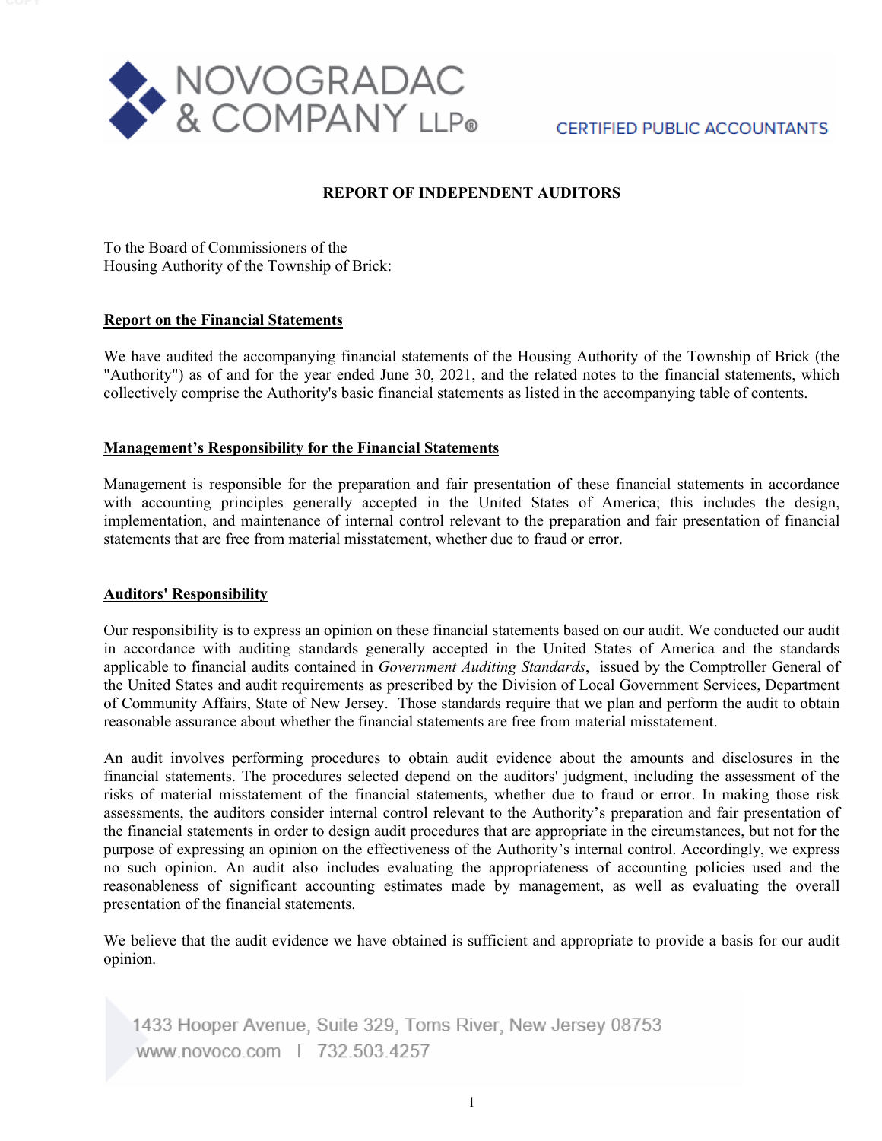

# **CERTIFIED PUBLIC ACCOUNTANTS**

## **REPORT OF INDEPENDENT AUDITORS**

To the Board of Commissioners of the Housing Authority of the Township of Brick:

#### **Report on the Financial Statements**

We have audited the accompanying financial statements of the Housing Authority of the Township of Brick (the "Authority") as of and for the year ended June 30, 2021, and the related notes to the financial statements, which collectively comprise the Authority's basic financial statements as listed in the accompanying table of contents.

#### **Management's Responsibility for the Financial Statements**

Management is responsible for the preparation and fair presentation of these financial statements in accordance with accounting principles generally accepted in the United States of America; this includes the design, implementation, and maintenance of internal control relevant to the preparation and fair presentation of financial statements that are free from material misstatement, whether due to fraud or error.

#### **Auditors' Responsibility**

Our responsibility is to express an opinion on these financial statements based on our audit. We conducted our audit in accordance with auditing standards generally accepted in the United States of America and the standards applicable to financial audits contained in *Government Auditing Standards*, issued by the Comptroller General of the United States and audit requirements as prescribed by the Division of Local Government Services, Department of Community Affairs, State of New Jersey. Those standards require that we plan and perform the audit to obtain reasonable assurance about whether the financial statements are free from material misstatement.

An audit involves performing procedures to obtain audit evidence about the amounts and disclosures in the financial statements. The procedures selected depend on the auditors' judgment, including the assessment of the risks of material misstatement of the financial statements, whether due to fraud or error. In making those risk assessments, the auditors consider internal control relevant to the Authority's preparation and fair presentation of the financial statements in order to design audit procedures that are appropriate in the circumstances, but not for the purpose of expressing an opinion on the effectiveness of the Authority's internal control. Accordingly, we express no such opinion. An audit also includes evaluating the appropriateness of accounting policies used and the reasonableness of significant accounting estimates made by management, as well as evaluating the overall presentation of the financial statements.

We believe that the audit evidence we have obtained is sufficient and appropriate to provide a basis for our audit opinion.

1433 Hooper Avenue, Suite 329, Toms River, New Jersey 08753 www.novoco.com | 732.503.4257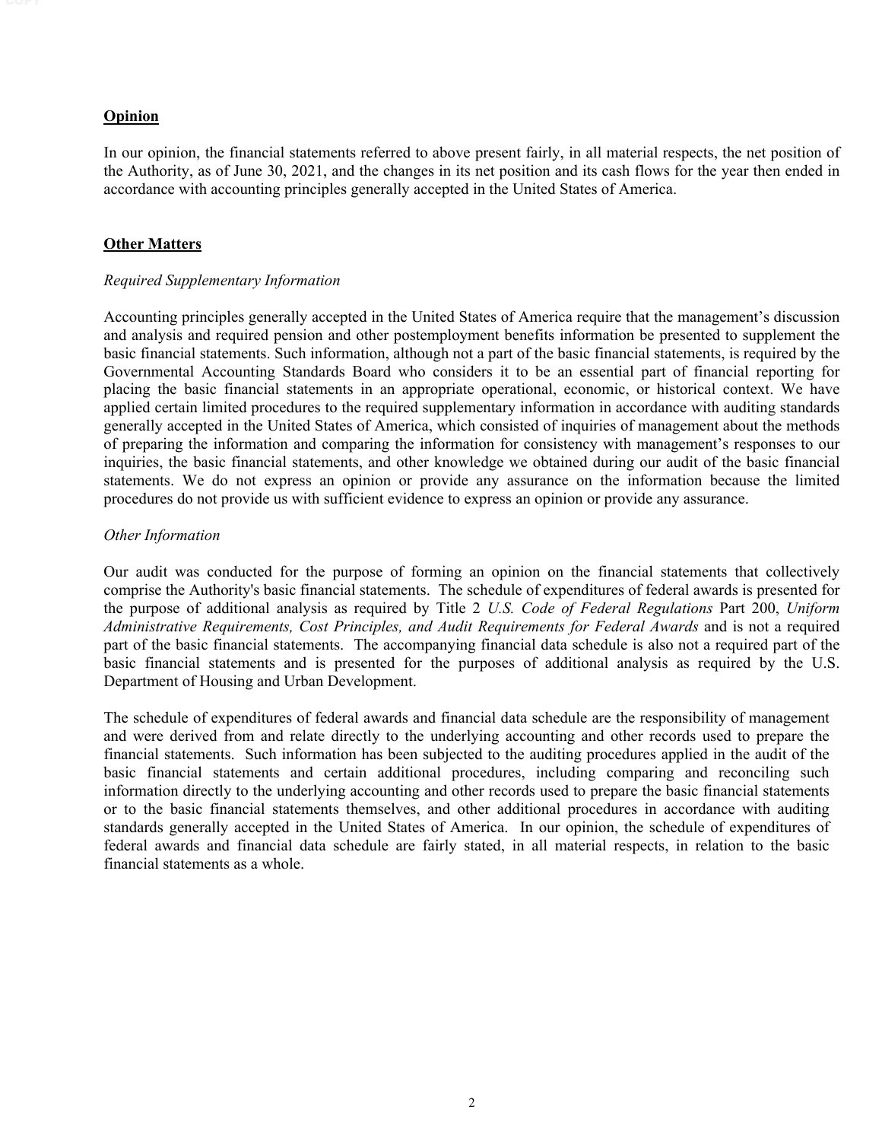#### **Opinion**

In our opinion, the financial statements referred to above present fairly, in all material respects, the net position of the Authority, as of June 30, 2021, and the changes in its net position and its cash flows for the year then ended in accordance with accounting principles generally accepted in the United States of America.

#### **Other Matters**

#### *Required Supplementary Information*

Accounting principles generally accepted in the United States of America require that the management's discussion and analysis and required pension and other postemployment benefits information be presented to supplement the basic financial statements. Such information, although not a part of the basic financial statements, is required by the Governmental Accounting Standards Board who considers it to be an essential part of financial reporting for placing the basic financial statements in an appropriate operational, economic, or historical context. We have applied certain limited procedures to the required supplementary information in accordance with auditing standards generally accepted in the United States of America, which consisted of inquiries of management about the methods of preparing the information and comparing the information for consistency with management's responses to our inquiries, the basic financial statements, and other knowledge we obtained during our audit of the basic financial statements. We do not express an opinion or provide any assurance on the information because the limited procedures do not provide us with sufficient evidence to express an opinion or provide any assurance.

#### *Other Information*

Our audit was conducted for the purpose of forming an opinion on the financial statements that collectively comprise the Authority's basic financial statements. The schedule of expenditures of federal awards is presented for the purpose of additional analysis as required by Title 2 *U.S. Code of Federal Regulations* Part 200, *Uniform Administrative Requirements, Cost Principles, and Audit Requirements for Federal Awards* and is not a required part of the basic financial statements. The accompanying financial data schedule is also not a required part of the basic financial statements and is presented for the purposes of additional analysis as required by the U.S. Department of Housing and Urban Development.

The schedule of expenditures of federal awards and financial data schedule are the responsibility of management and were derived from and relate directly to the underlying accounting and other records used to prepare the financial statements. Such information has been subjected to the auditing procedures applied in the audit of the basic financial statements and certain additional procedures, including comparing and reconciling such information directly to the underlying accounting and other records used to prepare the basic financial statements or to the basic financial statements themselves, and other additional procedures in accordance with auditing standards generally accepted in the United States of America. In our opinion, the schedule of expenditures of federal awards and financial data schedule are fairly stated, in all material respects, in relation to the basic financial statements as a whole.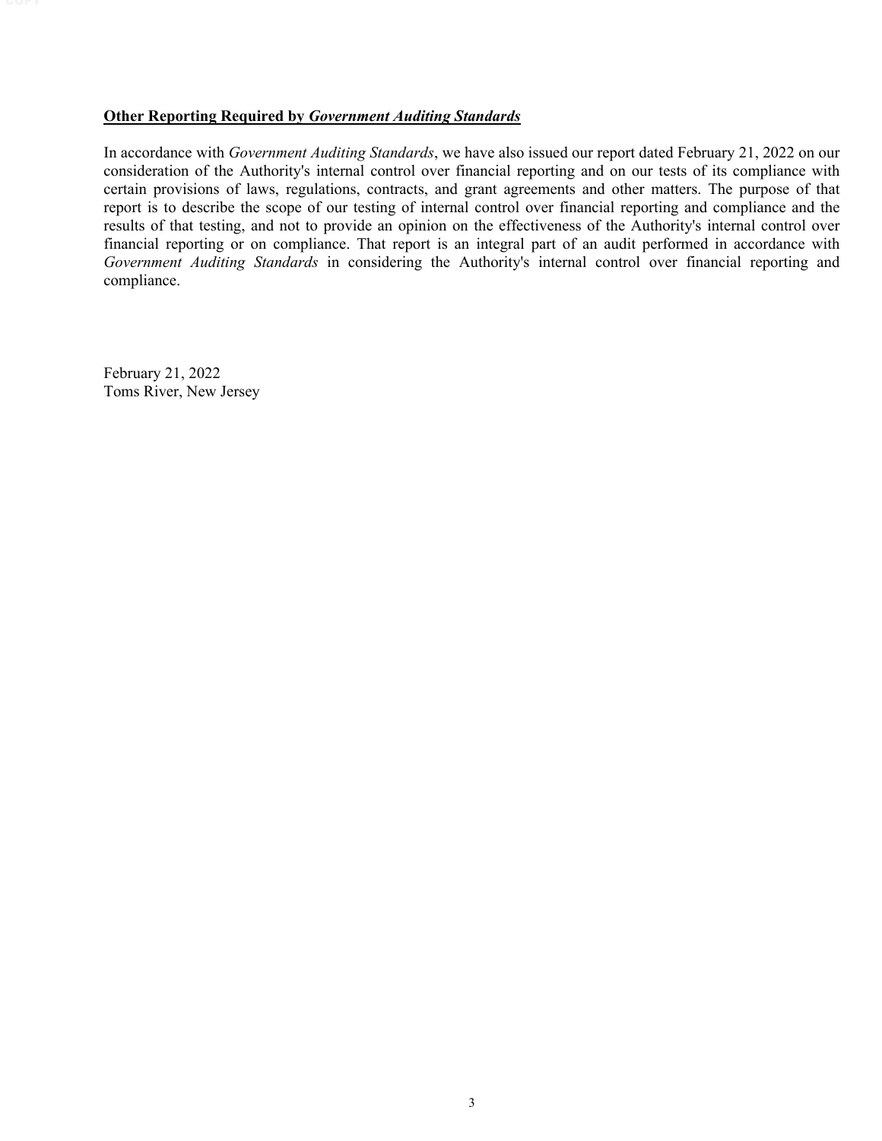#### **Other Reporting Required by** *Government Auditing Standards*

In accordance with *Government Auditing Standards*, we have also issued our report dated February 21, 2022 on our consideration of the Authority's internal control over financial reporting and on our tests of its compliance with certain provisions of laws, regulations, contracts, and grant agreements and other matters. The purpose of that report is to describe the scope of our testing of internal control over financial reporting and compliance and the results of that testing, and not to provide an opinion on the effectiveness of the Authority's internal control over financial reporting or on compliance. That report is an integral part of an audit performed in accordance with *Government Auditing Standards* in considering the Authority's internal control over financial reporting and compliance.

February 21, 2022 Toms River, New Jersey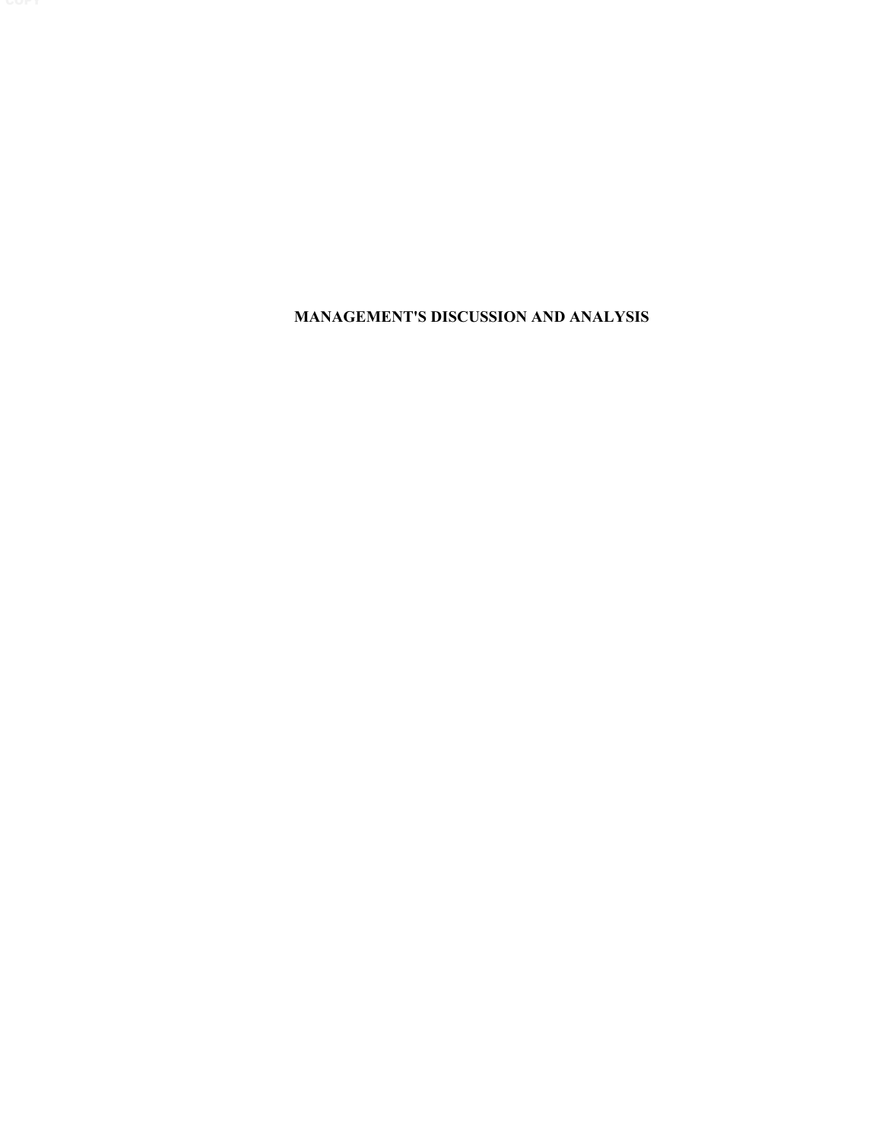**MANAGEMENT'S DISCUSSION AND ANALYSIS**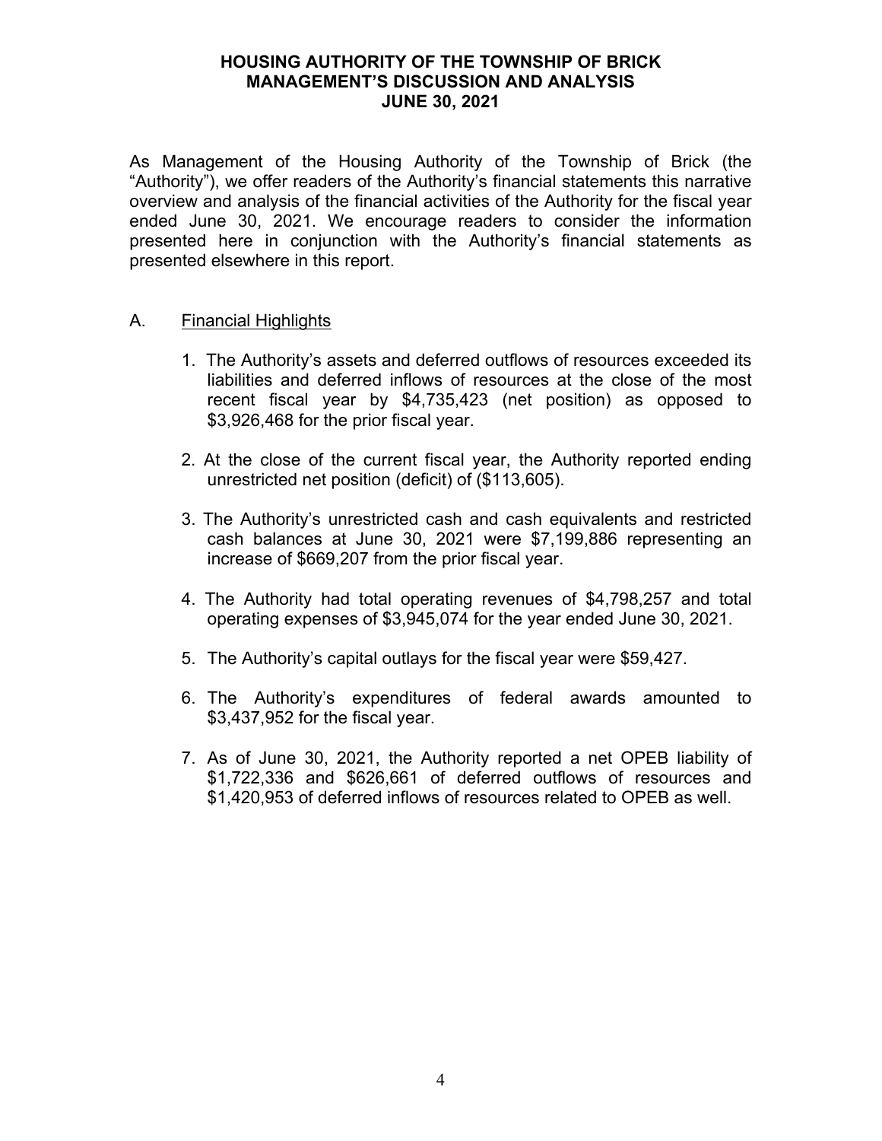As Management of the Housing Authority of the Township of Brick (the "Authority"), we offer readers of the Authority's financial statements this narrative overview and analysis of the financial activities of the Authority for the fiscal year ended June 30, 2021. We encourage readers to consider the information presented here in conjunction with the Authority's financial statements as presented elsewhere in this report.

# A. Financial Highlights

- 1. The Authority's assets and deferred outflows of resources exceeded its liabilities and deferred inflows of resources at the close of the most recent fiscal year by \$4,735,423 (net position) as opposed to \$3,926,468 for the prior fiscal year.
- 2. At the close of the current fiscal year, the Authority reported ending unrestricted net position (deficit) of (\$113,605).
- 3. The Authority's unrestricted cash and cash equivalents and restricted cash balances at June 30, 2021 were \$7,199,886 representing an increase of \$669,207 from the prior fiscal year.
- 4. The Authority had total operating revenues of \$4,798,257 and total operating expenses of \$3,945,074 for the year ended June 30, 2021.
- 5. The Authority's capital outlays for the fiscal year were \$59,427.
- 6. The Authority's expenditures of federal awards amounted to \$3,437,952 for the fiscal year.
- 7. As of June 30, 2021, the Authority reported a net OPEB liability of \$1,722,336 and \$626,661 of deferred outflows of resources and \$1,420,953 of deferred inflows of resources related to OPEB as well.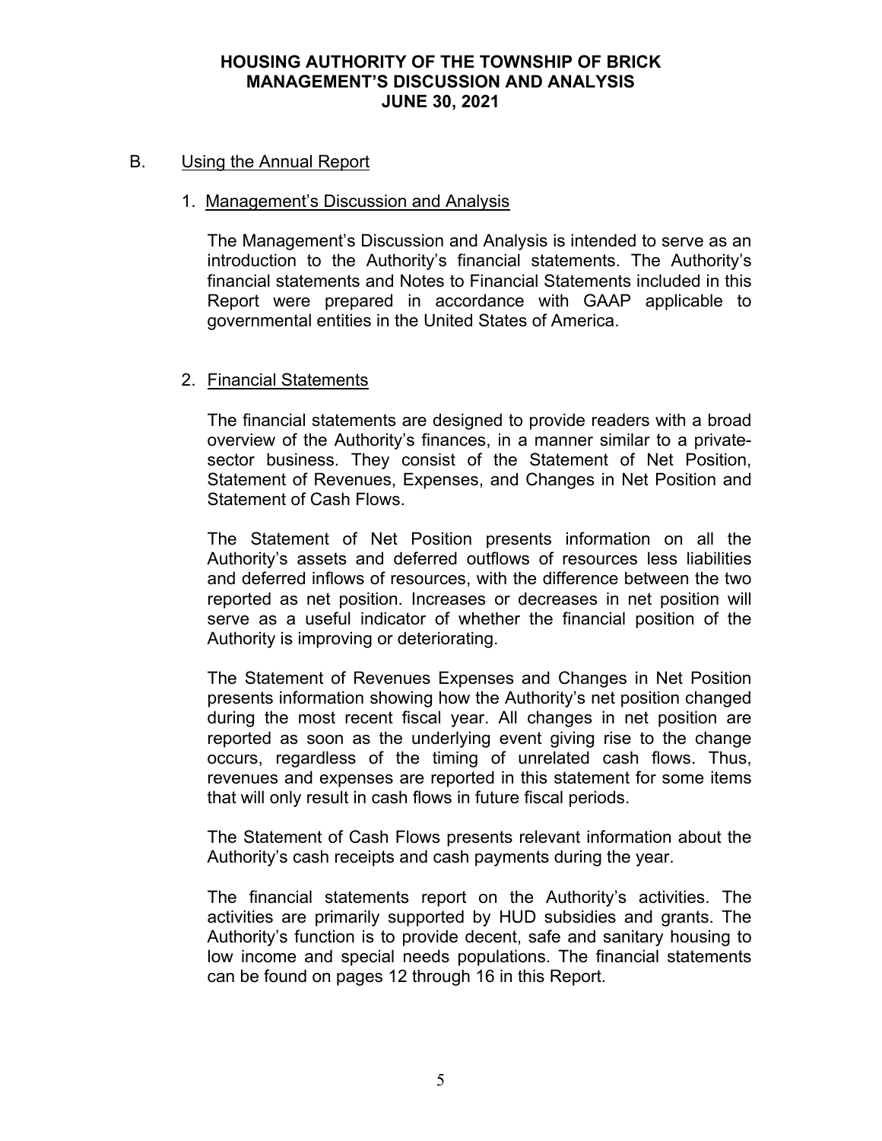# B. Using the Annual Report

# 1. Management's Discussion and Analysis

The Management's Discussion and Analysis is intended to serve as an introduction to the Authority's financial statements. The Authority's financial statements and Notes to Financial Statements included in this Report were prepared in accordance with GAAP applicable to governmental entities in the United States of America.

# 2. Financial Statements

The financial statements are designed to provide readers with a broad overview of the Authority's finances, in a manner similar to a privatesector business. They consist of the Statement of Net Position, Statement of Revenues, Expenses, and Changes in Net Position and Statement of Cash Flows.

The Statement of Net Position presents information on all the Authority's assets and deferred outflows of resources less liabilities and deferred inflows of resources, with the difference between the two reported as net position. Increases or decreases in net position will serve as a useful indicator of whether the financial position of the Authority is improving or deteriorating.

The Statement of Revenues Expenses and Changes in Net Position presents information showing how the Authority's net position changed during the most recent fiscal year. All changes in net position are reported as soon as the underlying event giving rise to the change occurs, regardless of the timing of unrelated cash flows. Thus, revenues and expenses are reported in this statement for some items that will only result in cash flows in future fiscal periods.

The Statement of Cash Flows presents relevant information about the Authority's cash receipts and cash payments during the year.

The financial statements report on the Authority's activities. The activities are primarily supported by HUD subsidies and grants. The Authority's function is to provide decent, safe and sanitary housing to low income and special needs populations. The financial statements can be found on pages 12 through 16 in this Report.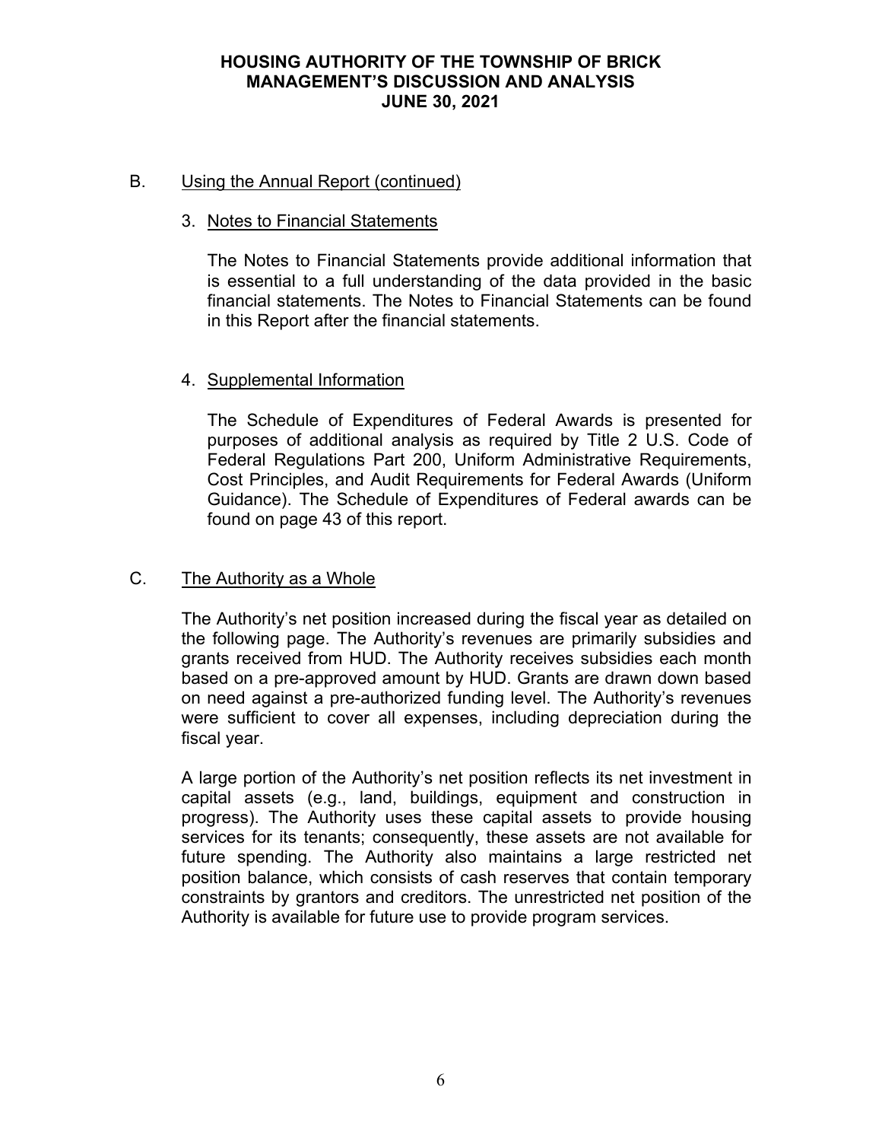# B. Using the Annual Report (continued)

# 3. Notes to Financial Statements

The Notes to Financial Statements provide additional information that is essential to a full understanding of the data provided in the basic financial statements. The Notes to Financial Statements can be found in this Report after the financial statements.

# 4. Supplemental Information

The Schedule of Expenditures of Federal Awards is presented for purposes of additional analysis as required by Title 2 U.S. Code of Federal Regulations Part 200, Uniform Administrative Requirements, Cost Principles, and Audit Requirements for Federal Awards (Uniform Guidance). The Schedule of Expenditures of Federal awards can be found on page 43 of this report.

# C. The Authority as a Whole

The Authority's net position increased during the fiscal year as detailed on the following page. The Authority's revenues are primarily subsidies and grants received from HUD. The Authority receives subsidies each month based on a pre-approved amount by HUD. Grants are drawn down based on need against a pre-authorized funding level. The Authority's revenues were sufficient to cover all expenses, including depreciation during the fiscal year.

A large portion of the Authority's net position reflects its net investment in capital assets (e.g., land, buildings, equipment and construction in progress). The Authority uses these capital assets to provide housing services for its tenants; consequently, these assets are not available for future spending. The Authority also maintains a large restricted net position balance, which consists of cash reserves that contain temporary constraints by grantors and creditors. The unrestricted net position of the Authority is available for future use to provide program services.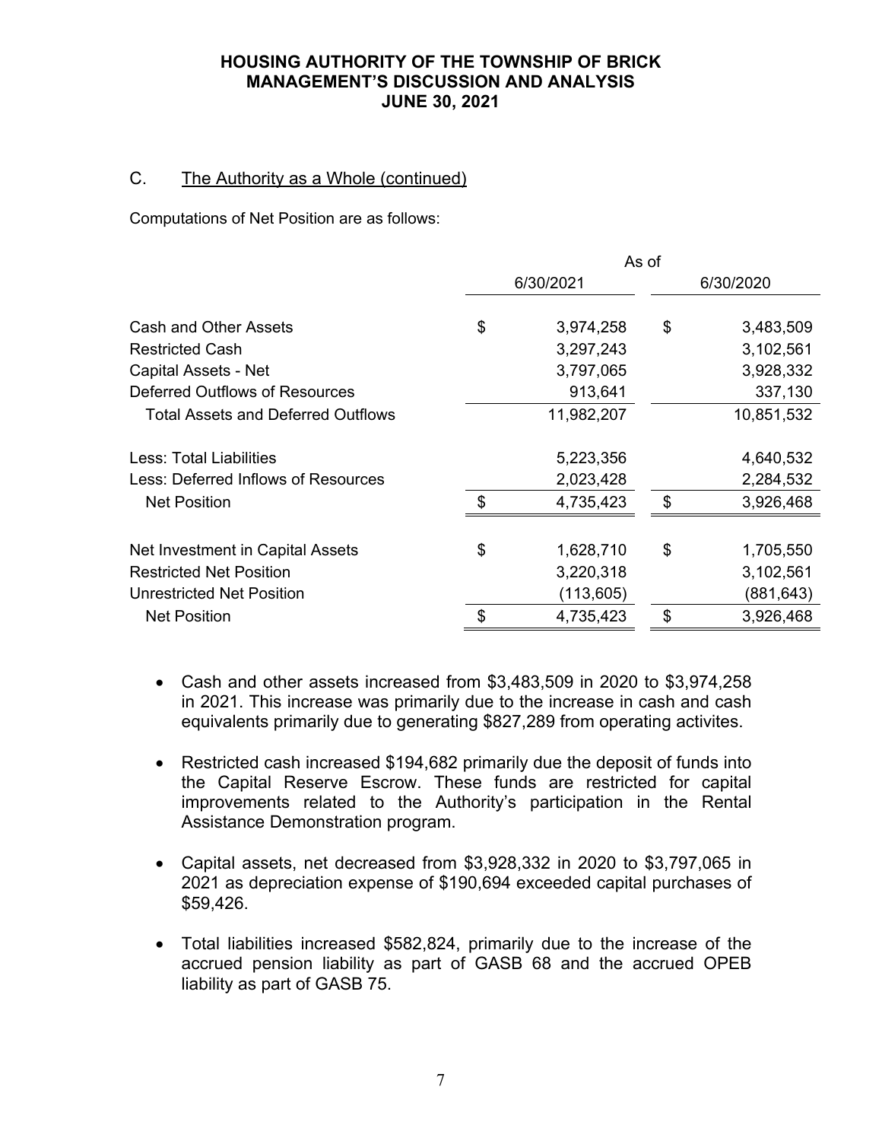# C. The Authority as a Whole (continued)

Computations of Net Position are as follows:

|                                           | As of          |            |           |            |
|-------------------------------------------|----------------|------------|-----------|------------|
|                                           | 6/30/2021      |            | 6/30/2020 |            |
| <b>Cash and Other Assets</b>              | \$             | 3,974,258  | \$        | 3,483,509  |
| <b>Restricted Cash</b>                    |                | 3,297,243  |           | 3,102,561  |
| Capital Assets - Net                      |                | 3,797,065  |           | 3,928,332  |
| <b>Deferred Outflows of Resources</b>     |                | 913,641    |           | 337,130    |
| <b>Total Assets and Deferred Outflows</b> |                | 11,982,207 |           | 10,851,532 |
| Less: Total Liabilities                   |                | 5,223,356  |           | 4,640,532  |
| Less: Deferred Inflows of Resources       |                | 2,023,428  |           | 2,284,532  |
| <b>Net Position</b>                       | $\mathfrak{L}$ | 4,735,423  | \$        | 3,926,468  |
| Net Investment in Capital Assets          | \$             | 1,628,710  | \$        | 1,705,550  |
| <b>Restricted Net Position</b>            |                | 3,220,318  |           | 3,102,561  |
| Unrestricted Net Position                 |                | (113, 605) |           | (881, 643) |
| <b>Net Position</b>                       | \$             | 4,735,423  | \$        | 3,926,468  |

- Cash and other assets increased from \$3,483,509 in 2020 to \$3,974,258 in 2021. This increase was primarily due to the increase in cash and cash equivalents primarily due to generating \$827,289 from operating activites.
- Restricted cash increased \$194,682 primarily due the deposit of funds into the Capital Reserve Escrow. These funds are restricted for capital improvements related to the Authority's participation in the Rental Assistance Demonstration program.
- Capital assets, net decreased from \$3,928,332 in 2020 to \$3,797,065 in 2021 as depreciation expense of \$190,694 exceeded capital purchases of \$59,426.
- Total liabilities increased \$582,824, primarily due to the increase of the accrued pension liability as part of GASB 68 and the accrued OPEB liability as part of GASB 75.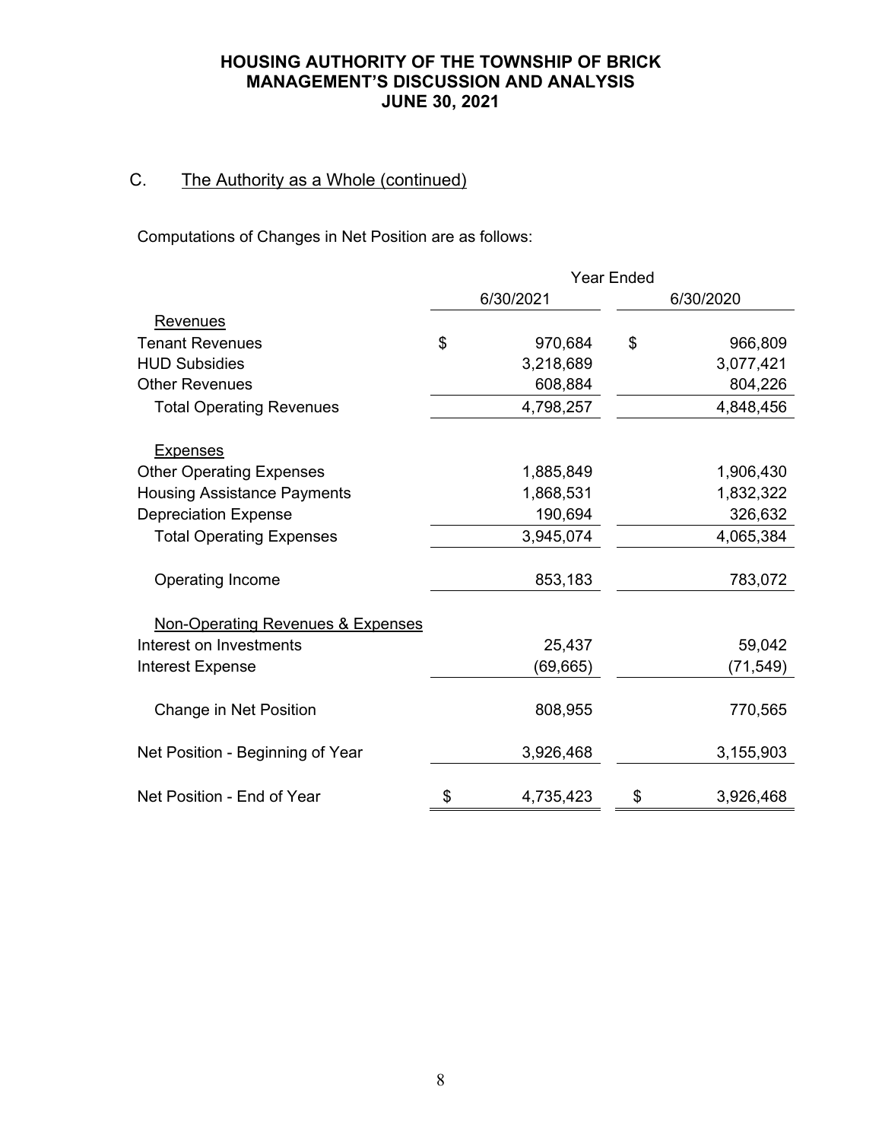# C. The Authority as a Whole (continued)

Computations of Changes in Net Position are as follows:

|                                              | <b>Year Ended</b> |           |           |           |
|----------------------------------------------|-------------------|-----------|-----------|-----------|
|                                              | 6/30/2021         |           | 6/30/2020 |           |
| Revenues                                     |                   |           |           |           |
| <b>Tenant Revenues</b>                       | \$                | 970,684   | \$        | 966,809   |
| <b>HUD Subsidies</b>                         |                   | 3,218,689 |           | 3,077,421 |
| <b>Other Revenues</b>                        |                   | 608,884   |           | 804,226   |
| <b>Total Operating Revenues</b>              |                   | 4,798,257 |           | 4,848,456 |
| <b>Expenses</b>                              |                   |           |           |           |
| <b>Other Operating Expenses</b>              |                   | 1,885,849 |           | 1,906,430 |
| <b>Housing Assistance Payments</b>           |                   | 1,868,531 |           | 1,832,322 |
| <b>Depreciation Expense</b>                  |                   | 190,694   |           | 326,632   |
| <b>Total Operating Expenses</b>              |                   | 3,945,074 |           | 4,065,384 |
| Operating Income                             |                   | 853,183   |           | 783,072   |
| <b>Non-Operating Revenues &amp; Expenses</b> |                   |           |           |           |
| Interest on Investments                      |                   | 25,437    |           | 59,042    |
| <b>Interest Expense</b>                      |                   | (69, 665) |           | (71, 549) |
| Change in Net Position                       |                   | 808,955   |           | 770,565   |
| Net Position - Beginning of Year             |                   | 3,926,468 |           | 3,155,903 |
| Net Position - End of Year                   | \$                | 4,735,423 | \$        | 3,926,468 |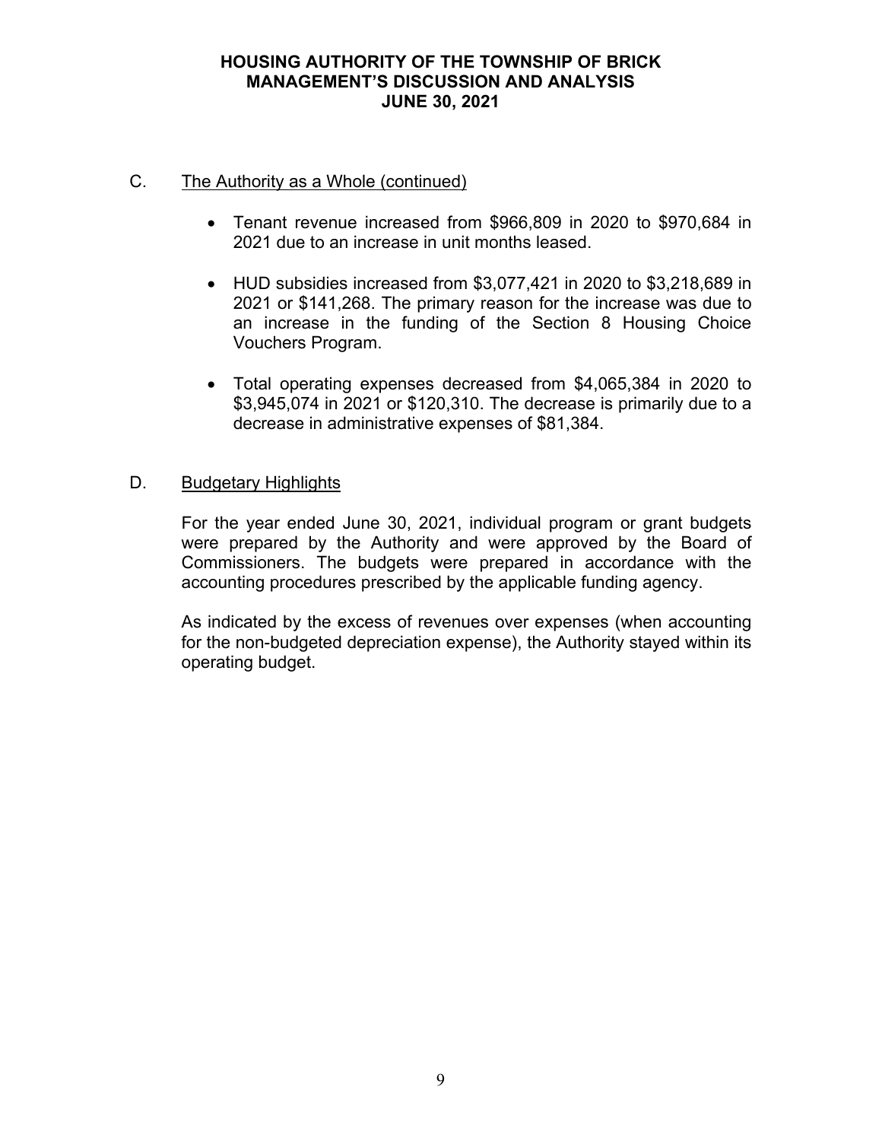# C. The Authority as a Whole (continued)

- Tenant revenue increased from \$966,809 in 2020 to \$970,684 in 2021 due to an increase in unit months leased.
- HUD subsidies increased from \$3,077,421 in 2020 to \$3,218,689 in 2021 or \$141,268. The primary reason for the increase was due to an increase in the funding of the Section 8 Housing Choice Vouchers Program.
- Total operating expenses decreased from \$4,065,384 in 2020 to \$3,945,074 in 2021 or \$120,310. The decrease is primarily due to a decrease in administrative expenses of \$81,384.

# D. Budgetary Highlights

For the year ended June 30, 2021, individual program or grant budgets were prepared by the Authority and were approved by the Board of Commissioners. The budgets were prepared in accordance with the accounting procedures prescribed by the applicable funding agency.

As indicated by the excess of revenues over expenses (when accounting for the non-budgeted depreciation expense), the Authority stayed within its operating budget.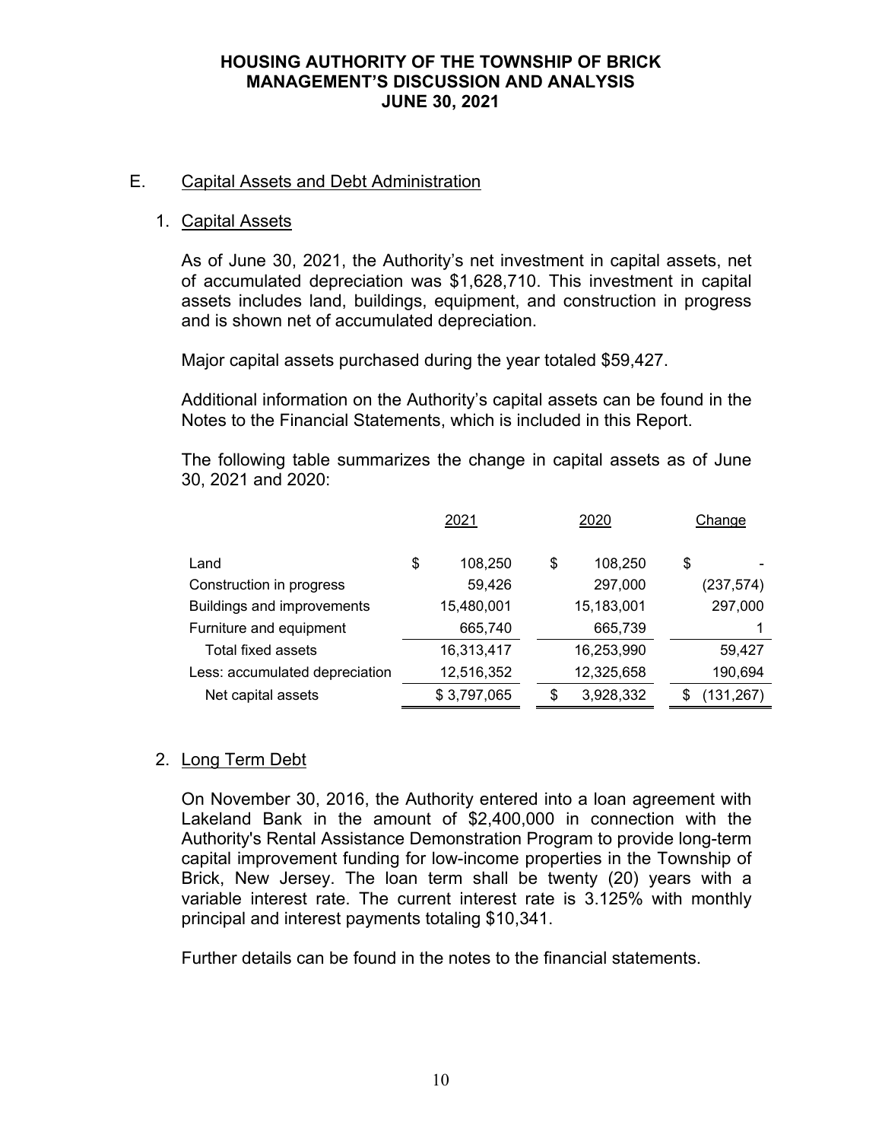# E. Capital Assets and Debt Administration

# 1. Capital Assets

As of June 30, 2021, the Authority's net investment in capital assets, net of accumulated depreciation was \$1,628,710. This investment in capital assets includes land, buildings, equipment, and construction in progress and is shown net of accumulated depreciation.

Major capital assets purchased during the year totaled \$59,427.

Additional information on the Authority's capital assets can be found in the Notes to the Financial Statements, which is included in this Report.

The following table summarizes the change in capital assets as of June 30, 2021 and 2020:

|                                | 2021          | 2020            | Change     |
|--------------------------------|---------------|-----------------|------------|
| Land                           | \$<br>108,250 | \$<br>108,250   | \$         |
| Construction in progress       | 59,426        | 297,000         | (237, 574) |
| Buildings and improvements     | 15,480,001    | 15,183,001      | 297,000    |
| Furniture and equipment        | 665,740       | 665,739         |            |
| Total fixed assets             | 16,313,417    | 16,253,990      | 59,427     |
| Less: accumulated depreciation | 12,516,352    | 12,325,658      | 190,694    |
| Net capital assets             | \$3,797,065   | \$<br>3,928,332 | (131,267)  |

# 2. Long Term Debt

On November 30, 2016, the Authority entered into a loan agreement with Lakeland Bank in the amount of \$2,400,000 in connection with the Authority's Rental Assistance Demonstration Program to provide long-term capital improvement funding for low-income properties in the Township of Brick, New Jersey. The loan term shall be twenty (20) years with a variable interest rate. The current interest rate is 3.125% with monthly principal and interest payments totaling \$10,341.

Further details can be found in the notes to the financial statements.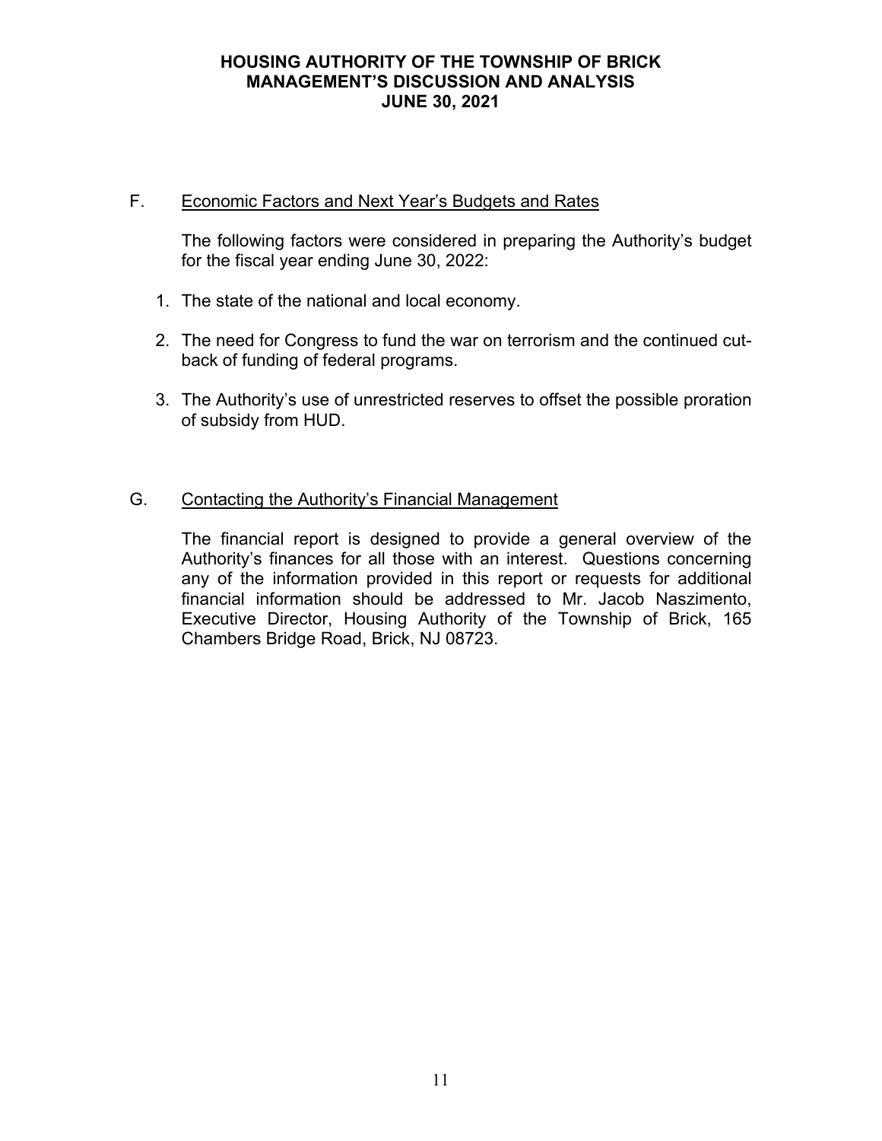# F. Economic Factors and Next Year's Budgets and Rates

The following factors were considered in preparing the Authority's budget for the fiscal year ending June 30, 2022:

- 1. The state of the national and local economy.
- 2. The need for Congress to fund the war on terrorism and the continued cutback of funding of federal programs.
- 3. The Authority's use of unrestricted reserves to offset the possible proration of subsidy from HUD.

# G. Contacting the Authority's Financial Management

The financial report is designed to provide a general overview of the Authority's finances for all those with an interest. Questions concerning any of the information provided in this report or requests for additional financial information should be addressed to Mr. Jacob Naszimento, Executive Director, Housing Authority of the Township of Brick, 165 Chambers Bridge Road, Brick, NJ 08723.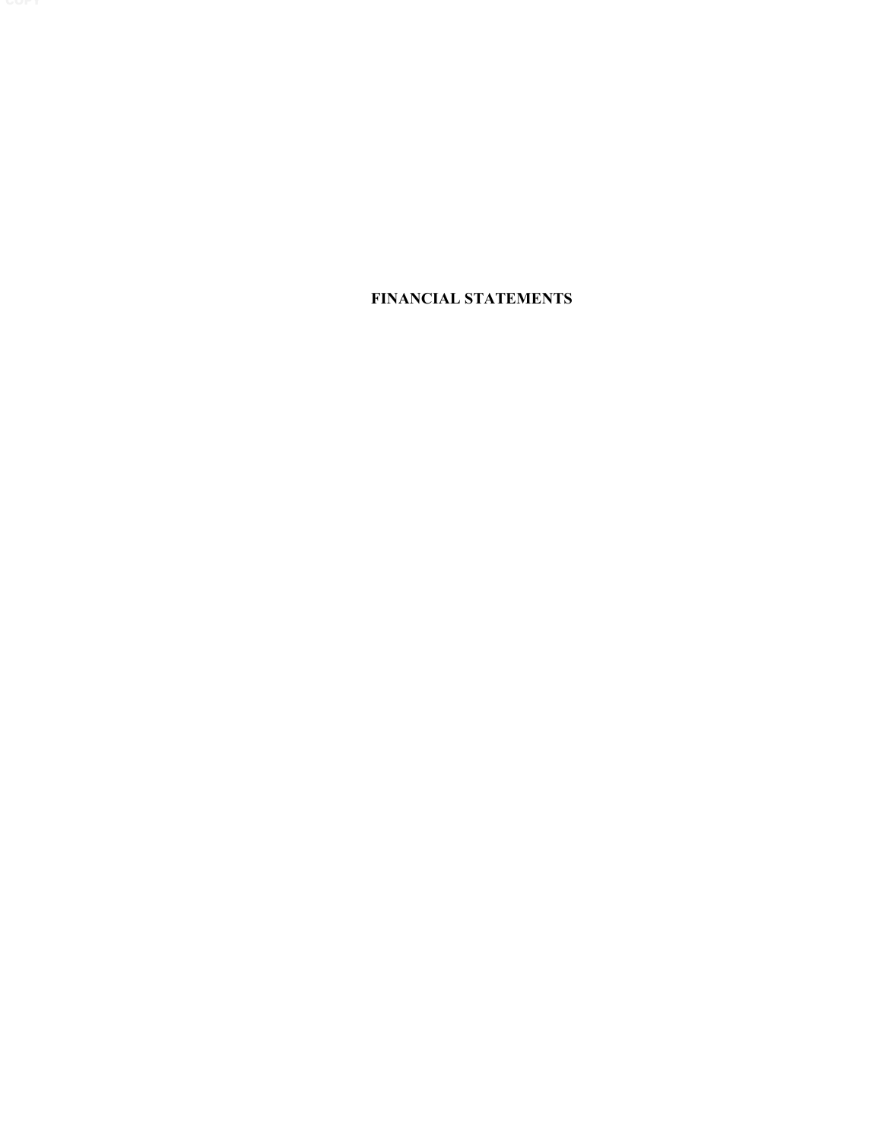**FINANCIAL STATEMENTS**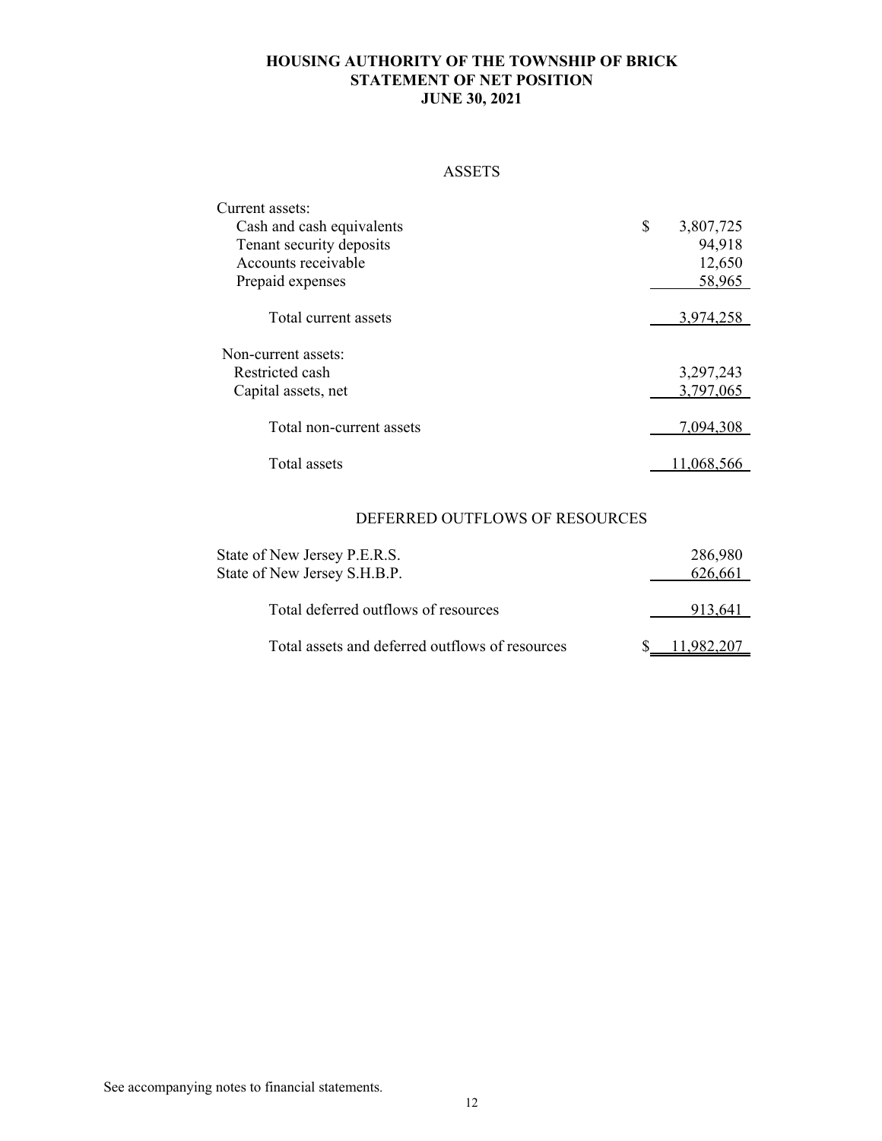# **HOUSING AUTHORITY OF THE TOWNSHIP OF BRICK STATEMENT OF NET POSITION JUNE 30, 2021**

#### ASSETS

| Current assets:           |                 |
|---------------------------|-----------------|
| Cash and cash equivalents | \$<br>3,807,725 |
| Tenant security deposits  | 94,918          |
| Accounts receivable       | 12,650          |
| Prepaid expenses          | 58,965          |
|                           |                 |
| Total current assets      | 3,974,258       |
| Non-current assets:       |                 |
| Restricted cash           | 3,297,243       |
| Capital assets, net       | 3,797,065       |
| Total non-current assets  | 7,094,308       |
| Total assets              |                 |

# DEFERRED OUTFLOWS OF RESOURCES

| State of New Jersey P.E.R.S.<br>State of New Jersey S.H.B.P. | 286,980<br>626,661 |
|--------------------------------------------------------------|--------------------|
| Total deferred outflows of resources                         | 913.641            |
| Total assets and deferred outflows of resources              | .982.207           |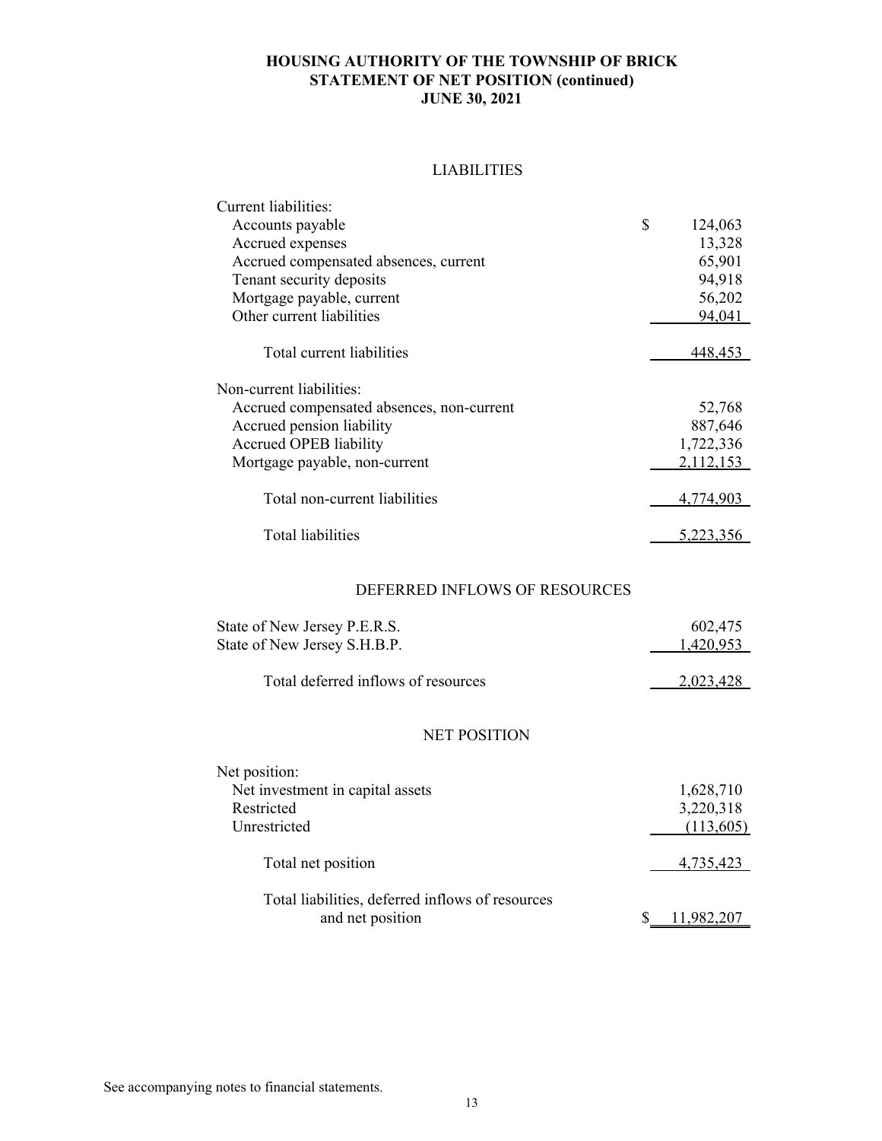# **HOUSING AUTHORITY OF THE TOWNSHIP OF BRICK STATEMENT OF NET POSITION (continued) JUNE 30, 2021**

## LIABILITIES

| Current liabilities:                      |               |
|-------------------------------------------|---------------|
| Accounts payable                          | \$<br>124,063 |
| Accrued expenses                          | 13,328        |
| Accrued compensated absences, current     | 65,901        |
| Tenant security deposits                  | 94,918        |
| Mortgage payable, current                 | 56,202        |
| Other current liabilities                 | 94,041        |
|                                           |               |
| Total current liabilities                 | 448,453       |
|                                           |               |
| Non-current liabilities:                  |               |
| Accrued compensated absences, non-current | 52,768        |
| Accrued pension liability                 | 887,646       |
| Accrued OPEB liability                    | 1,722,336     |
| Mortgage payable, non-current             | 2.112.153     |
|                                           |               |
| Total non-current liabilities             | 4,774,903     |
|                                           |               |
| <b>Total liabilities</b>                  | 5.223.356     |

# DEFERRED INFLOWS OF RESOURCES

| State of New Jersey P.E.R.S.                     | 602,475   |
|--------------------------------------------------|-----------|
| State of New Jersey S.H.B.P.                     | 1,420,953 |
| Total deferred inflows of resources              | 2,023,428 |
| <b>NET POSITION</b>                              |           |
| Net position:                                    |           |
| Net investment in capital assets                 | 1,628,710 |
| Restricted                                       | 3,220,318 |
| Unrestricted                                     | (113,605) |
| Total net position                               | 4,735,423 |
| Total liabilities, deferred inflows of resources |           |
| and net position                                 |           |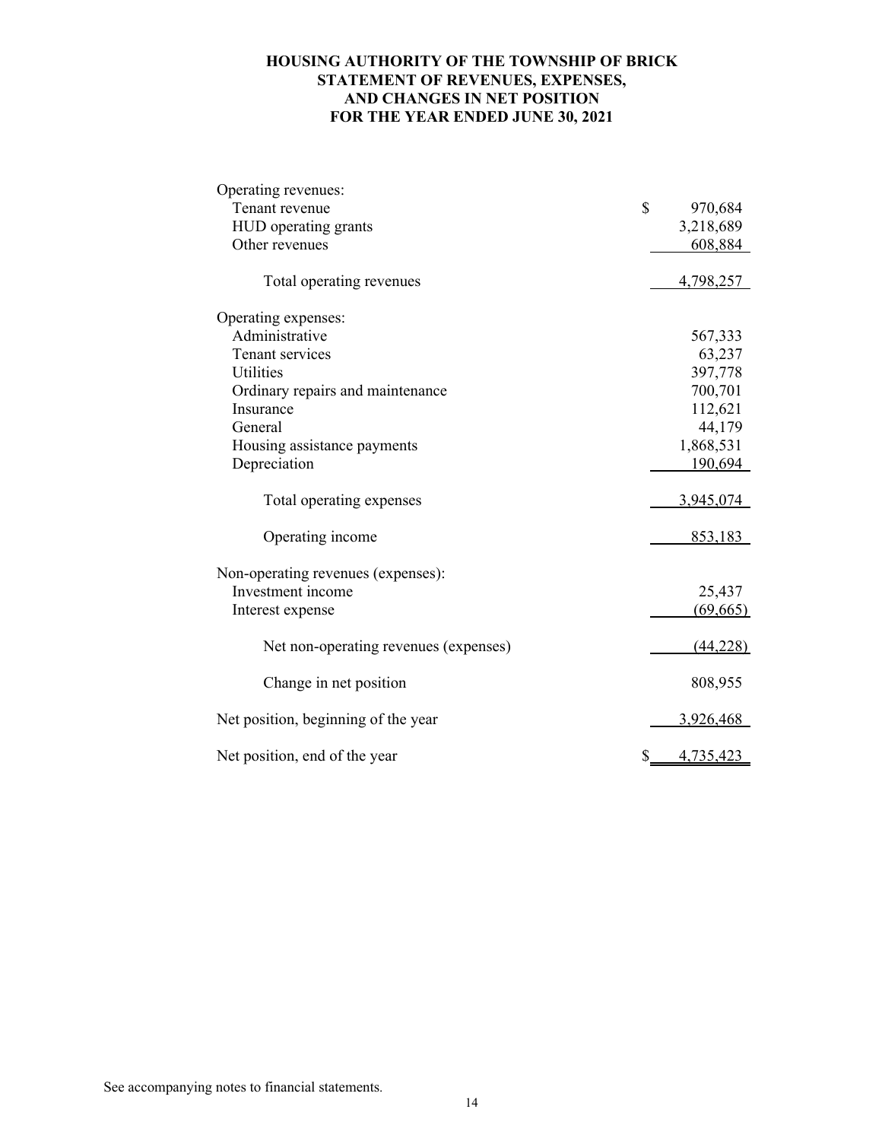# **HOUSING AUTHORITY OF THE TOWNSHIP OF BRICK STATEMENT OF REVENUES, EXPENSES, AND CHANGES IN NET POSITION FOR THE YEAR ENDED JUNE 30, 2021**

| Operating revenues:                   |                  |
|---------------------------------------|------------------|
| Tenant revenue                        | \$<br>970,684    |
| HUD operating grants                  | 3,218,689        |
| Other revenues                        | 608,884          |
| Total operating revenues              | 4,798,257        |
| Operating expenses:                   |                  |
| Administrative                        | 567,333          |
| Tenant services                       | 63,237           |
| Utilities                             | 397,778          |
| Ordinary repairs and maintenance      | 700,701          |
| Insurance                             | 112,621          |
| General                               | 44,179           |
| Housing assistance payments           | 1,868,531        |
| Depreciation                          | 190,694          |
| Total operating expenses              | 3,945,074        |
| Operating income                      | 853,183          |
| Non-operating revenues (expenses):    |                  |
| Investment income                     | 25,437           |
| Interest expense                      | (69, 665)        |
| Net non-operating revenues (expenses) | (44,228)         |
| Change in net position                | 808,955          |
| Net position, beginning of the year   | 3,926,468        |
| Net position, end of the year         | \$_<br>4,735,423 |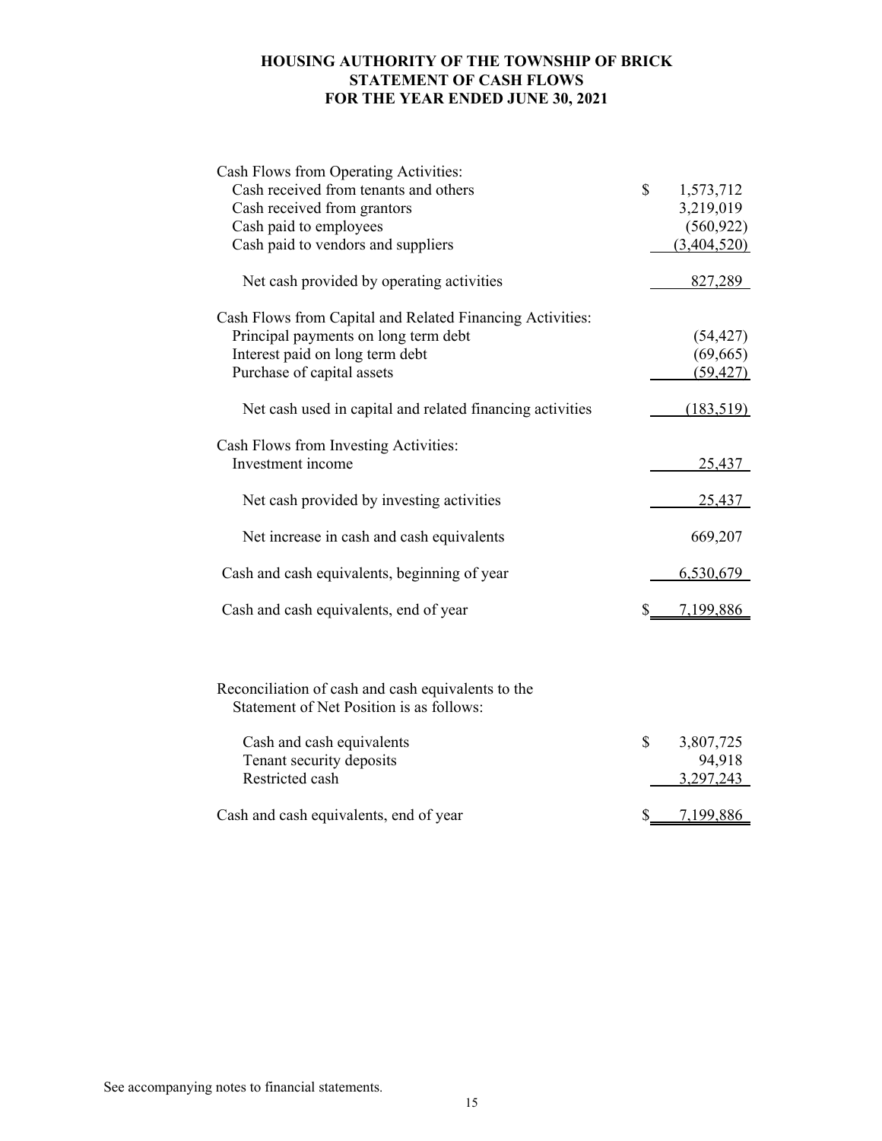# **HOUSING AUTHORITY OF THE TOWNSHIP OF BRICK STATEMENT OF CASH FLOWS FOR THE YEAR ENDED JUNE 30, 2021**

| Cash Flows from Operating Activities:                                                          |                 |
|------------------------------------------------------------------------------------------------|-----------------|
| Cash received from tenants and others                                                          | \$<br>1,573,712 |
| Cash received from grantors                                                                    | 3,219,019       |
| Cash paid to employees                                                                         | (560, 922)      |
| Cash paid to vendors and suppliers                                                             | (3,404,520)     |
|                                                                                                |                 |
| Net cash provided by operating activities                                                      | 827,289         |
| Cash Flows from Capital and Related Financing Activities:                                      |                 |
| Principal payments on long term debt                                                           | (54, 427)       |
| Interest paid on long term debt                                                                | (69, 665)       |
| Purchase of capital assets                                                                     | (59, 427)       |
| Net cash used in capital and related financing activities                                      | (183, 519)      |
|                                                                                                |                 |
| Cash Flows from Investing Activities:                                                          |                 |
| Investment income                                                                              | 25,437          |
| Net cash provided by investing activities                                                      | 25,437          |
|                                                                                                |                 |
| Net increase in cash and cash equivalents                                                      | 669,207         |
| Cash and cash equivalents, beginning of year                                                   | 6,530,679       |
| Cash and cash equivalents, end of year                                                         | \$<br>7,199,886 |
|                                                                                                |                 |
| Reconciliation of cash and cash equivalents to the<br>Statement of Net Position is as follows: |                 |
| Cash and cash equivalents                                                                      | \$<br>3,807,725 |
| Tenant security deposits                                                                       | 94,918          |
| Restricted cash                                                                                | 3,297,243       |
|                                                                                                |                 |
| Cash and cash equivalents, end of year                                                         | \$<br>7,199,886 |

See accompanying notes to financial statements.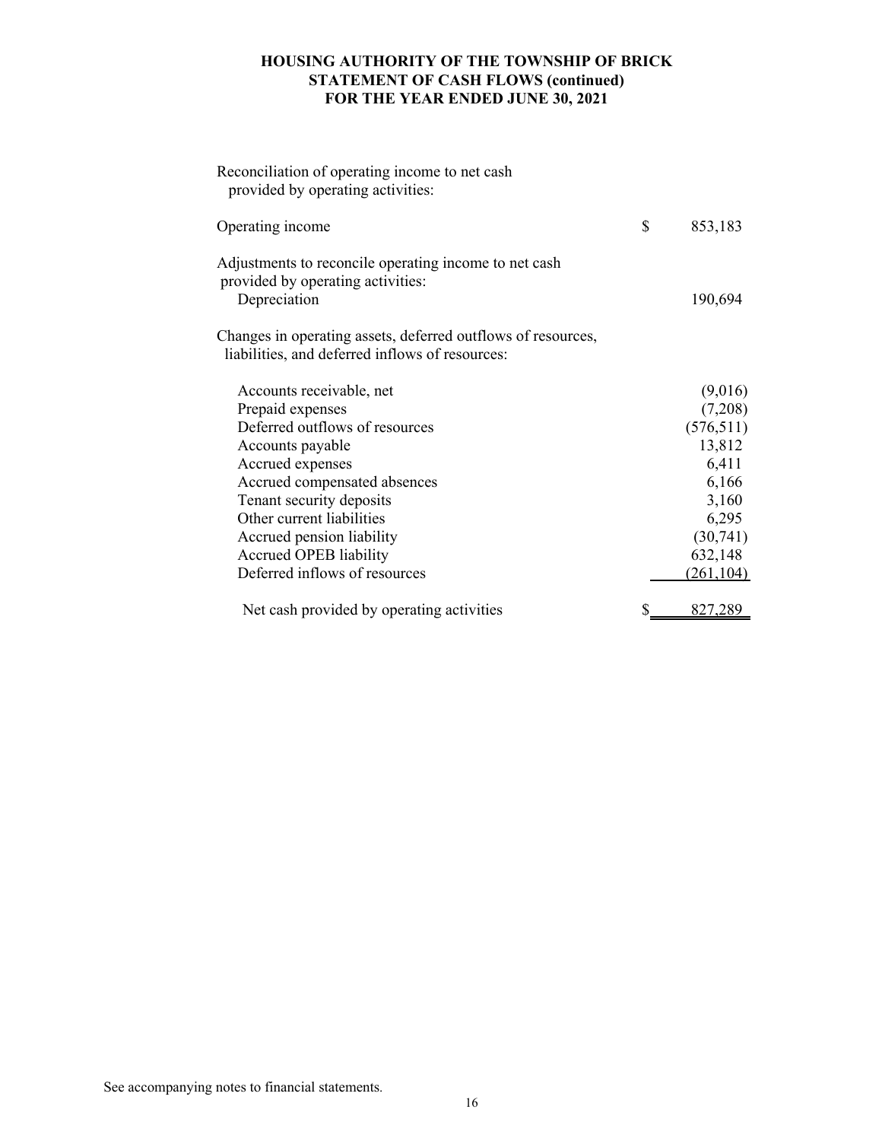# **HOUSING AUTHORITY OF THE TOWNSHIP OF BRICK STATEMENT OF CASH FLOWS (continued) FOR THE YEAR ENDED JUNE 30, 2021**

| Reconciliation of operating income to net cash<br>provided by operating activities:                             |               |
|-----------------------------------------------------------------------------------------------------------------|---------------|
| Operating income                                                                                                | \$<br>853,183 |
| Adjustments to reconcile operating income to net cash<br>provided by operating activities:<br>Depreciation      | 190,694       |
| Changes in operating assets, deferred outflows of resources,<br>liabilities, and deferred inflows of resources: |               |
| Accounts receivable, net                                                                                        | (9,016)       |
| Prepaid expenses                                                                                                | (7,208)       |
| Deferred outflows of resources                                                                                  | (576, 511)    |
| Accounts payable                                                                                                | 13,812        |
| Accrued expenses                                                                                                | 6,411         |
| Accrued compensated absences                                                                                    | 6,166         |
| Tenant security deposits                                                                                        | 3,160         |
| Other current liabilities                                                                                       | 6,295         |
| Accrued pension liability                                                                                       | (30,741)      |
| Accrued OPEB liability                                                                                          | 632,148       |
| Deferred inflows of resources                                                                                   | (261, 104)    |
| Net cash provided by operating activities                                                                       | 827,289       |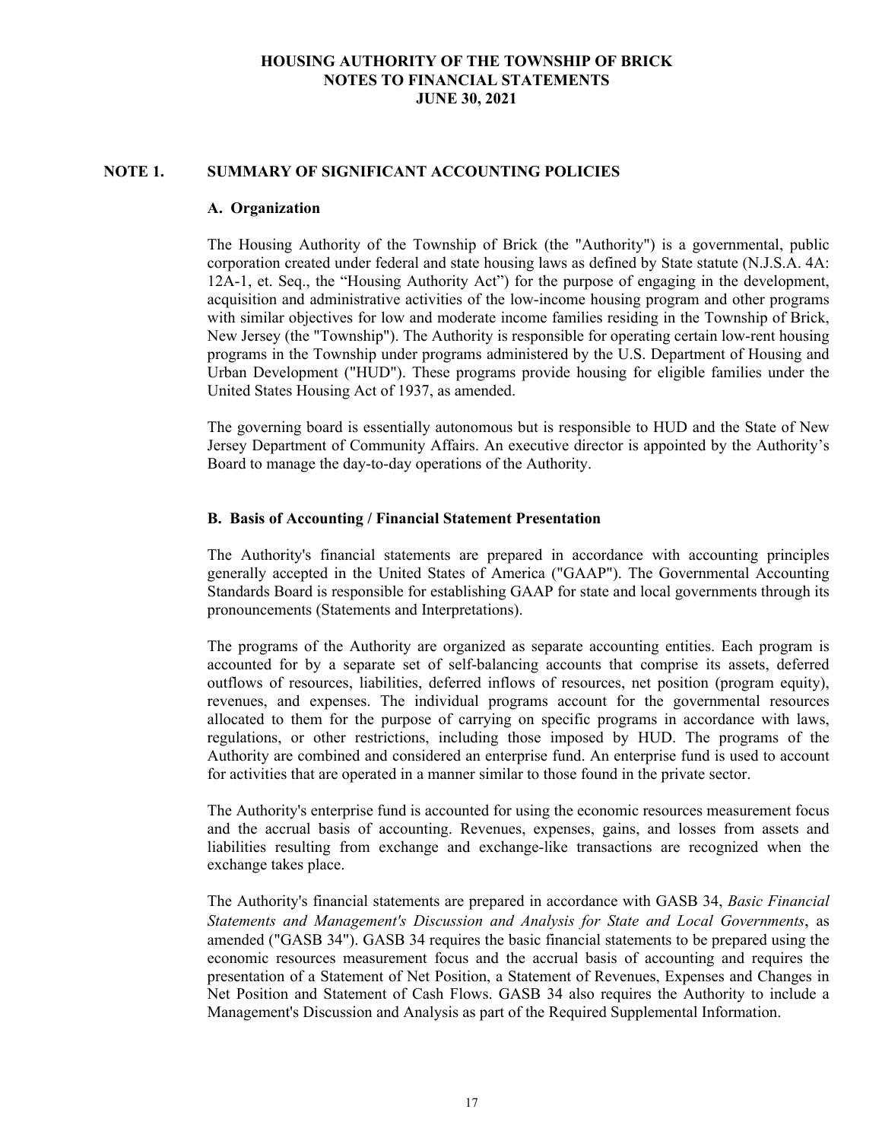#### **NOTE 1. SUMMARY OF SIGNIFICANT ACCOUNTING POLICIES**

#### **A. Organization**

The Housing Authority of the Township of Brick (the "Authority") is a governmental, public corporation created under federal and state housing laws as defined by State statute (N.J.S.A. 4A: 12A-1, et. Seq., the "Housing Authority Act") for the purpose of engaging in the development, acquisition and administrative activities of the low-income housing program and other programs with similar objectives for low and moderate income families residing in the Township of Brick, New Jersey (the "Township"). The Authority is responsible for operating certain low-rent housing programs in the Township under programs administered by the U.S. Department of Housing and Urban Development ("HUD"). These programs provide housing for eligible families under the United States Housing Act of 1937, as amended.

The governing board is essentially autonomous but is responsible to HUD and the State of New Jersey Department of Community Affairs. An executive director is appointed by the Authority's Board to manage the day-to-day operations of the Authority.

#### **B. Basis of Accounting / Financial Statement Presentation**

The Authority's financial statements are prepared in accordance with accounting principles generally accepted in the United States of America ("GAAP"). The Governmental Accounting Standards Board is responsible for establishing GAAP for state and local governments through its pronouncements (Statements and Interpretations).

The programs of the Authority are organized as separate accounting entities. Each program is accounted for by a separate set of self-balancing accounts that comprise its assets, deferred outflows of resources, liabilities, deferred inflows of resources, net position (program equity), revenues, and expenses. The individual programs account for the governmental resources allocated to them for the purpose of carrying on specific programs in accordance with laws, regulations, or other restrictions, including those imposed by HUD. The programs of the Authority are combined and considered an enterprise fund. An enterprise fund is used to account for activities that are operated in a manner similar to those found in the private sector.

The Authority's enterprise fund is accounted for using the economic resources measurement focus and the accrual basis of accounting. Revenues, expenses, gains, and losses from assets and liabilities resulting from exchange and exchange-like transactions are recognized when the exchange takes place.

The Authority's financial statements are prepared in accordance with GASB 34, *Basic Financial Statements and Management's Discussion and Analysis for State and Local Governments*, as amended ("GASB 34"). GASB 34 requires the basic financial statements to be prepared using the economic resources measurement focus and the accrual basis of accounting and requires the presentation of a Statement of Net Position, a Statement of Revenues, Expenses and Changes in Net Position and Statement of Cash Flows. GASB 34 also requires the Authority to include a Management's Discussion and Analysis as part of the Required Supplemental Information.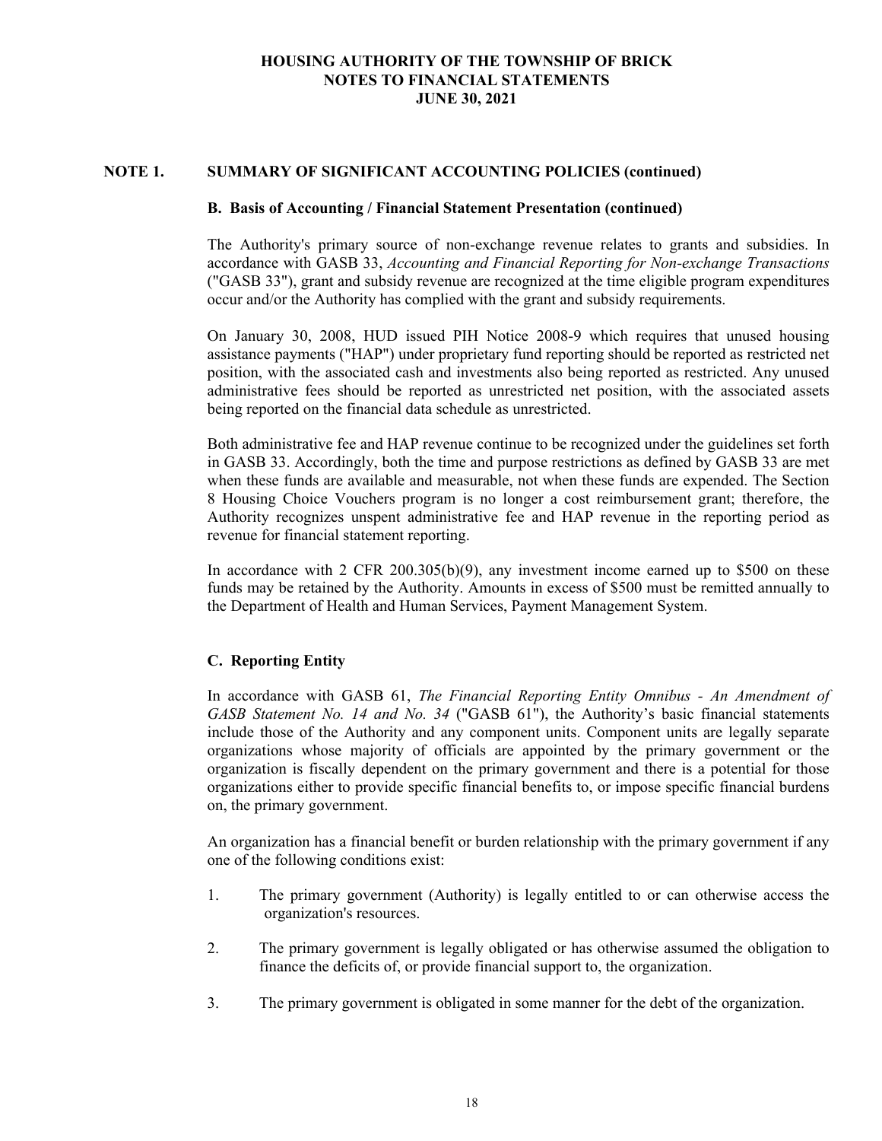#### **NOTE 1. SUMMARY OF SIGNIFICANT ACCOUNTING POLICIES (continued)**

#### **B. Basis of Accounting / Financial Statement Presentation (continued)**

The Authority's primary source of non-exchange revenue relates to grants and subsidies. In accordance with GASB 33, *Accounting and Financial Reporting for Non-exchange Transactions* ("GASB 33"), grant and subsidy revenue are recognized at the time eligible program expenditures occur and/or the Authority has complied with the grant and subsidy requirements.

On January 30, 2008, HUD issued PIH Notice 2008-9 which requires that unused housing assistance payments ("HAP") under proprietary fund reporting should be reported as restricted net position, with the associated cash and investments also being reported as restricted. Any unused administrative fees should be reported as unrestricted net position, with the associated assets being reported on the financial data schedule as unrestricted.

Both administrative fee and HAP revenue continue to be recognized under the guidelines set forth in GASB 33. Accordingly, both the time and purpose restrictions as defined by GASB 33 are met when these funds are available and measurable, not when these funds are expended. The Section 8 Housing Choice Vouchers program is no longer a cost reimbursement grant; therefore, the Authority recognizes unspent administrative fee and HAP revenue in the reporting period as revenue for financial statement reporting.

In accordance with 2 CFR 200.305(b)(9), any investment income earned up to \$500 on these funds may be retained by the Authority. Amounts in excess of \$500 must be remitted annually to the Department of Health and Human Services, Payment Management System.

## **C. Reporting Entity**

In accordance with GASB 61, *The Financial Reporting Entity Omnibus - An Amendment of GASB Statement No. 14 and No. 34* ("GASB 61"), the Authority's basic financial statements include those of the Authority and any component units. Component units are legally separate organizations whose majority of officials are appointed by the primary government or the organization is fiscally dependent on the primary government and there is a potential for those organizations either to provide specific financial benefits to, or impose specific financial burdens on, the primary government.

An organization has a financial benefit or burden relationship with the primary government if any one of the following conditions exist:

- 1. The primary government (Authority) is legally entitled to or can otherwise access the organization's resources.
- 2. The primary government is legally obligated or has otherwise assumed the obligation to finance the deficits of, or provide financial support to, the organization.
- 3. The primary government is obligated in some manner for the debt of the organization.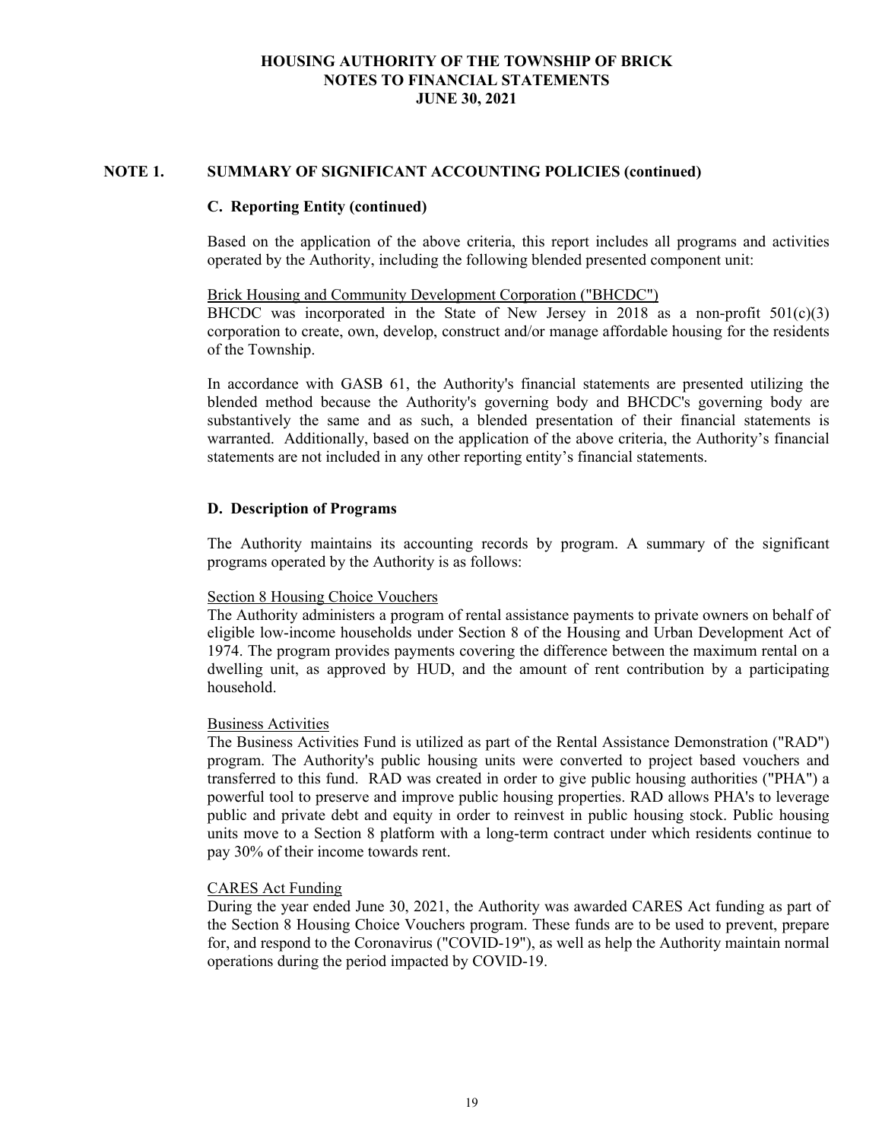#### **NOTE 1. SUMMARY OF SIGNIFICANT ACCOUNTING POLICIES (continued)**

#### **C. Reporting Entity (continued)**

Based on the application of the above criteria, this report includes all programs and activities operated by the Authority, including the following blended presented component unit:

#### Brick Housing and Community Development Corporation ("BHCDC")

BHCDC was incorporated in the State of New Jersey in 2018 as a non-profit  $501(c)(3)$ corporation to create, own, develop, construct and/or manage affordable housing for the residents of the Township.

In accordance with GASB 61, the Authority's financial statements are presented utilizing the blended method because the Authority's governing body and BHCDC's governing body are substantively the same and as such, a blended presentation of their financial statements is warranted. Additionally, based on the application of the above criteria, the Authority's financial statements are not included in any other reporting entity's financial statements.

#### **D. Description of Programs**

The Authority maintains its accounting records by program. A summary of the significant programs operated by the Authority is as follows:

#### Section 8 Housing Choice Vouchers

The Authority administers a program of rental assistance payments to private owners on behalf of eligible low-income households under Section 8 of the Housing and Urban Development Act of 1974. The program provides payments covering the difference between the maximum rental on a dwelling unit, as approved by HUD, and the amount of rent contribution by a participating household.

#### Business Activities

The Business Activities Fund is utilized as part of the Rental Assistance Demonstration ("RAD") program. The Authority's public housing units were converted to project based vouchers and transferred to this fund. RAD was created in order to give public housing authorities ("PHA") a powerful tool to preserve and improve public housing properties. RAD allows PHA's to leverage public and private debt and equity in order to reinvest in public housing stock. Public housing units move to a Section 8 platform with a long-term contract under which residents continue to pay 30% of their income towards rent.

#### CARES Act Funding

During the year ended June 30, 2021, the Authority was awarded CARES Act funding as part of the Section 8 Housing Choice Vouchers program. These funds are to be used to prevent, prepare for, and respond to the Coronavirus ("COVID-19"), as well as help the Authority maintain normal operations during the period impacted by COVID-19.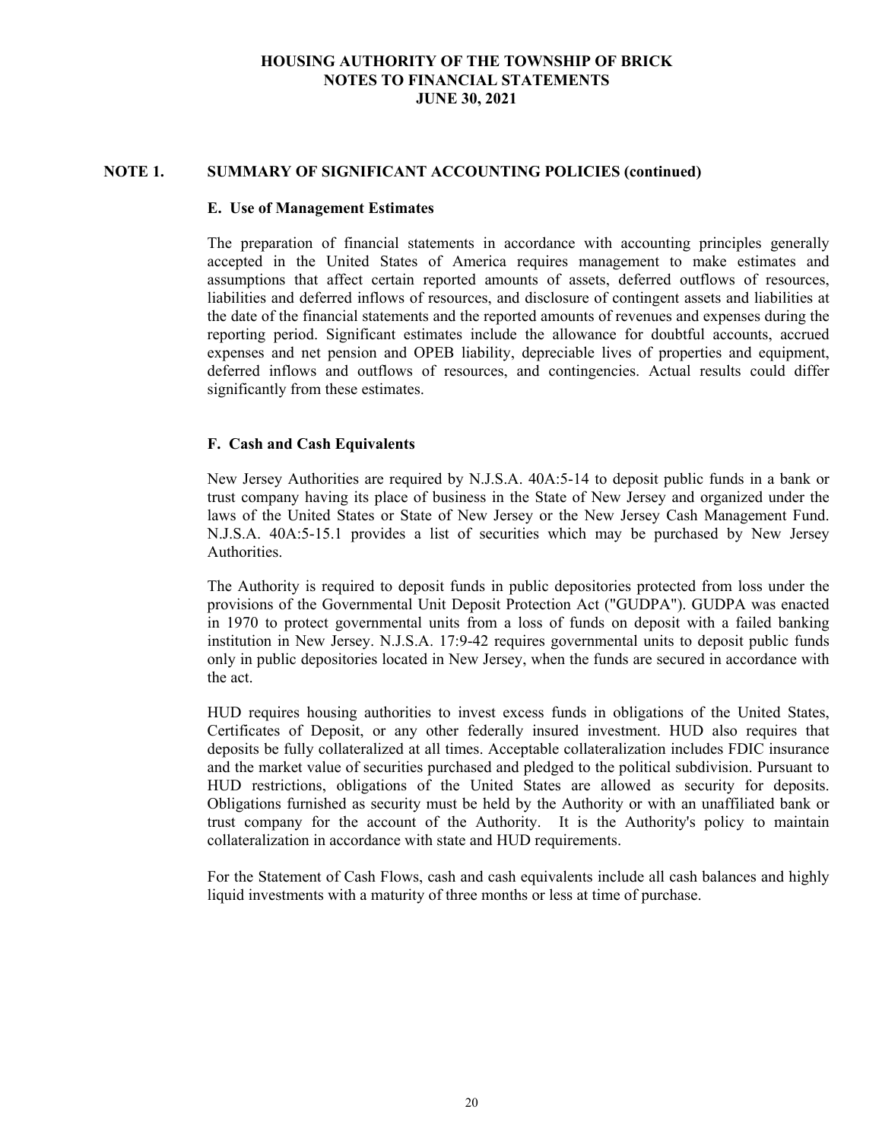#### **NOTE 1. SUMMARY OF SIGNIFICANT ACCOUNTING POLICIES (continued)**

#### **E. Use of Management Estimates**

The preparation of financial statements in accordance with accounting principles generally accepted in the United States of America requires management to make estimates and assumptions that affect certain reported amounts of assets, deferred outflows of resources, liabilities and deferred inflows of resources, and disclosure of contingent assets and liabilities at the date of the financial statements and the reported amounts of revenues and expenses during the reporting period. Significant estimates include the allowance for doubtful accounts, accrued expenses and net pension and OPEB liability, depreciable lives of properties and equipment, deferred inflows and outflows of resources, and contingencies. Actual results could differ significantly from these estimates.

#### **F. Cash and Cash Equivalents**

New Jersey Authorities are required by N.J.S.A. 40A:5-14 to deposit public funds in a bank or trust company having its place of business in the State of New Jersey and organized under the laws of the United States or State of New Jersey or the New Jersey Cash Management Fund. N.J.S.A. 40A:5-15.1 provides a list of securities which may be purchased by New Jersey Authorities.

The Authority is required to deposit funds in public depositories protected from loss under the provisions of the Governmental Unit Deposit Protection Act ("GUDPA"). GUDPA was enacted in 1970 to protect governmental units from a loss of funds on deposit with a failed banking institution in New Jersey. N.J.S.A. 17:9-42 requires governmental units to deposit public funds only in public depositories located in New Jersey, when the funds are secured in accordance with the act.

HUD requires housing authorities to invest excess funds in obligations of the United States, Certificates of Deposit, or any other federally insured investment. HUD also requires that deposits be fully collateralized at all times. Acceptable collateralization includes FDIC insurance and the market value of securities purchased and pledged to the political subdivision. Pursuant to HUD restrictions, obligations of the United States are allowed as security for deposits. Obligations furnished as security must be held by the Authority or with an unaffiliated bank or trust company for the account of the Authority. It is the Authority's policy to maintain collateralization in accordance with state and HUD requirements.

For the Statement of Cash Flows, cash and cash equivalents include all cash balances and highly liquid investments with a maturity of three months or less at time of purchase.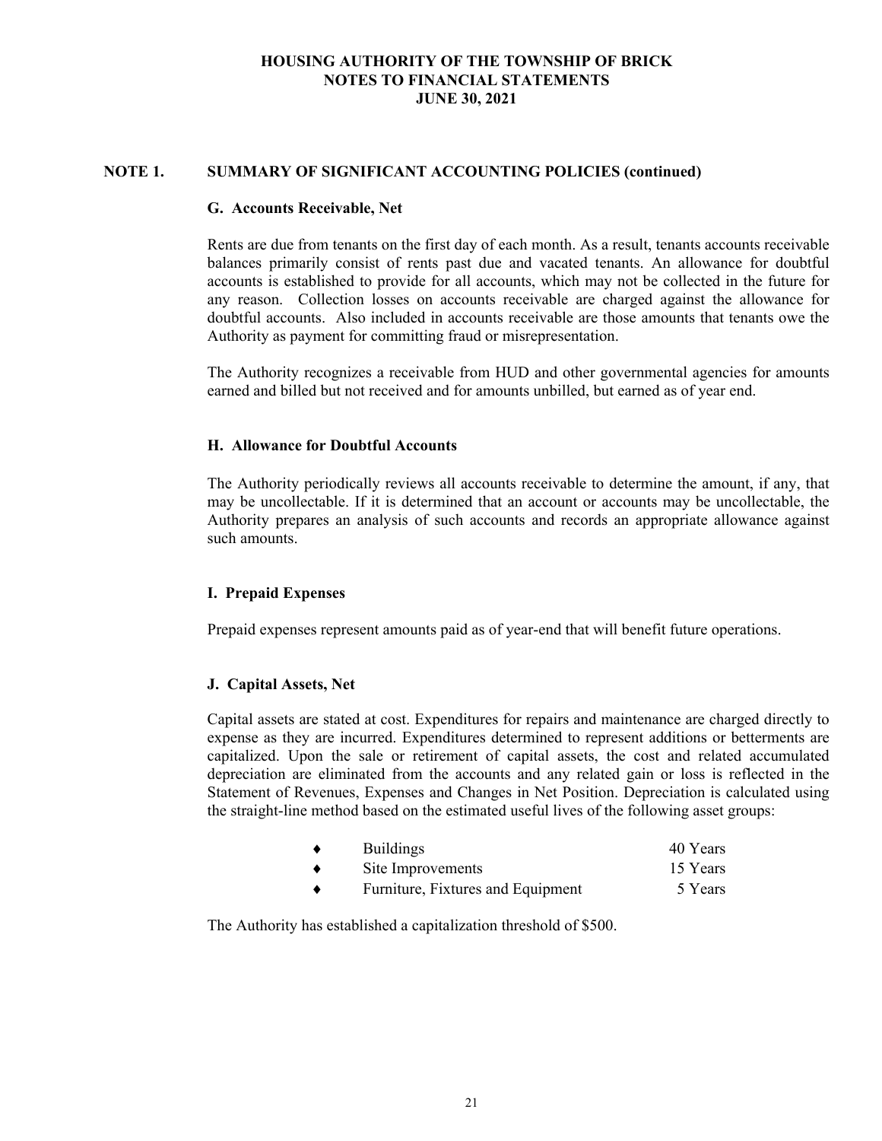#### **NOTE 1. SUMMARY OF SIGNIFICANT ACCOUNTING POLICIES (continued)**

#### **G. Accounts Receivable, Net**

Rents are due from tenants on the first day of each month. As a result, tenants accounts receivable balances primarily consist of rents past due and vacated tenants. An allowance for doubtful accounts is established to provide for all accounts, which may not be collected in the future for any reason. Collection losses on accounts receivable are charged against the allowance for doubtful accounts. Also included in accounts receivable are those amounts that tenants owe the Authority as payment for committing fraud or misrepresentation.

The Authority recognizes a receivable from HUD and other governmental agencies for amounts earned and billed but not received and for amounts unbilled, but earned as of year end.

#### **H. Allowance for Doubtful Accounts**

The Authority periodically reviews all accounts receivable to determine the amount, if any, that may be uncollectable. If it is determined that an account or accounts may be uncollectable, the Authority prepares an analysis of such accounts and records an appropriate allowance against such amounts.

#### **I. Prepaid Expenses**

Prepaid expenses represent amounts paid as of year-end that will benefit future operations.

#### **J. Capital Assets, Net**

Capital assets are stated at cost. Expenditures for repairs and maintenance are charged directly to expense as they are incurred. Expenditures determined to represent additions or betterments are capitalized. Upon the sale or retirement of capital assets, the cost and related accumulated depreciation are eliminated from the accounts and any related gain or loss is reflected in the Statement of Revenues, Expenses and Changes in Net Position. Depreciation is calculated using the straight-line method based on the estimated useful lives of the following asset groups:

|   | <b>Buildings</b>                  | 40 Years |
|---|-----------------------------------|----------|
|   | Site Improvements                 | 15 Years |
| ▲ | Furniture, Fixtures and Equipment | 5 Years  |

The Authority has established a capitalization threshold of \$500.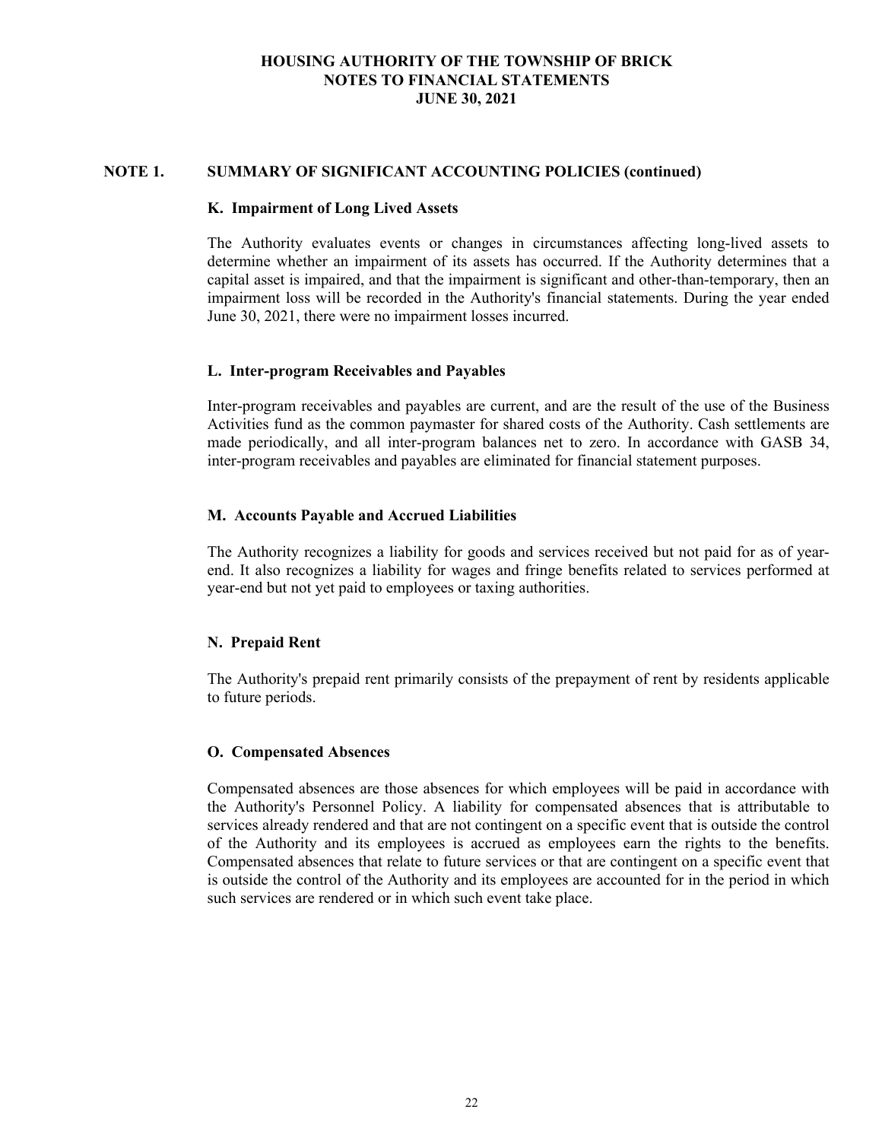#### **NOTE 1. SUMMARY OF SIGNIFICANT ACCOUNTING POLICIES (continued)**

#### **K. Impairment of Long Lived Assets**

The Authority evaluates events or changes in circumstances affecting long-lived assets to determine whether an impairment of its assets has occurred. If the Authority determines that a capital asset is impaired, and that the impairment is significant and other-than-temporary, then an impairment loss will be recorded in the Authority's financial statements. During the year ended June 30, 2021, there were no impairment losses incurred.

#### **L. Inter-program Receivables and Payables**

Inter-program receivables and payables are current, and are the result of the use of the Business Activities fund as the common paymaster for shared costs of the Authority. Cash settlements are made periodically, and all inter-program balances net to zero. In accordance with GASB 34, inter-program receivables and payables are eliminated for financial statement purposes.

## **M. Accounts Payable and Accrued Liabilities**

The Authority recognizes a liability for goods and services received but not paid for as of yearend. It also recognizes a liability for wages and fringe benefits related to services performed at year-end but not yet paid to employees or taxing authorities.

# **N. Prepaid Rent**

The Authority's prepaid rent primarily consists of the prepayment of rent by residents applicable to future periods.

## **O. Compensated Absences**

Compensated absences are those absences for which employees will be paid in accordance with the Authority's Personnel Policy. A liability for compensated absences that is attributable to services already rendered and that are not contingent on a specific event that is outside the control of the Authority and its employees is accrued as employees earn the rights to the benefits. Compensated absences that relate to future services or that are contingent on a specific event that is outside the control of the Authority and its employees are accounted for in the period in which such services are rendered or in which such event take place.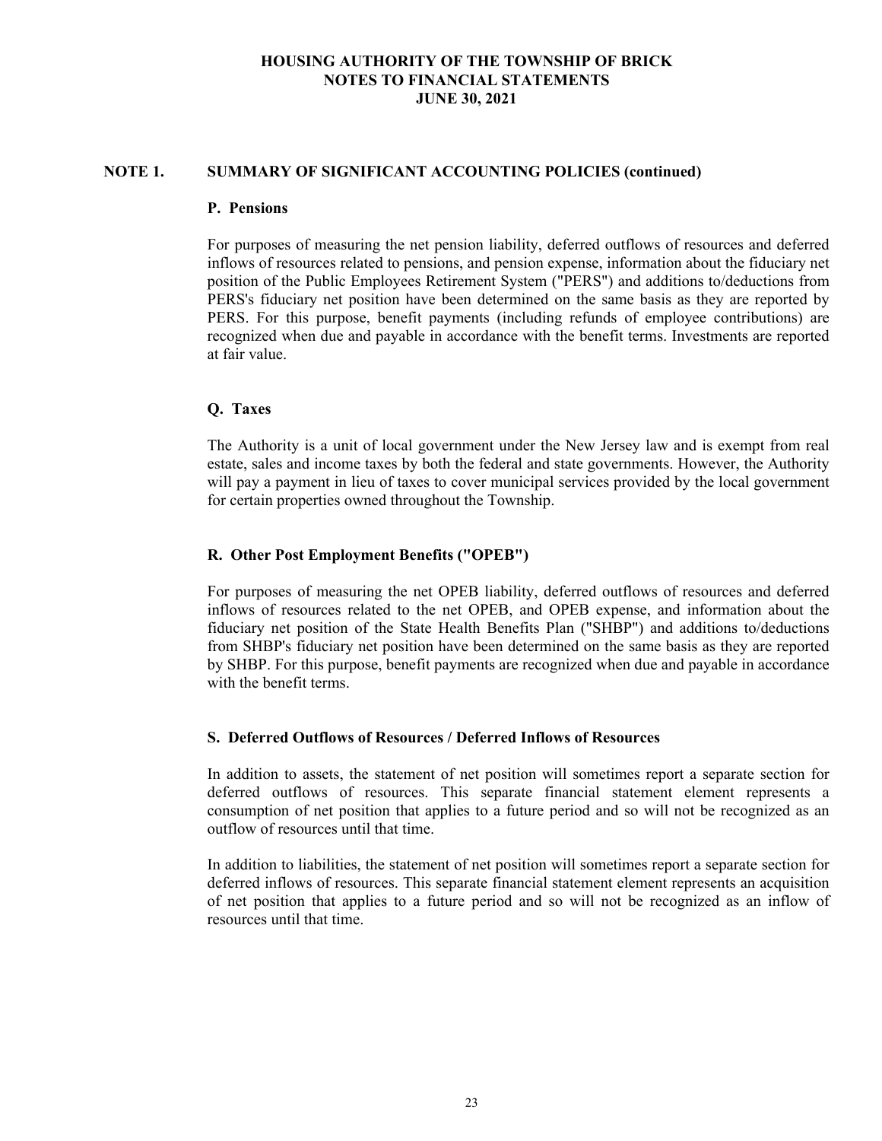#### **NOTE 1. SUMMARY OF SIGNIFICANT ACCOUNTING POLICIES (continued)**

#### **P. Pensions**

For purposes of measuring the net pension liability, deferred outflows of resources and deferred inflows of resources related to pensions, and pension expense, information about the fiduciary net position of the Public Employees Retirement System ("PERS") and additions to/deductions from PERS's fiduciary net position have been determined on the same basis as they are reported by PERS. For this purpose, benefit payments (including refunds of employee contributions) are recognized when due and payable in accordance with the benefit terms. Investments are reported at fair value.

## **Q. Taxes**

The Authority is a unit of local government under the New Jersey law and is exempt from real estate, sales and income taxes by both the federal and state governments. However, the Authority will pay a payment in lieu of taxes to cover municipal services provided by the local government for certain properties owned throughout the Township.

## **R. Other Post Employment Benefits ("OPEB")**

For purposes of measuring the net OPEB liability, deferred outflows of resources and deferred inflows of resources related to the net OPEB, and OPEB expense, and information about the fiduciary net position of the State Health Benefits Plan ("SHBP") and additions to/deductions from SHBP's fiduciary net position have been determined on the same basis as they are reported by SHBP. For this purpose, benefit payments are recognized when due and payable in accordance with the benefit terms.

#### **S. Deferred Outflows of Resources / Deferred Inflows of Resources**

In addition to assets, the statement of net position will sometimes report a separate section for deferred outflows of resources. This separate financial statement element represents a consumption of net position that applies to a future period and so will not be recognized as an outflow of resources until that time.

In addition to liabilities, the statement of net position will sometimes report a separate section for deferred inflows of resources. This separate financial statement element represents an acquisition of net position that applies to a future period and so will not be recognized as an inflow of resources until that time.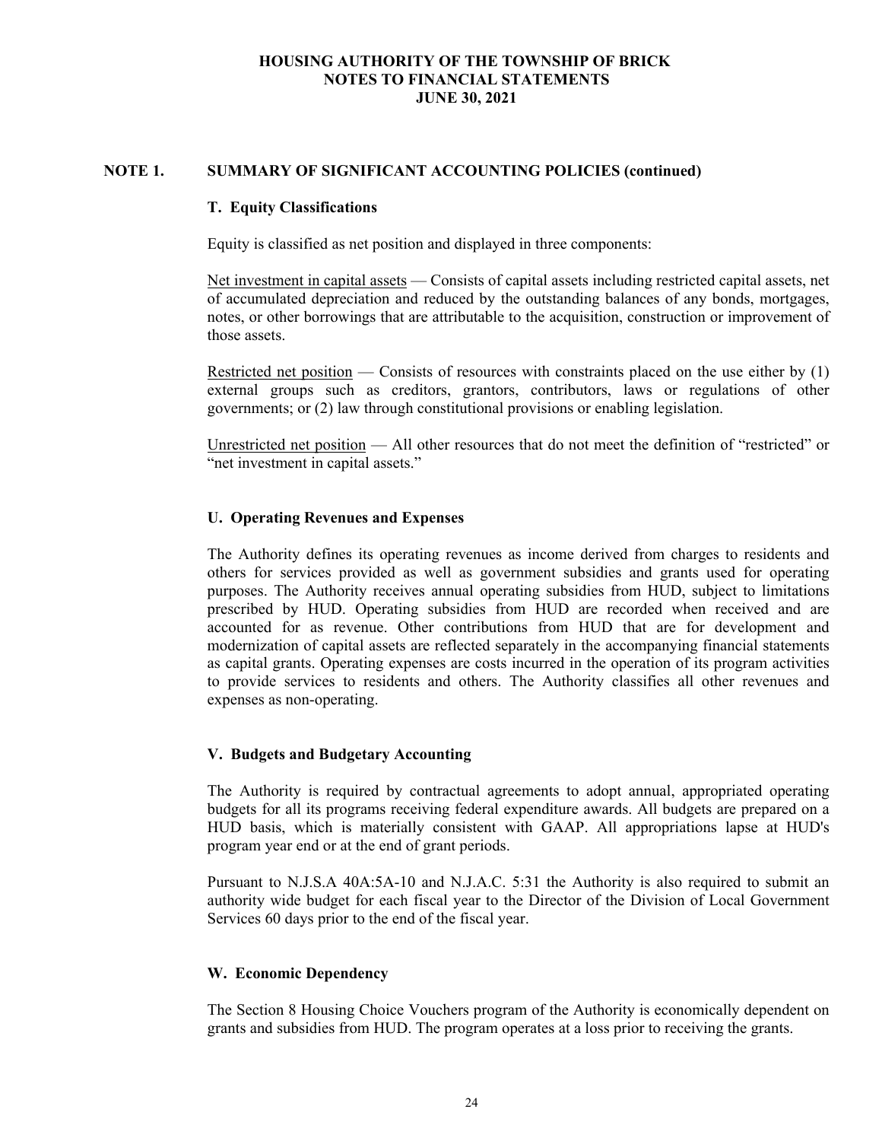## **NOTE 1. SUMMARY OF SIGNIFICANT ACCOUNTING POLICIES (continued)**

#### **T. Equity Classifications**

Equity is classified as net position and displayed in three components:

Net investment in capital assets — Consists of capital assets including restricted capital assets, net of accumulated depreciation and reduced by the outstanding balances of any bonds, mortgages, notes, or other borrowings that are attributable to the acquisition, construction or improvement of those assets.

Restricted net position — Consists of resources with constraints placed on the use either by  $(1)$ external groups such as creditors, grantors, contributors, laws or regulations of other governments; or (2) law through constitutional provisions or enabling legislation.

Unrestricted net position — All other resources that do not meet the definition of "restricted" or "net investment in capital assets."

## **U. Operating Revenues and Expenses**

The Authority defines its operating revenues as income derived from charges to residents and others for services provided as well as government subsidies and grants used for operating purposes. The Authority receives annual operating subsidies from HUD, subject to limitations prescribed by HUD. Operating subsidies from HUD are recorded when received and are accounted for as revenue. Other contributions from HUD that are for development and modernization of capital assets are reflected separately in the accompanying financial statements as capital grants. Operating expenses are costs incurred in the operation of its program activities to provide services to residents and others. The Authority classifies all other revenues and expenses as non-operating.

## **V. Budgets and Budgetary Accounting**

The Authority is required by contractual agreements to adopt annual, appropriated operating budgets for all its programs receiving federal expenditure awards. All budgets are prepared on a HUD basis, which is materially consistent with GAAP. All appropriations lapse at HUD's program year end or at the end of grant periods.

Pursuant to N.J.S.A 40A:5A-10 and N.J.A.C. 5:31 the Authority is also required to submit an authority wide budget for each fiscal year to the Director of the Division of Local Government Services 60 days prior to the end of the fiscal year.

## **W. Economic Dependency**

The Section 8 Housing Choice Vouchers program of the Authority is economically dependent on grants and subsidies from HUD. The program operates at a loss prior to receiving the grants.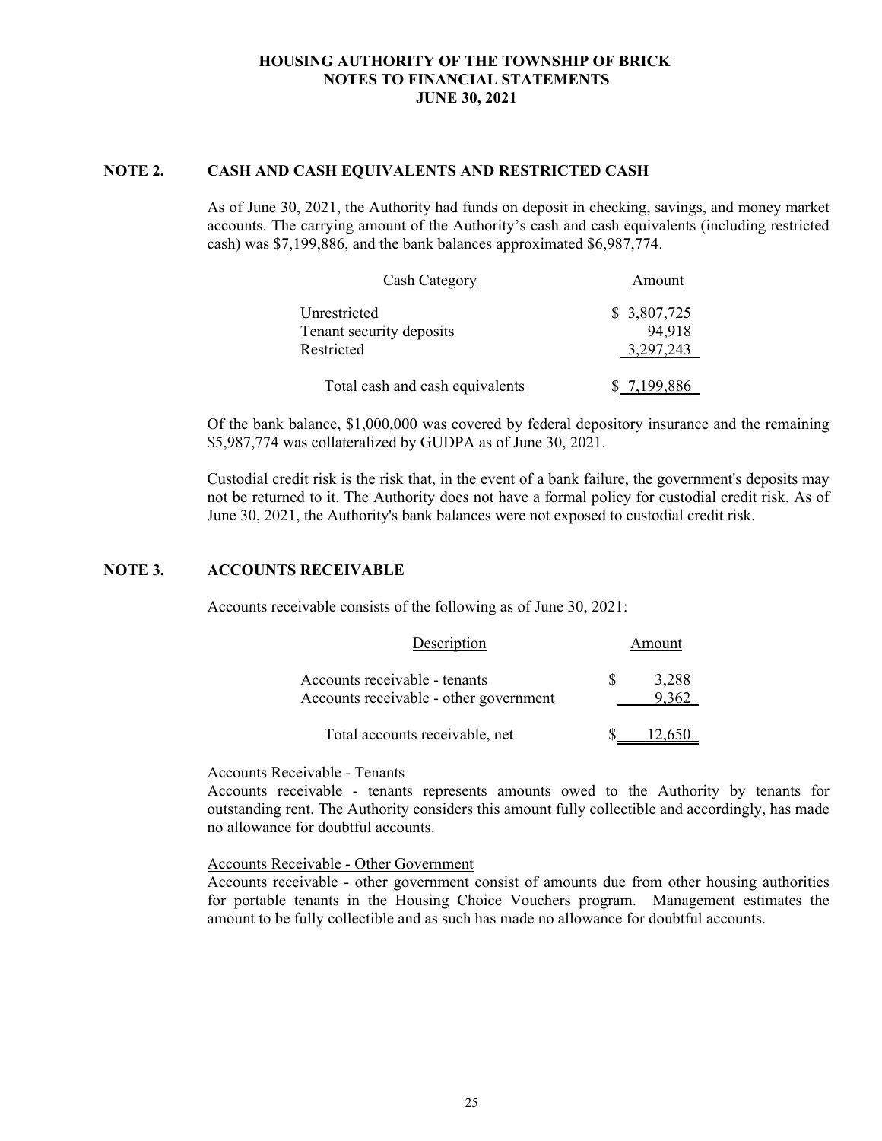#### **NOTE 2. CASH AND CASH EQUIVALENTS AND RESTRICTED CASH**

As of June 30, 2021, the Authority had funds on deposit in checking, savings, and money market accounts. The carrying amount of the Authority's cash and cash equivalents (including restricted cash) was \$7,199,886, and the bank balances approximated \$6,987,774.

| Cash Category                                          | Amount                              |
|--------------------------------------------------------|-------------------------------------|
| Unrestricted<br>Tenant security deposits<br>Restricted | \$ 3,807,725<br>94.918<br>3,297,243 |
| Total cash and cash equivalents                        | \$7,199,886                         |

Of the bank balance, \$1,000,000 was covered by federal depository insurance and the remaining \$5,987,774 was collateralized by GUDPA as of June 30, 2021.

Custodial credit risk is the risk that, in the event of a bank failure, the government's deposits may not be returned to it. The Authority does not have a formal policy for custodial credit risk. As of June 30, 2021, the Authority's bank balances were not exposed to custodial credit risk.

# **NOTE 3. ACCOUNTS RECEIVABLE**

Accounts receivable consists of the following as of June 30, 2021:

| Description                                                             | Amount |                |  |
|-------------------------------------------------------------------------|--------|----------------|--|
| Accounts receivable - tenants<br>Accounts receivable - other government |        | 3,288<br>9.362 |  |
| Total accounts receivable, net                                          |        | 12,650         |  |

#### Accounts Receivable - Tenants

Accounts receivable - tenants represents amounts owed to the Authority by tenants for outstanding rent. The Authority considers this amount fully collectible and accordingly, has made no allowance for doubtful accounts.

Accounts Receivable - Other Government

Accounts receivable - other government consist of amounts due from other housing authorities for portable tenants in the Housing Choice Vouchers program. Management estimates the amount to be fully collectible and as such has made no allowance for doubtful accounts.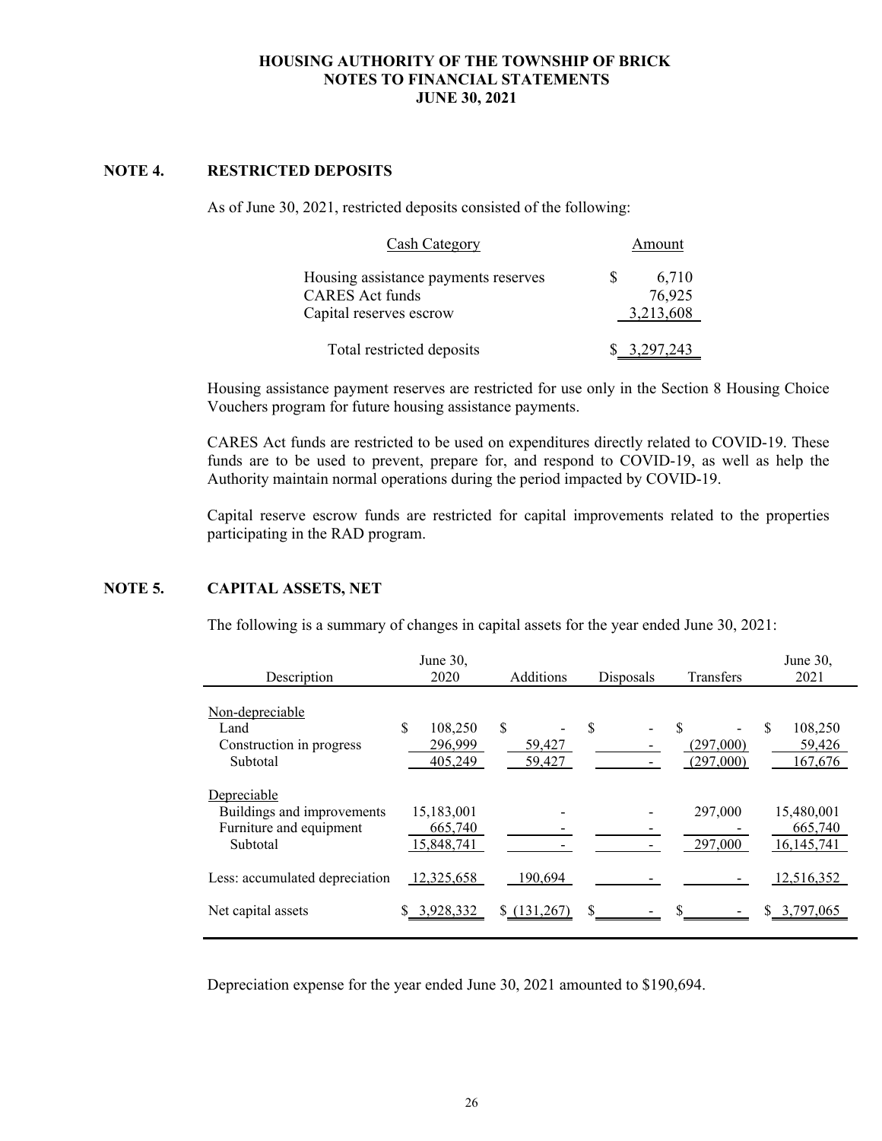# **NOTE 4. RESTRICTED DEPOSITS**

As of June 30, 2021, restricted deposits consisted of the following:

| Cash Category                        |    | Amount       |
|--------------------------------------|----|--------------|
| Housing assistance payments reserves | S. | 6,710        |
| <b>CARES</b> Act funds               |    | 76,925       |
| Capital reserves escrow              |    | 3,213,608    |
| Total restricted deposits            |    | \$ 3,297,243 |

Housing assistance payment reserves are restricted for use only in the Section 8 Housing Choice Vouchers program for future housing assistance payments.

CARES Act funds are restricted to be used on expenditures directly related to COVID-19. These funds are to be used to prevent, prepare for, and respond to COVID-19, as well as help the Authority maintain normal operations during the period impacted by COVID-19.

Capital reserve escrow funds are restricted for capital improvements related to the properties participating in the RAD program.

## **NOTE 5. CAPITAL ASSETS, NET**

The following is a summary of changes in capital assets for the year ended June 30, 2021:

|                                                                                  | June $30$ ,                         |                        |           |                              | June 30,                              |
|----------------------------------------------------------------------------------|-------------------------------------|------------------------|-----------|------------------------------|---------------------------------------|
| Description                                                                      | 2020                                | Additions              | Disposals | Transfers                    | 2021                                  |
| <u>Non-depreciable</u><br>Land<br>Construction in progress<br>Subtotal           | \$<br>108,250<br>296,999<br>405,249 | \$<br>59,427<br>59,427 | \$        | \$<br>(297,000)<br>(297,000) | S<br>108,250<br>59,426<br>167,676     |
| Depreciable<br>Buildings and improvements<br>Furniture and equipment<br>Subtotal | 15,183,001<br>665,740<br>15,848,741 |                        |           | 297,000<br>297,000           | 15,480,001<br>665,740<br>16, 145, 741 |
| Less: accumulated depreciation                                                   | 12,325,658                          | 190,694                |           |                              | 12,516,352                            |
| Net capital assets                                                               | 3,928,332                           | $\{(131, 267)$         | \$        |                              | 3,797,065                             |

Depreciation expense for the year ended June 30, 2021 amounted to \$190,694.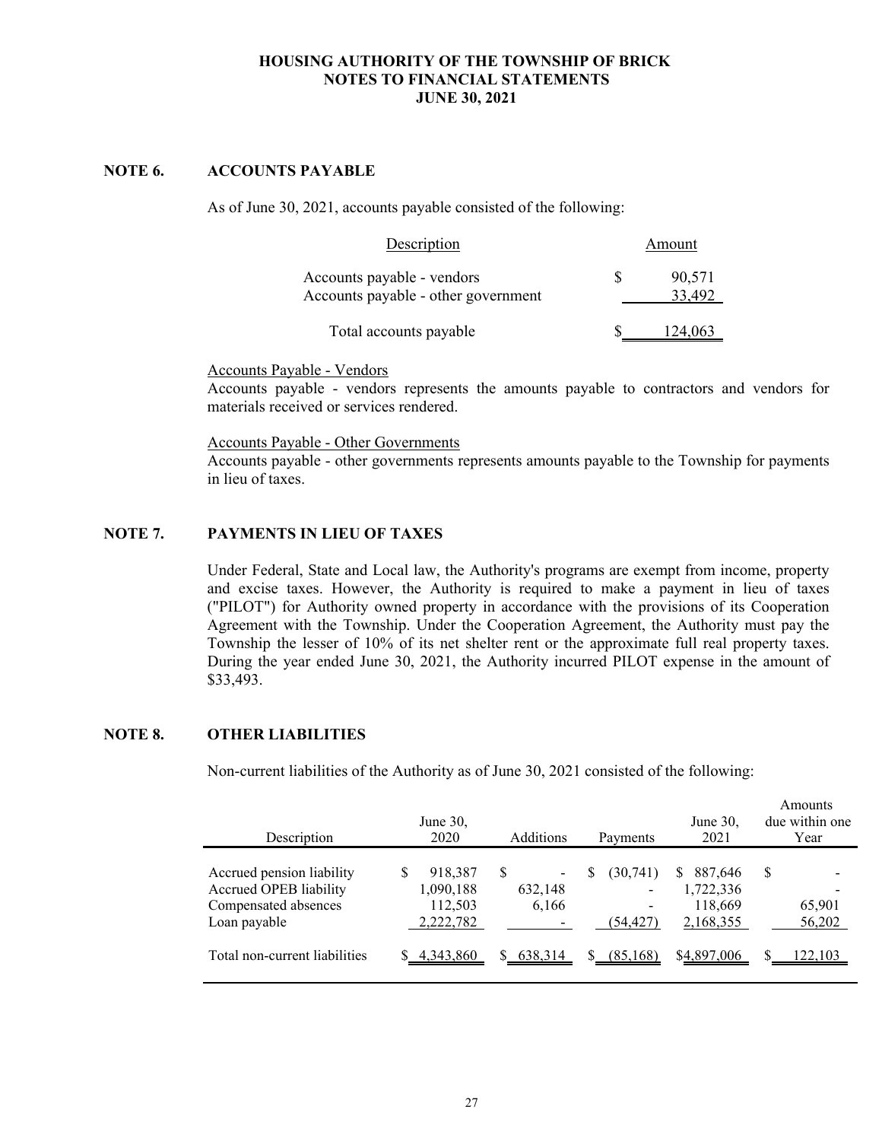# **NOTE 6. ACCOUNTS PAYABLE**

As of June 30, 2021, accounts payable consisted of the following:

| Description                                                       | Amount           |
|-------------------------------------------------------------------|------------------|
| Accounts payable - vendors<br>Accounts payable - other government | 90,571<br>33.492 |
| Total accounts payable                                            | 124.063          |

Accounts Payable - Vendors

Accounts payable - vendors represents the amounts payable to contractors and vendors for materials received or services rendered.

Accounts Payable - Other Governments

Accounts payable - other governments represents amounts payable to the Township for payments in lieu of taxes.

## **NOTE 7. PAYMENTS IN LIEU OF TAXES**

Under Federal, State and Local law, the Authority's programs are exempt from income, property and excise taxes. However, the Authority is required to make a payment in lieu of taxes ("PILOT") for Authority owned property in accordance with the provisions of its Cooperation Agreement with the Township. Under the Cooperation Agreement, the Authority must pay the Township the lesser of 10% of its net shelter rent or the approximate full real property taxes. During the year ended June 30, 2021, the Authority incurred PILOT expense in the amount of \$33,493.

## **NOTE 8. OTHER LIABILITIES**

Non-current liabilities of the Authority as of June 30, 2021 consisted of the following:

| Description                                                                                 | June $30$ ,<br>2020                          | Additions                         | Payments                            | June $30$ ,<br>2021                               | Amounts<br>due within one<br>Year |
|---------------------------------------------------------------------------------------------|----------------------------------------------|-----------------------------------|-------------------------------------|---------------------------------------------------|-----------------------------------|
| Accrued pension liability<br>Accrued OPEB liability<br>Compensated absences<br>Loan payable | 918,387<br>1,090,188<br>112,503<br>2,222,782 | <sup>\$</sup><br>632,148<br>6,166 | S<br>(30,741)<br>-<br>-<br>(54.427) | 887,646<br>S<br>1,722,336<br>118,669<br>2,168,355 | -S<br>65,901<br>56,202            |
| Total non-current liabilities                                                               | 4,343,860                                    | S.<br>638,314                     | (85, 168)<br>S.                     | \$4,897,006                                       | 122,103                           |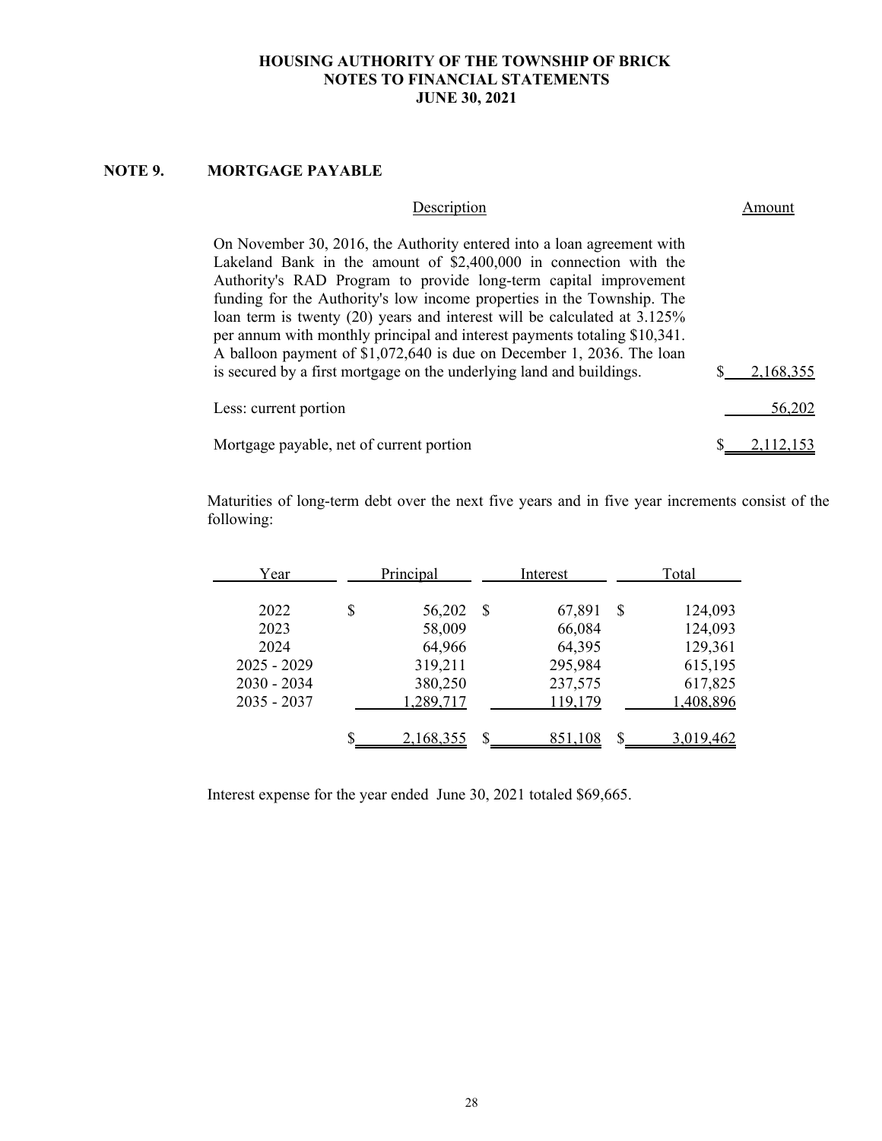# **NOTE 9. MORTGAGE PAYABLE**

| Description                                                                                                                                                                                                                                                                                                                                                                                                                                                                                                                  | moun      |
|------------------------------------------------------------------------------------------------------------------------------------------------------------------------------------------------------------------------------------------------------------------------------------------------------------------------------------------------------------------------------------------------------------------------------------------------------------------------------------------------------------------------------|-----------|
| On November 30, 2016, the Authority entered into a loan agreement with<br>Lakeland Bank in the amount of $$2,400,000$ in connection with the<br>Authority's RAD Program to provide long-term capital improvement<br>funding for the Authority's low income properties in the Township. The<br>loan term is twenty (20) years and interest will be calculated at 3.125%<br>per annum with monthly principal and interest payments totaling \$10,341.<br>A balloon payment of \$1,072,640 is due on December 1, 2036. The loan |           |
| is secured by a first mortgage on the underlying land and buildings.                                                                                                                                                                                                                                                                                                                                                                                                                                                         | 2.168.355 |
| Less: current portion                                                                                                                                                                                                                                                                                                                                                                                                                                                                                                        | 56,202    |
| Mortgage payable, net of current portion                                                                                                                                                                                                                                                                                                                                                                                                                                                                                     |           |

Maturities of long-term debt over the next five years and in five year increments consist of the following:

| Year                           | Principal          |      | Interest           |   | Total              |
|--------------------------------|--------------------|------|--------------------|---|--------------------|
| 2022                           | \$<br>56,202       | - \$ | 67,891             | S | 124,093            |
| 2023<br>2024                   | 58,009<br>64,966   |      | 66,084<br>64,395   |   | 124,093<br>129,361 |
| $2025 - 2029$<br>$2030 - 2034$ | 319,211<br>380,250 |      | 295,984<br>237,575 |   | 615,195<br>617,825 |
| $2035 - 2037$                  | 1,289,717          |      | 119,179            |   | 1,408,896          |
|                                | 2,168,355          |      | 851,108            |   | 3,019,462          |

Interest expense for the year ended June 30, 2021 totaled \$69,665.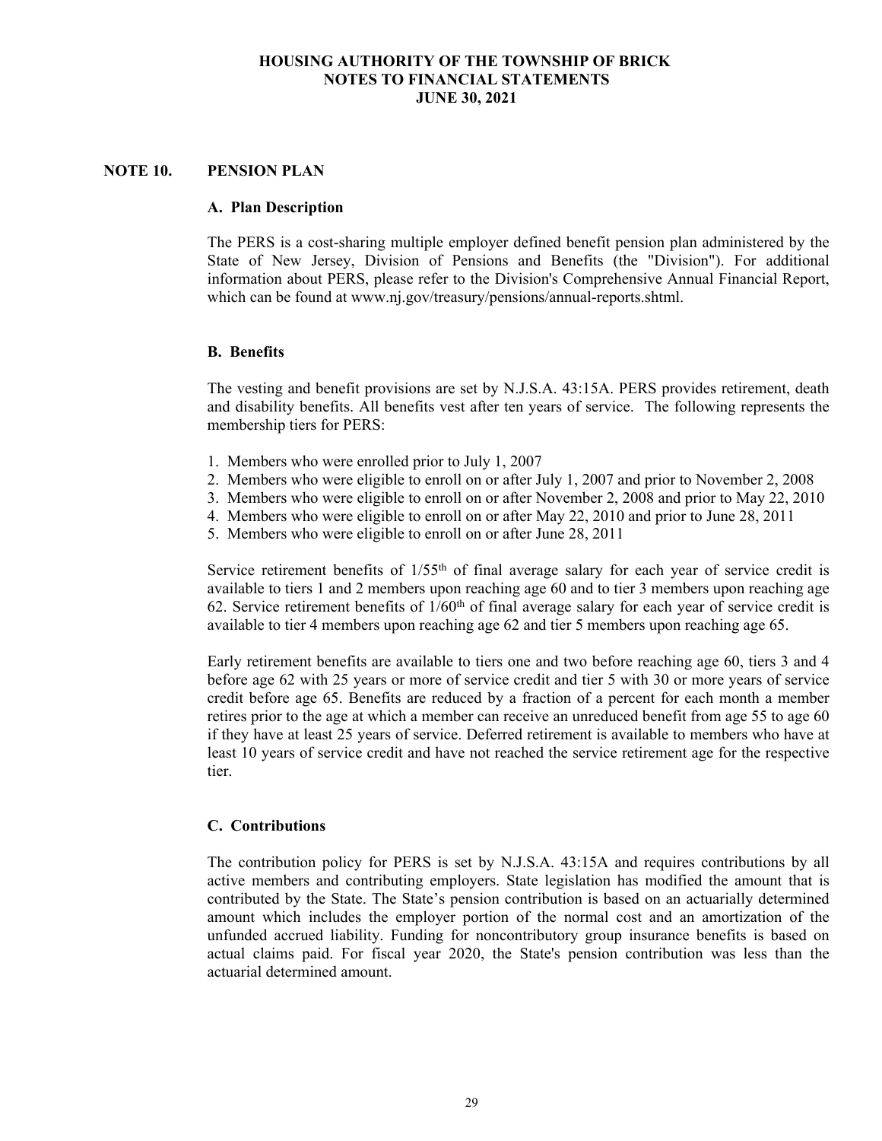# **NOTE 10. PENSION PLAN**

#### **A. Plan Description**

The PERS is a cost-sharing multiple employer defined benefit pension plan administered by the State of New Jersey, Division of Pensions and Benefits (the "Division"). For additional information about PERS, please refer to the Division's Comprehensive Annual Financial Report, which can be found at www.nj.gov/treasury/pensions/annual-reports.shtml.

#### **B. Benefits**

The vesting and benefit provisions are set by N.J.S.A. 43:15A. PERS provides retirement, death and disability benefits. All benefits vest after ten years of service. The following represents the membership tiers for PERS:

- 1. Members who were enrolled prior to July 1, 2007
- 2. Members who were eligible to enroll on or after July 1, 2007 and prior to November 2, 2008
- 3. Members who were eligible to enroll on or after November 2, 2008 and prior to May 22, 2010
- 4. Members who were eligible to enroll on or after May 22, 2010 and prior to June 28, 2011
- 5. Members who were eligible to enroll on or after June 28, 2011

Service retirement benefits of 1/55<sup>th</sup> of final average salary for each year of service credit is available to tiers 1 and 2 members upon reaching age 60 and to tier 3 members upon reaching age 62. Service retirement benefits of  $1/60<sup>th</sup>$  of final average salary for each year of service credit is available to tier 4 members upon reaching age 62 and tier 5 members upon reaching age 65.

Early retirement benefits are available to tiers one and two before reaching age 60, tiers 3 and 4 before age 62 with 25 years or more of service credit and tier 5 with 30 or more years of service credit before age 65. Benefits are reduced by a fraction of a percent for each month a member retires prior to the age at which a member can receive an unreduced benefit from age 55 to age 60 if they have at least 25 years of service. Deferred retirement is available to members who have at least 10 years of service credit and have not reached the service retirement age for the respective tier.

#### **C. Contributions**

The contribution policy for PERS is set by N.J.S.A. 43:15A and requires contributions by all active members and contributing employers. State legislation has modified the amount that is contributed by the State. The State's pension contribution is based on an actuarially determined amount which includes the employer portion of the normal cost and an amortization of the unfunded accrued liability. Funding for noncontributory group insurance benefits is based on actual claims paid. For fiscal year 2020, the State's pension contribution was less than the actuarial determined amount.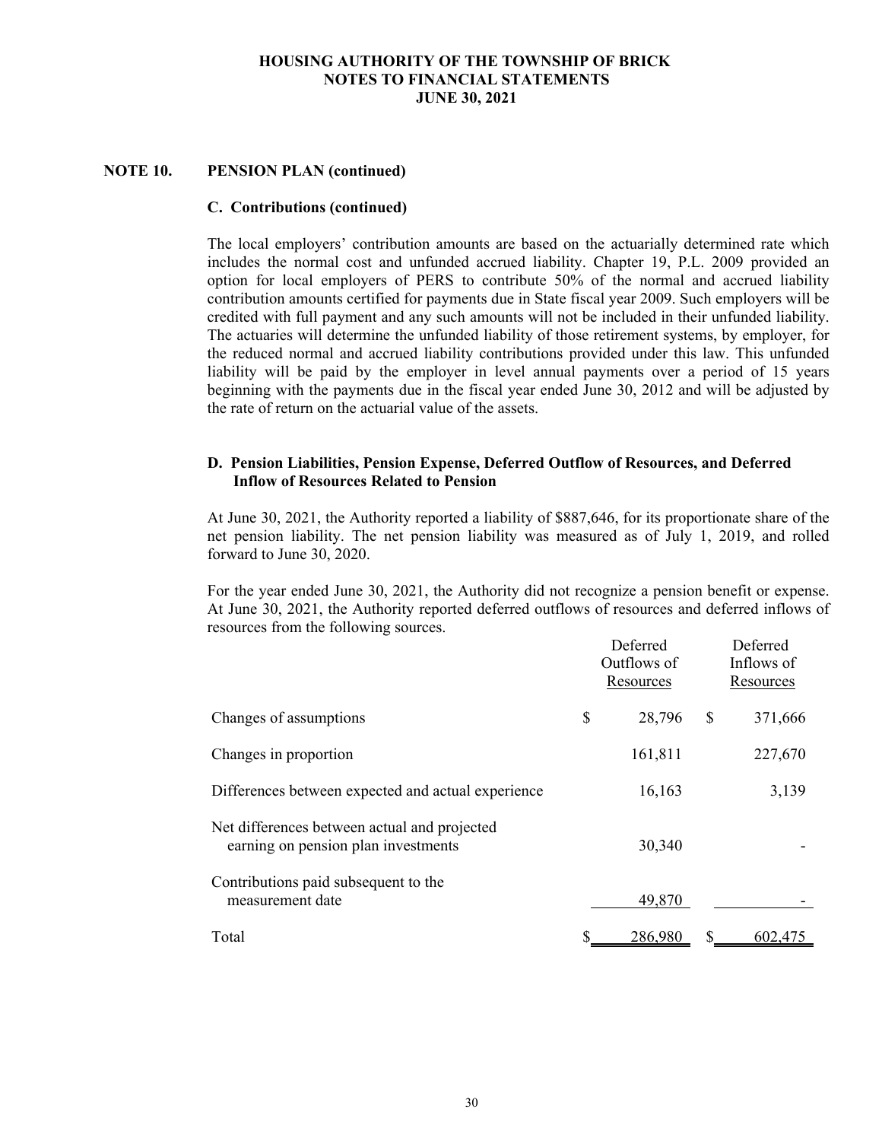## **NOTE 10. PENSION PLAN (continued)**

#### **C. Contributions (continued)**

The local employers' contribution amounts are based on the actuarially determined rate which includes the normal cost and unfunded accrued liability. Chapter 19, P.L. 2009 provided an option for local employers of PERS to contribute 50% of the normal and accrued liability contribution amounts certified for payments due in State fiscal year 2009. Such employers will be credited with full payment and any such amounts will not be included in their unfunded liability. The actuaries will determine the unfunded liability of those retirement systems, by employer, for the reduced normal and accrued liability contributions provided under this law. This unfunded liability will be paid by the employer in level annual payments over a period of 15 years beginning with the payments due in the fiscal year ended June 30, 2012 and will be adjusted by the rate of return on the actuarial value of the assets.

## **D. Pension Liabilities, Pension Expense, Deferred Outflow of Resources, and Deferred Inflow of Resources Related to Pension**

At June 30, 2021, the Authority reported a liability of \$887,646, for its proportionate share of the net pension liability. The net pension liability was measured as of July 1, 2019, and rolled forward to June 30, 2020.

For the year ended June 30, 2021, the Authority did not recognize a pension benefit or expense. At June 30, 2021, the Authority reported deferred outflows of resources and deferred inflows of resources from the following sources.

|                                                                                     |    | Deferred<br>Outflows of<br>Resources |    | Deferred<br>Inflows of<br>Resources |
|-------------------------------------------------------------------------------------|----|--------------------------------------|----|-------------------------------------|
| Changes of assumptions                                                              | \$ | 28,796                               | \$ | 371,666                             |
| Changes in proportion                                                               |    | 161,811                              |    | 227,670                             |
| Differences between expected and actual experience                                  |    | 16,163                               |    | 3,139                               |
| Net differences between actual and projected<br>earning on pension plan investments |    | 30,340                               |    |                                     |
| Contributions paid subsequent to the<br>measurement date                            |    | 49,870                               |    |                                     |
| Total                                                                               | S  | 286.980                              | S  | 602,475                             |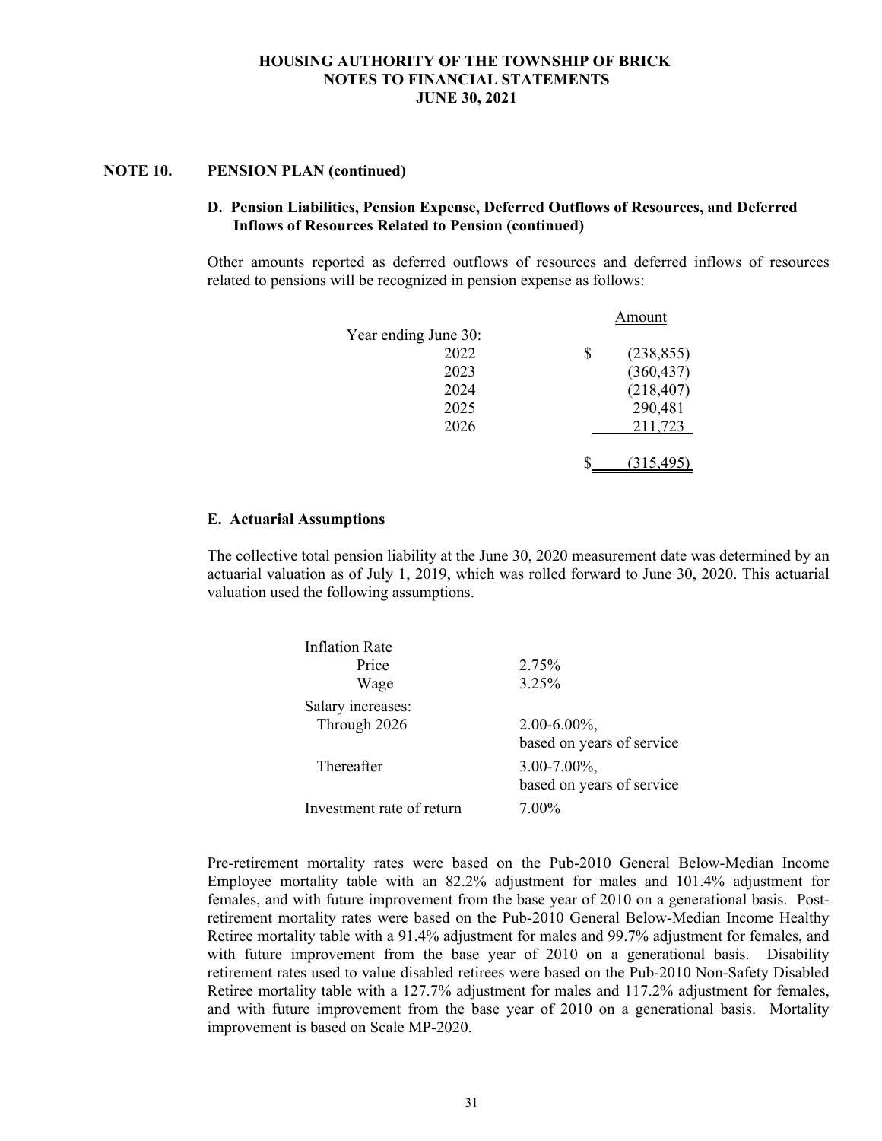#### **NOTE 10. PENSION PLAN (continued)**

## **D. Pension Liabilities, Pension Expense, Deferred Outflows of Resources, and Deferred Inflows of Resources Related to Pension (continued)**

Other amounts reported as deferred outflows of resources and deferred inflows of resources related to pensions will be recognized in pension expense as follows:

|                      |   | Amount     |
|----------------------|---|------------|
| Year ending June 30: |   |            |
| 2022                 | S | (238, 855) |
| 2023                 |   | (360, 437) |
| 2024                 |   | (218, 407) |
| 2025                 |   | 290,481    |
| 2026                 |   | 211,723    |
|                      |   |            |
|                      |   | (315, 495) |
|                      |   |            |

#### **E. Actuarial Assumptions**

The collective total pension liability at the June 30, 2020 measurement date was determined by an actuarial valuation as of July 1, 2019, which was rolled forward to June 30, 2020. This actuarial valuation used the following assumptions.

| <b>Inflation Rate</b>     |                                                |
|---------------------------|------------------------------------------------|
| Price                     | 2.75%                                          |
| Wage                      | 3.25%                                          |
| Salary increases:         |                                                |
| Through 2026              | $2.00 - 6.00\%$ ,<br>based on years of service |
| Thereafter                | $3.00 - 7.00\%$ ,<br>based on years of service |
| Investment rate of return | 7.00%                                          |

Pre-retirement mortality rates were based on the Pub-2010 General Below-Median Income Employee mortality table with an 82.2% adjustment for males and 101.4% adjustment for females, and with future improvement from the base year of 2010 on a generational basis. Postretirement mortality rates were based on the Pub-2010 General Below-Median Income Healthy Retiree mortality table with a 91.4% adjustment for males and 99.7% adjustment for females, and with future improvement from the base year of 2010 on a generational basis. Disability retirement rates used to value disabled retirees were based on the Pub-2010 Non-Safety Disabled Retiree mortality table with a 127.7% adjustment for males and 117.2% adjustment for females, and with future improvement from the base year of 2010 on a generational basis. Mortality improvement is based on Scale MP-2020.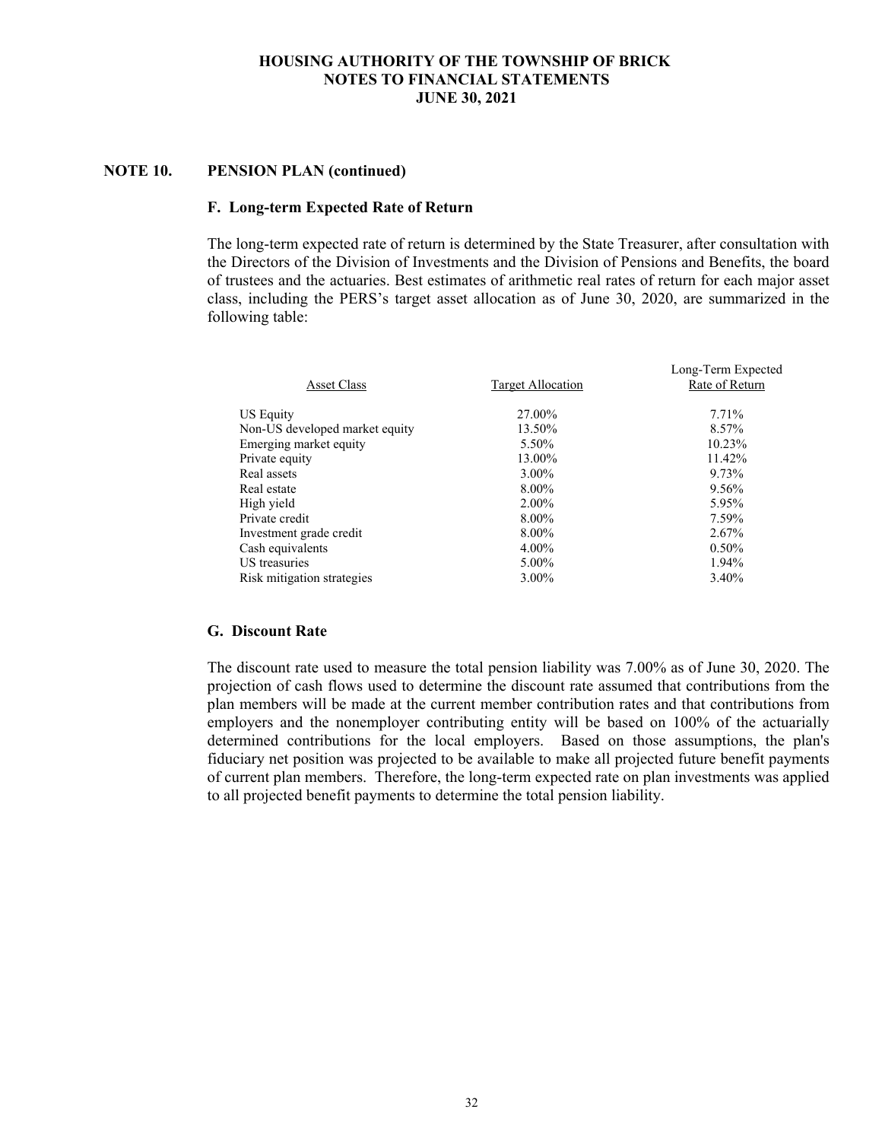## **NOTE 10. PENSION PLAN (continued)**

#### **F. Long-term Expected Rate of Return**

The long-term expected rate of return is determined by the State Treasurer, after consultation with the Directors of the Division of Investments and the Division of Pensions and Benefits, the board of trustees and the actuaries. Best estimates of arithmetic real rates of return for each major asset class, including the PERS's target asset allocation as of June 30, 2020, are summarized in the following table:

|          | Long-Term Expected<br>Rate of Return |
|----------|--------------------------------------|
|          |                                      |
| 27.00%   | 7.71%                                |
| 13.50%   | 8.57%                                |
| 5.50%    | 10.23%                               |
| 13.00%   | 11.42%                               |
| $3.00\%$ | 9.73%                                |
| 8.00%    | 9.56%                                |
| 2.00%    | 5.95%                                |
| 8.00%    | 7.59%                                |
| 8.00%    | 2.67%                                |
| $4.00\%$ | $0.50\%$                             |
| 5.00%    | 1.94%                                |
| 3.00%    | 3.40%                                |
|          | Target Allocation                    |

#### **G. Discount Rate**

The discount rate used to measure the total pension liability was 7.00% as of June 30, 2020. The projection of cash flows used to determine the discount rate assumed that contributions from the plan members will be made at the current member contribution rates and that contributions from employers and the nonemployer contributing entity will be based on 100% of the actuarially determined contributions for the local employers. Based on those assumptions, the plan's fiduciary net position was projected to be available to make all projected future benefit payments of current plan members. Therefore, the long-term expected rate on plan investments was applied to all projected benefit payments to determine the total pension liability.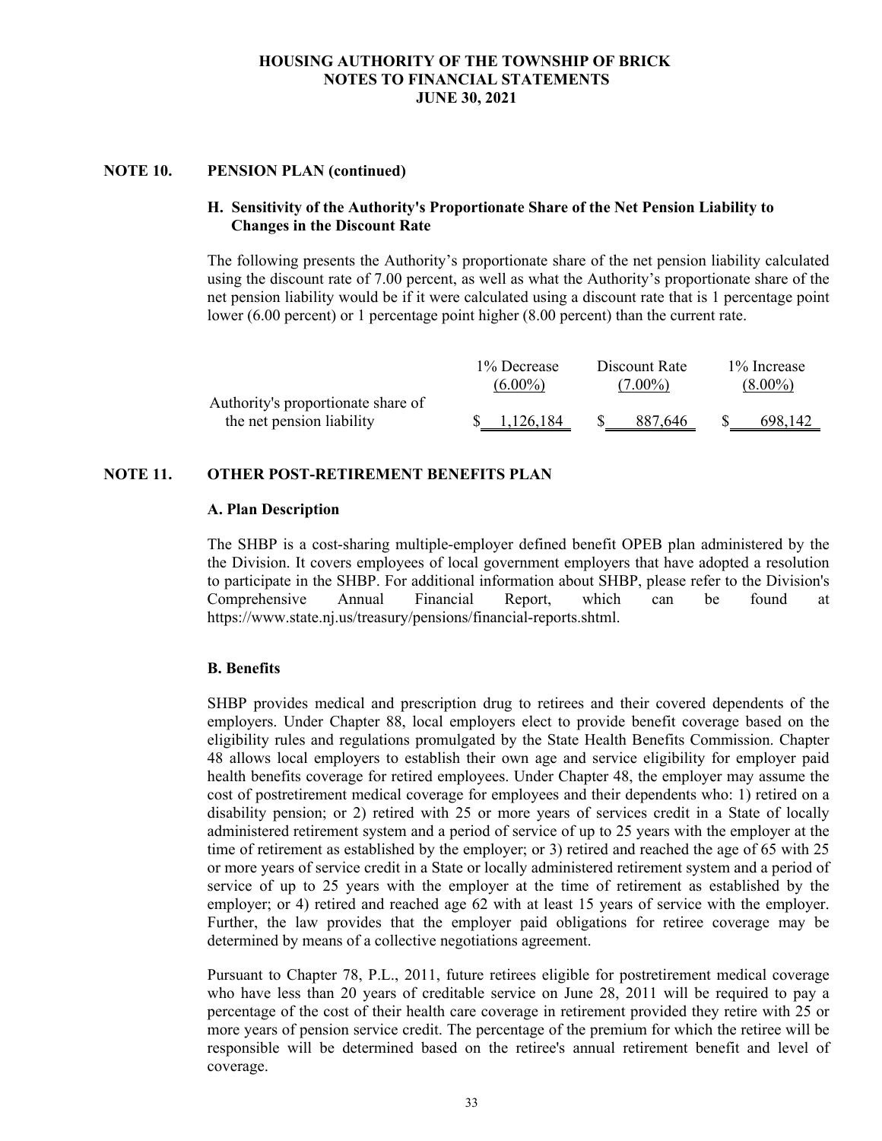#### **NOTE 10. PENSION PLAN (continued)**

# **H. Sensitivity of the Authority's Proportionate Share of the Net Pension Liability to Changes in the Discount Rate**

The following presents the Authority's proportionate share of the net pension liability calculated using the discount rate of 7.00 percent, as well as what the Authority's proportionate share of the net pension liability would be if it were calculated using a discount rate that is 1 percentage point lower (6.00 percent) or 1 percentage point higher (8.00 percent) than the current rate.

|                                                                 | 1% Decrease | Discount Rate | 1\% Increase |  |  |
|-----------------------------------------------------------------|-------------|---------------|--------------|--|--|
|                                                                 | $(6.00\%)$  | $(7.00\%)$    | $(8.00\%)$   |  |  |
| Authority's proportionate share of<br>the net pension liability | 1.126.184   | 887.646       | 698,142      |  |  |

## **NOTE 11. OTHER POST-RETIREMENT BENEFITS PLAN**

#### **A. Plan Description**

The SHBP is a cost-sharing multiple-employer defined benefit OPEB plan administered by the the Division. It covers employees of local government employers that have adopted a resolution to participate in the SHBP. For additional information about SHBP, please refer to the Division's Comprehensive Annual Financial Report, which can be found at https://www.state.nj.us/treasury/pensions/financial-reports.shtml.

## **B. Benefits**

SHBP provides medical and prescription drug to retirees and their covered dependents of the employers. Under Chapter 88, local employers elect to provide benefit coverage based on the eligibility rules and regulations promulgated by the State Health Benefits Commission. Chapter 48 allows local employers to establish their own age and service eligibility for employer paid health benefits coverage for retired employees. Under Chapter 48, the employer may assume the cost of postretirement medical coverage for employees and their dependents who: 1) retired on a disability pension; or 2) retired with 25 or more years of services credit in a State of locally administered retirement system and a period of service of up to 25 years with the employer at the time of retirement as established by the employer; or 3) retired and reached the age of 65 with 25 or more years of service credit in a State or locally administered retirement system and a period of service of up to 25 years with the employer at the time of retirement as established by the employer; or 4) retired and reached age 62 with at least 15 years of service with the employer. Further, the law provides that the employer paid obligations for retiree coverage may be determined by means of a collective negotiations agreement.

Pursuant to Chapter 78, P.L., 2011, future retirees eligible for postretirement medical coverage who have less than 20 years of creditable service on June 28, 2011 will be required to pay a percentage of the cost of their health care coverage in retirement provided they retire with 25 or more years of pension service credit. The percentage of the premium for which the retiree will be responsible will be determined based on the retiree's annual retirement benefit and level of coverage.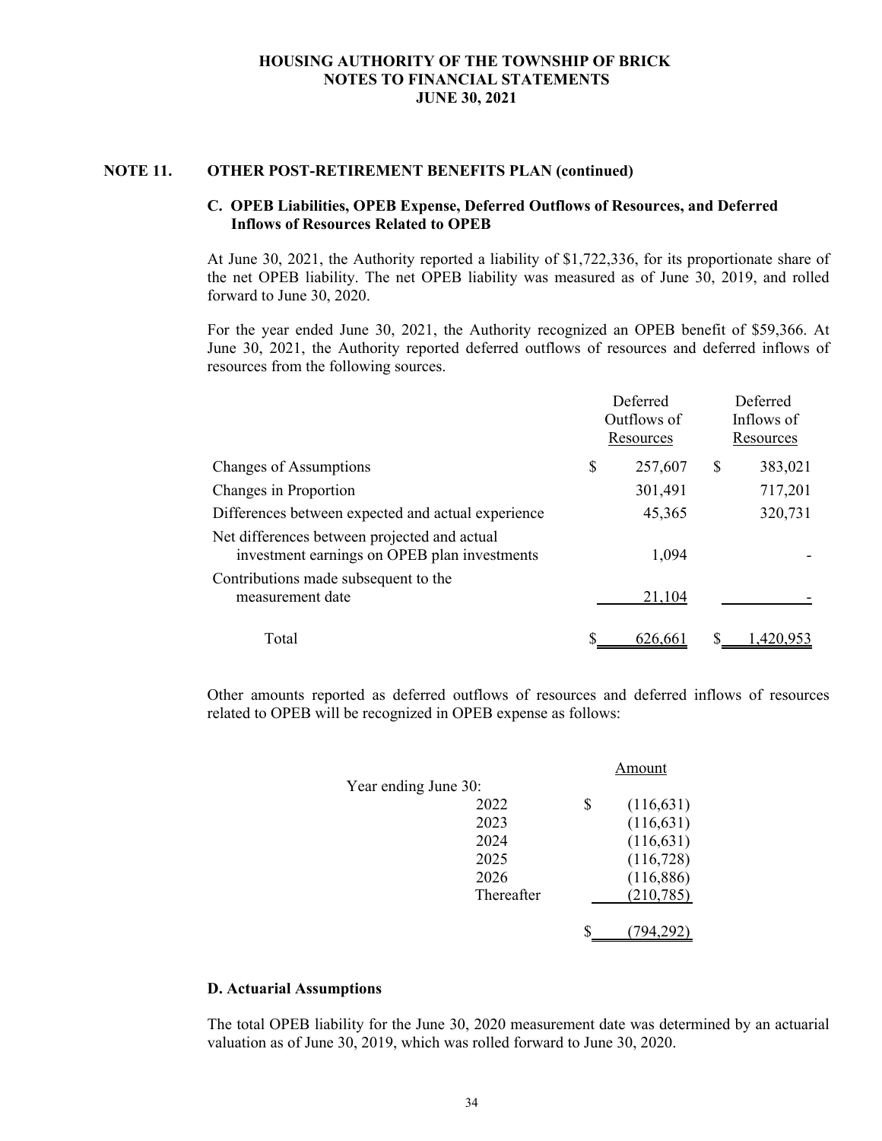#### **NOTE 11. OTHER POST-RETIREMENT BENEFITS PLAN (continued)**

## **C. OPEB Liabilities, OPEB Expense, Deferred Outflows of Resources, and Deferred Inflows of Resources Related to OPEB**

At June 30, 2021, the Authority reported a liability of \$1,722,336, for its proportionate share of the net OPEB liability. The net OPEB liability was measured as of June 30, 2019, and rolled forward to June 30, 2020.

For the year ended June 30, 2021, the Authority recognized an OPEB benefit of \$59,366. At June 30, 2021, the Authority reported deferred outflows of resources and deferred inflows of resources from the following sources.

|                                                                                              | Deferred<br>Outflows of<br>Resources | Deferred<br>Inflows of<br>Resources |  |  |
|----------------------------------------------------------------------------------------------|--------------------------------------|-------------------------------------|--|--|
| Changes of Assumptions                                                                       | \$<br>257,607                        | \$<br>383,021                       |  |  |
| Changes in Proportion                                                                        | 301,491                              | 717,201                             |  |  |
| Differences between expected and actual experience                                           | 45,365                               | 320,731                             |  |  |
| Net differences between projected and actual<br>investment earnings on OPEB plan investments | 1,094                                |                                     |  |  |
| Contributions made subsequent to the<br>measurement date                                     | 21,104                               |                                     |  |  |
| Total                                                                                        | 626,661                              | 1.420.953                           |  |  |

Other amounts reported as deferred outflows of resources and deferred inflows of resources related to OPEB will be recognized in OPEB expense as follows:

|                      | Amount           |
|----------------------|------------------|
| Year ending June 30: |                  |
| 2022                 | \$<br>(116, 631) |
| 2023                 | (116, 631)       |
| 2024                 | (116, 631)       |
| 2025                 | (116, 728)       |
| 2026                 | (116, 886)       |
| Thereafter           | (210, 785)       |
|                      | 94.292)          |

#### **D. Actuarial Assumptions**

The total OPEB liability for the June 30, 2020 measurement date was determined by an actuarial valuation as of June 30, 2019, which was rolled forward to June 30, 2020.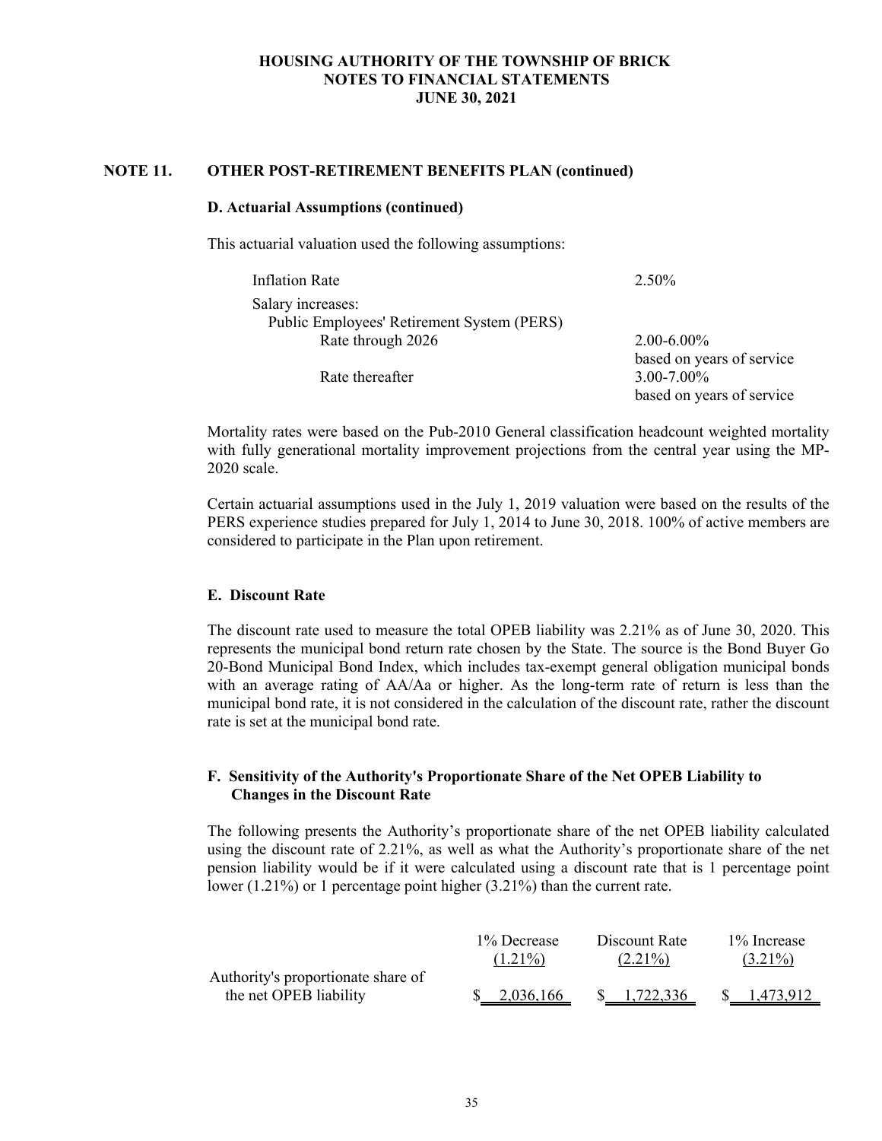## **NOTE 11. OTHER POST-RETIREMENT BENEFITS PLAN (continued)**

#### **D. Actuarial Assumptions (continued)**

This actuarial valuation used the following assumptions:

| Inflation Rate                             | 2.50%                     |
|--------------------------------------------|---------------------------|
| Salary increases:                          |                           |
| Public Employees' Retirement System (PERS) |                           |
| Rate through 2026                          | $2.00 - 6.00\%$           |
|                                            | based on years of service |
| Rate thereafter                            | $3.00 - 7.00\%$           |
|                                            | based on years of service |

Mortality rates were based on the Pub-2010 General classification headcount weighted mortality with fully generational mortality improvement projections from the central year using the MP-2020 scale.

Certain actuarial assumptions used in the July 1, 2019 valuation were based on the results of the PERS experience studies prepared for July 1, 2014 to June 30, 2018. 100% of active members are considered to participate in the Plan upon retirement.

#### **E. Discount Rate**

The discount rate used to measure the total OPEB liability was 2.21% as of June 30, 2020. This represents the municipal bond return rate chosen by the State. The source is the Bond Buyer Go 20-Bond Municipal Bond Index, which includes tax-exempt general obligation municipal bonds with an average rating of AA/Aa or higher. As the long-term rate of return is less than the municipal bond rate, it is not considered in the calculation of the discount rate, rather the discount rate is set at the municipal bond rate.

## **F. Sensitivity of the Authority's Proportionate Share of the Net OPEB Liability to Changes in the Discount Rate**

The following presents the Authority's proportionate share of the net OPEB liability calculated using the discount rate of 2.21%, as well as what the Authority's proportionate share of the net pension liability would be if it were calculated using a discount rate that is 1 percentage point lower (1.21%) or 1 percentage point higher (3.21%) than the current rate.

|                                                              | 1% Decrease | Discount Rate | 1% Increase |  |  |
|--------------------------------------------------------------|-------------|---------------|-------------|--|--|
|                                                              | $(1.21\%)$  | $(2.21\%)$    | $(3.21\%)$  |  |  |
| Authority's proportionate share of<br>the net OPEB liability | 2,036,166   | 1,722,336     | 1.473.912   |  |  |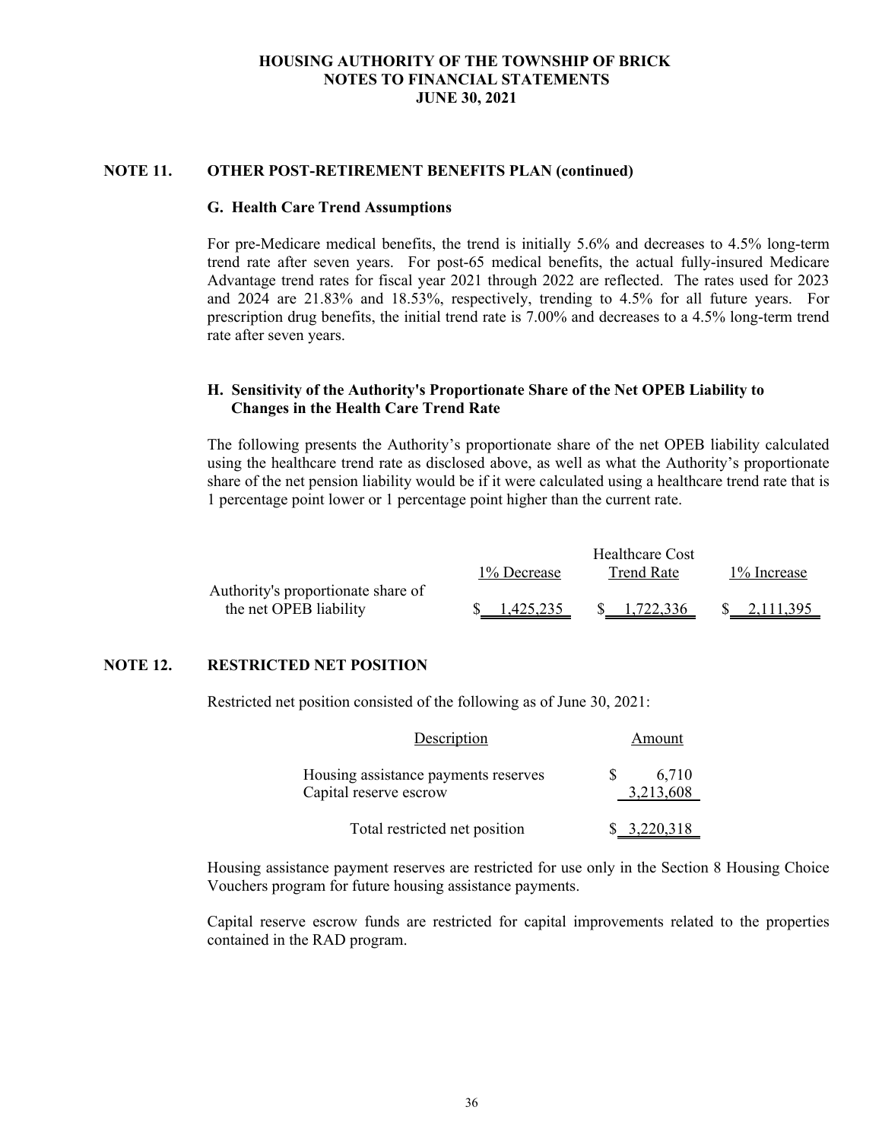## **NOTE 11. OTHER POST-RETIREMENT BENEFITS PLAN (continued)**

#### **G. Health Care Trend Assumptions**

For pre-Medicare medical benefits, the trend is initially 5.6% and decreases to 4.5% long-term trend rate after seven years. For post-65 medical benefits, the actual fully-insured Medicare Advantage trend rates for fiscal year 2021 through 2022 are reflected. The rates used for 2023 and 2024 are 21.83% and 18.53%, respectively, trending to 4.5% for all future years. For prescription drug benefits, the initial trend rate is 7.00% and decreases to a 4.5% long-term trend rate after seven years.

## **H. Sensitivity of the Authority's Proportionate Share of the Net OPEB Liability to Changes in the Health Care Trend Rate**

The following presents the Authority's proportionate share of the net OPEB liability calculated using the healthcare trend rate as disclosed above, as well as what the Authority's proportionate share of the net pension liability would be if it were calculated using a healthcare trend rate that is 1 percentage point lower or 1 percentage point higher than the current rate.

|                                    | Healthcare Cost |            |             |  |  |  |  |
|------------------------------------|-----------------|------------|-------------|--|--|--|--|
|                                    | 1% Decrease     | Trend Rate | 1% Increase |  |  |  |  |
| Authority's proportionate share of |                 |            |             |  |  |  |  |
| the net OPEB liability             | 1.425.235       | 1,722,336  | 2,111,395   |  |  |  |  |

## **NOTE 12. RESTRICTED NET POSITION**

Restricted net position consisted of the following as of June 30, 2021:

| Description                                                    | Amount             |
|----------------------------------------------------------------|--------------------|
| Housing assistance payments reserves<br>Capital reserve escrow | 6,710<br>3,213,608 |
| Total restricted net position                                  | \$3,220,318        |

Housing assistance payment reserves are restricted for use only in the Section 8 Housing Choice Vouchers program for future housing assistance payments.

Capital reserve escrow funds are restricted for capital improvements related to the properties contained in the RAD program.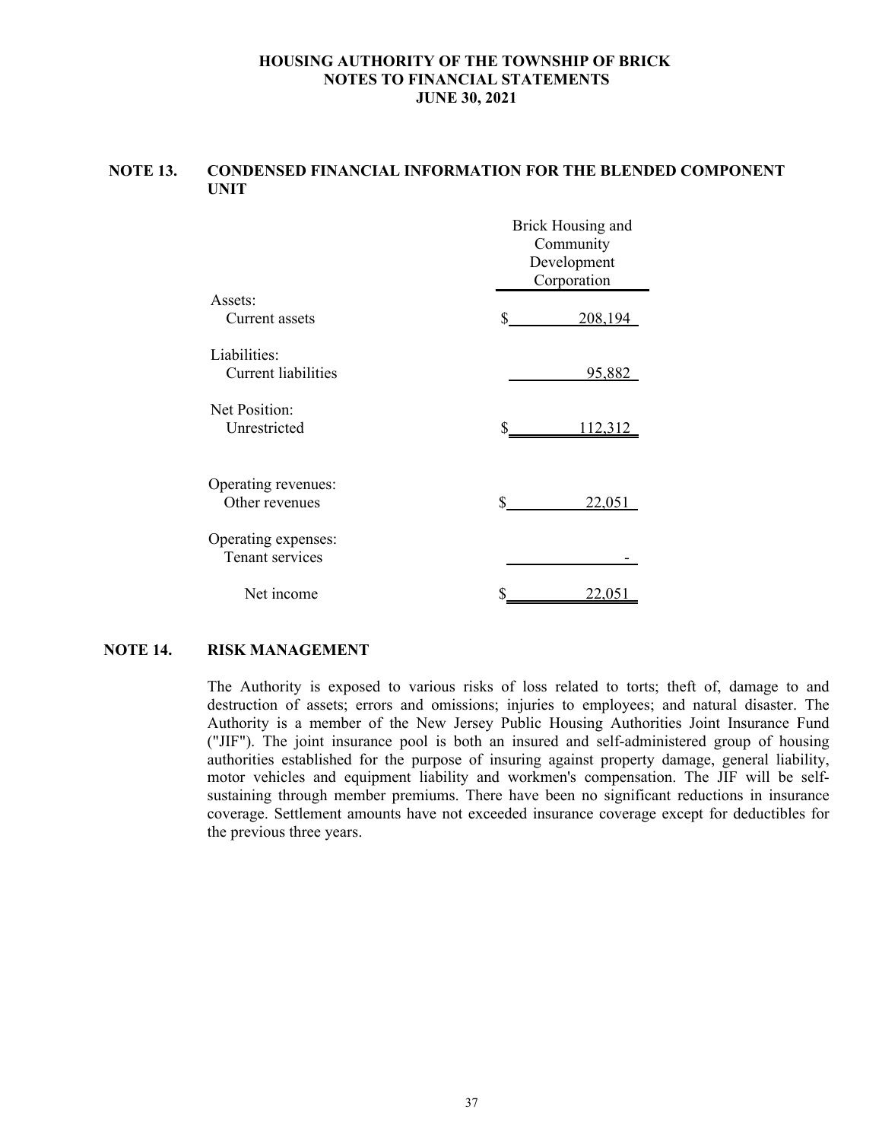# **NOTE 13. CONDENSED FINANCIAL INFORMATION FOR THE BLENDED COMPONENT UNIT**

|                            | Brick Housing and<br>Community<br>Development<br>Corporation |         |  |  |  |  |
|----------------------------|--------------------------------------------------------------|---------|--|--|--|--|
| Assets:                    |                                                              |         |  |  |  |  |
| Current assets             | \$                                                           | 208,194 |  |  |  |  |
| Liabilities:               |                                                              |         |  |  |  |  |
| <b>Current liabilities</b> |                                                              | 95,882  |  |  |  |  |
| Net Position:              |                                                              |         |  |  |  |  |
| Unrestricted               | \$                                                           | 112,312 |  |  |  |  |
|                            |                                                              |         |  |  |  |  |
| Operating revenues:        |                                                              |         |  |  |  |  |
| Other revenues             | \$                                                           | 22,051  |  |  |  |  |
| Operating expenses:        |                                                              |         |  |  |  |  |
| Tenant services            |                                                              |         |  |  |  |  |
| Net income                 |                                                              | 22,051  |  |  |  |  |

#### **NOTE 14. RISK MANAGEMENT**

The Authority is exposed to various risks of loss related to torts; theft of, damage to and destruction of assets; errors and omissions; injuries to employees; and natural disaster. The Authority is a member of the New Jersey Public Housing Authorities Joint Insurance Fund ("JIF"). The joint insurance pool is both an insured and self-administered group of housing authorities established for the purpose of insuring against property damage, general liability, motor vehicles and equipment liability and workmen's compensation. The JIF will be selfsustaining through member premiums. There have been no significant reductions in insurance coverage. Settlement amounts have not exceeded insurance coverage except for deductibles for the previous three years.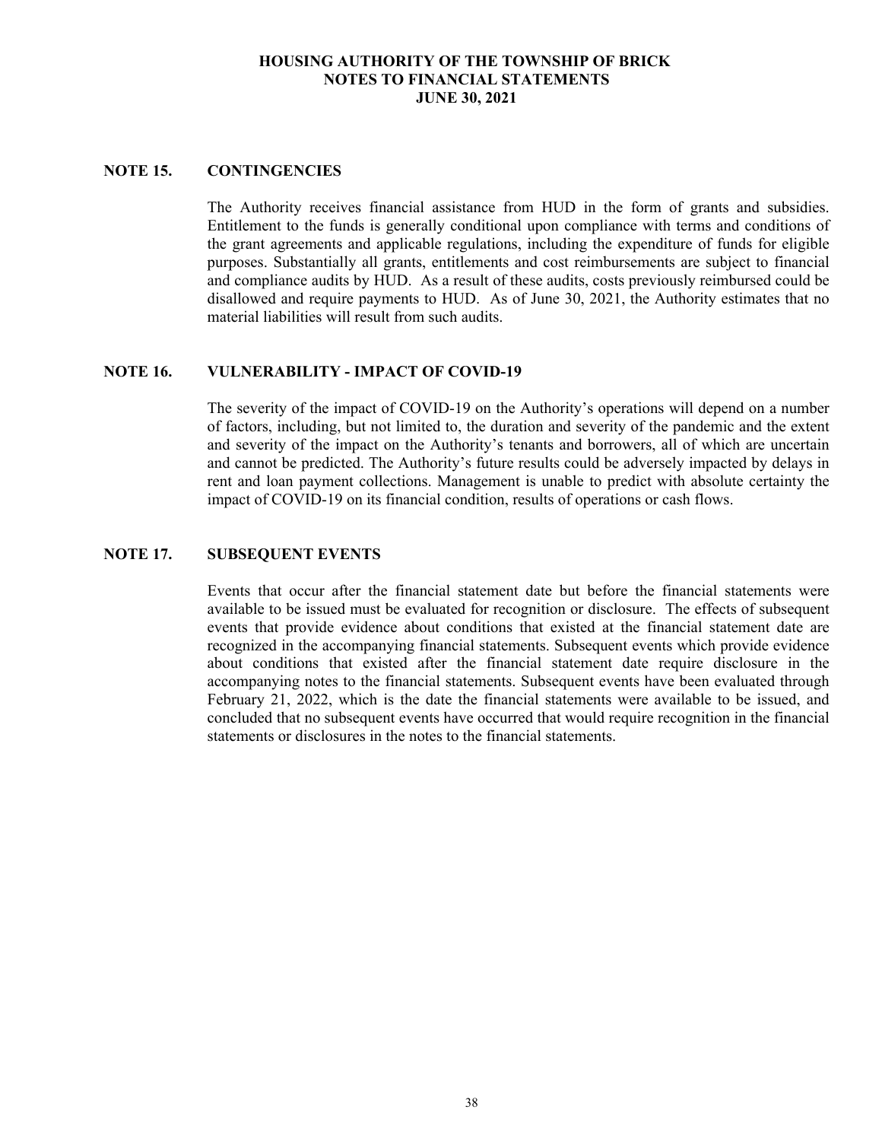# **NOTE 15. CONTINGENCIES**

The Authority receives financial assistance from HUD in the form of grants and subsidies. Entitlement to the funds is generally conditional upon compliance with terms and conditions of the grant agreements and applicable regulations, including the expenditure of funds for eligible purposes. Substantially all grants, entitlements and cost reimbursements are subject to financial and compliance audits by HUD. As a result of these audits, costs previously reimbursed could be disallowed and require payments to HUD. As of June 30, 2021, the Authority estimates that no material liabilities will result from such audits.

## **NOTE 16. VULNERABILITY - IMPACT OF COVID-19**

The severity of the impact of COVID-19 on the Authority's operations will depend on a number of factors, including, but not limited to, the duration and severity of the pandemic and the extent and severity of the impact on the Authority's tenants and borrowers, all of which are uncertain and cannot be predicted. The Authority's future results could be adversely impacted by delays in rent and loan payment collections. Management is unable to predict with absolute certainty the impact of COVID-19 on its financial condition, results of operations or cash flows.

# **NOTE 17. SUBSEQUENT EVENTS**

Events that occur after the financial statement date but before the financial statements were available to be issued must be evaluated for recognition or disclosure. The effects of subsequent events that provide evidence about conditions that existed at the financial statement date are recognized in the accompanying financial statements. Subsequent events which provide evidence about conditions that existed after the financial statement date require disclosure in the accompanying notes to the financial statements. Subsequent events have been evaluated through February 21, 2022, which is the date the financial statements were available to be issued, and concluded that no subsequent events have occurred that would require recognition in the financial statements or disclosures in the notes to the financial statements.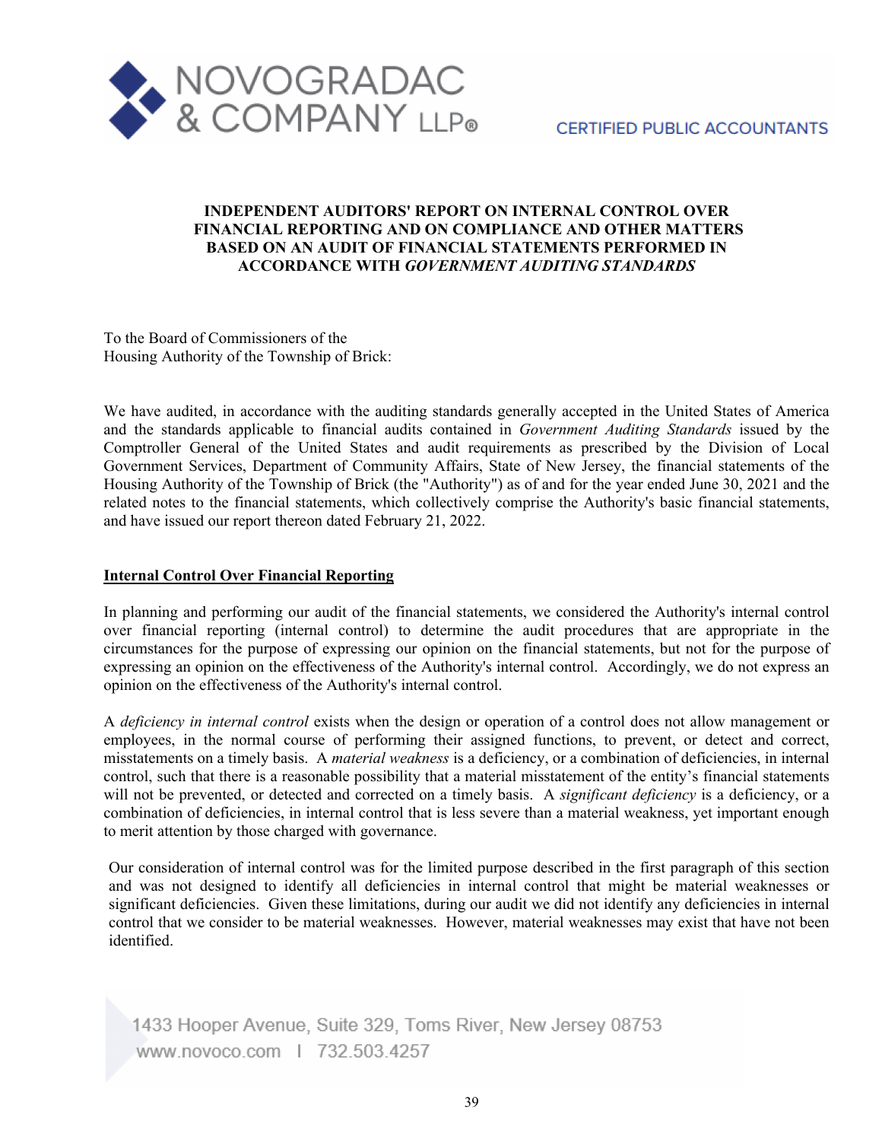

# **CERTIFIED PUBLIC ACCOUNTANTS**

# **INDEPENDENT AUDITORS' REPORT ON INTERNAL CONTROL OVER FINANCIAL REPORTING AND ON COMPLIANCE AND OTHER MATTERS BASED ON AN AUDIT OF FINANCIAL STATEMENTS PERFORMED IN ACCORDANCE WITH** *GOVERNMENT AUDITING STANDARDS*

To the Board of Commissioners of the Housing Authority of the Township of Brick:

We have audited, in accordance with the auditing standards generally accepted in the United States of America and the standards applicable to financial audits contained in *Government Auditing Standards* issued by the Comptroller General of the United States and audit requirements as prescribed by the Division of Local Government Services, Department of Community Affairs, State of New Jersey, the financial statements of the Housing Authority of the Township of Brick (the "Authority") as of and for the year ended June 30, 2021 and the related notes to the financial statements, which collectively comprise the Authority's basic financial statements, and have issued our report thereon dated February 21, 2022.

#### **Internal Control Over Financial Reporting**

In planning and performing our audit of the financial statements, we considered the Authority's internal control over financial reporting (internal control) to determine the audit procedures that are appropriate in the circumstances for the purpose of expressing our opinion on the financial statements, but not for the purpose of expressing an opinion on the effectiveness of the Authority's internal control. Accordingly, we do not express an opinion on the effectiveness of the Authority's internal control.

A *deficiency in internal control* exists when the design or operation of a control does not allow management or employees, in the normal course of performing their assigned functions, to prevent, or detect and correct, misstatements on a timely basis. A *material weakness* is a deficiency, or a combination of deficiencies, in internal control, such that there is a reasonable possibility that a material misstatement of the entity's financial statements will not be prevented, or detected and corrected on a timely basis. A *significant deficiency* is a deficiency, or a combination of deficiencies, in internal control that is less severe than a material weakness, yet important enough to merit attention by those charged with governance.

Our consideration of internal control was for the limited purpose described in the first paragraph of this section and was not designed to identify all deficiencies in internal control that might be material weaknesses or significant deficiencies. Given these limitations, during our audit we did not identify any deficiencies in internal control that we consider to be material weaknesses. However, material weaknesses may exist that have not been identified.

1433 Hooper Avenue, Suite 329, Toms River, New Jersey 08753 www.novoco.com | 732.503.4257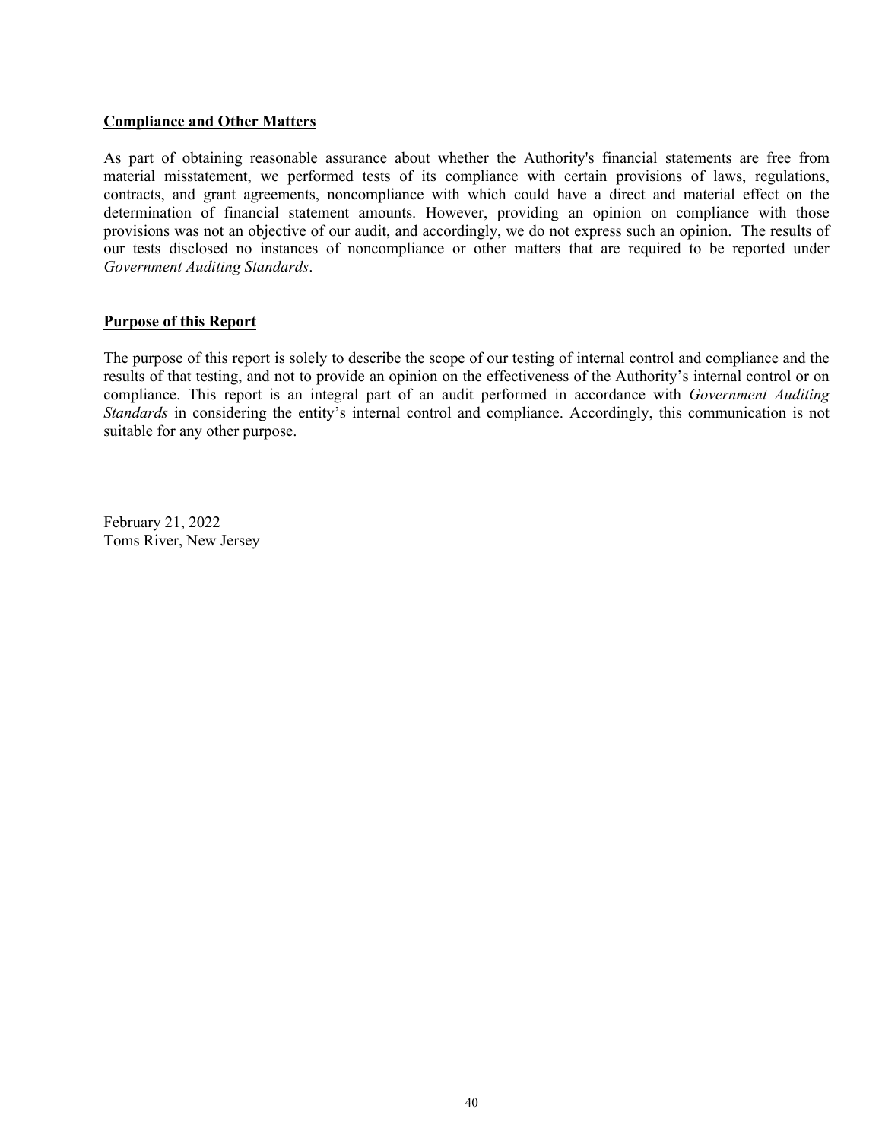#### **Compliance and Other Matters**

As part of obtaining reasonable assurance about whether the Authority's financial statements are free from material misstatement, we performed tests of its compliance with certain provisions of laws, regulations, contracts, and grant agreements, noncompliance with which could have a direct and material effect on the determination of financial statement amounts. However, providing an opinion on compliance with those provisions was not an objective of our audit, and accordingly, we do not express such an opinion. The results of our tests disclosed no instances of noncompliance or other matters that are required to be reported under *Government Auditing Standards*.

#### **Purpose of this Report**

The purpose of this report is solely to describe the scope of our testing of internal control and compliance and the results of that testing, and not to provide an opinion on the effectiveness of the Authority's internal control or on compliance. This report is an integral part of an audit performed in accordance with *Government Auditing Standards* in considering the entity's internal control and compliance. Accordingly, this communication is not suitable for any other purpose.

February 21, 2022 Toms River, New Jersey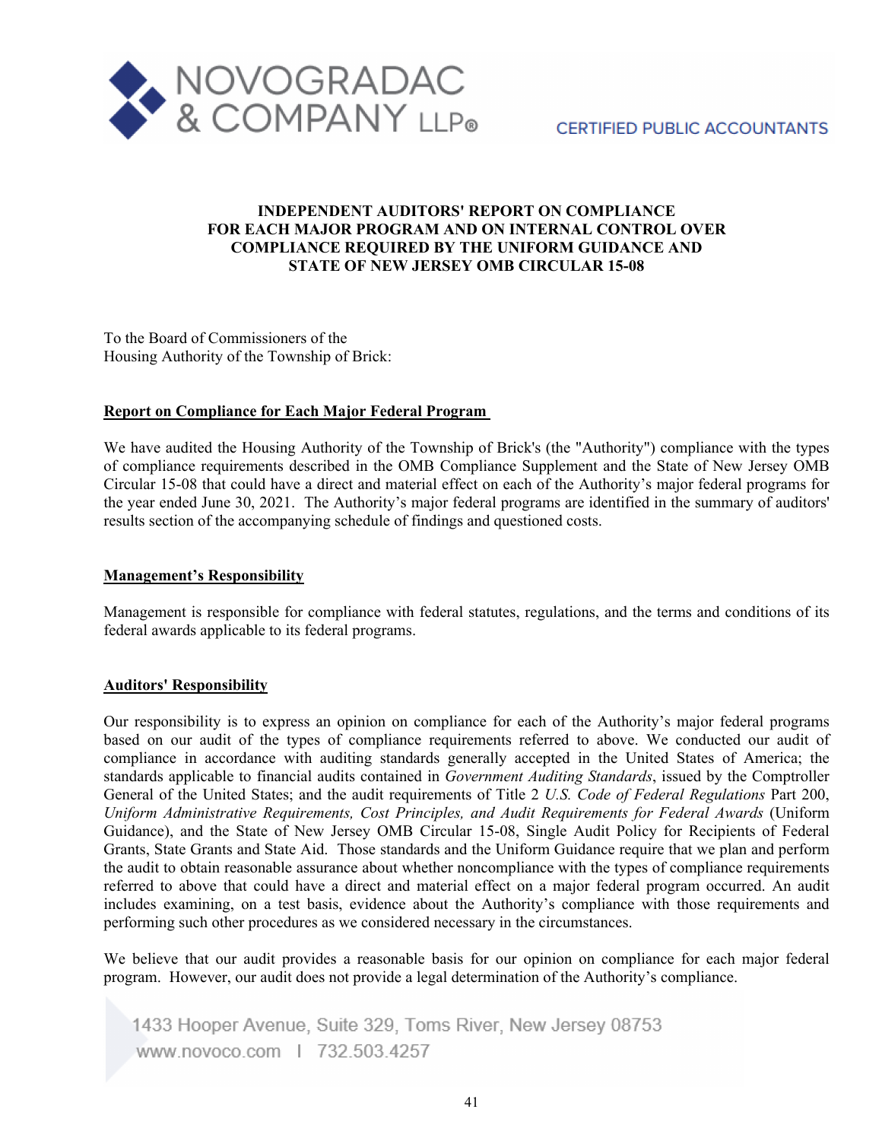

# **INDEPENDENT AUDITORS' REPORT ON COMPLIANCE FOR EACH MAJOR PROGRAM AND ON INTERNAL CONTROL OVER COMPLIANCE REQUIRED BY THE UNIFORM GUIDANCE AND STATE OF NEW JERSEY OMB CIRCULAR 15-08**

To the Board of Commissioners of the Housing Authority of the Township of Brick:

# **Report on Compliance for Each Major Federal Program**

We have audited the Housing Authority of the Township of Brick's (the "Authority") compliance with the types of compliance requirements described in the OMB Compliance Supplement and the State of New Jersey OMB Circular 15-08 that could have a direct and material effect on each of the Authority's major federal programs for the year ended June 30, 2021. The Authority's major federal programs are identified in the summary of auditors' results section of the accompanying schedule of findings and questioned costs.

## **Management's Responsibility**

Management is responsible for compliance with federal statutes, regulations, and the terms and conditions of its federal awards applicable to its federal programs.

## **Auditors' Responsibility**

Our responsibility is to express an opinion on compliance for each of the Authority's major federal programs based on our audit of the types of compliance requirements referred to above. We conducted our audit of compliance in accordance with auditing standards generally accepted in the United States of America; the standards applicable to financial audits contained in *Government Auditing Standards*, issued by the Comptroller General of the United States; and the audit requirements of Title 2 *U.S. Code of Federal Regulations* Part 200, *Uniform Administrative Requirements, Cost Principles, and Audit Requirements for Federal Awards* (Uniform Guidance), and the State of New Jersey OMB Circular 15-08, Single Audit Policy for Recipients of Federal Grants, State Grants and State Aid. Those standards and the Uniform Guidance require that we plan and perform the audit to obtain reasonable assurance about whether noncompliance with the types of compliance requirements referred to above that could have a direct and material effect on a major federal program occurred. An audit includes examining, on a test basis, evidence about the Authority's compliance with those requirements and performing such other procedures as we considered necessary in the circumstances.

We believe that our audit provides a reasonable basis for our opinion on compliance for each major federal program. However, our audit does not provide a legal determination of the Authority's compliance.

1433 Hooper Avenue, Suite 329, Toms River, New Jersey 08753 www.novoco.com | 732.503.4257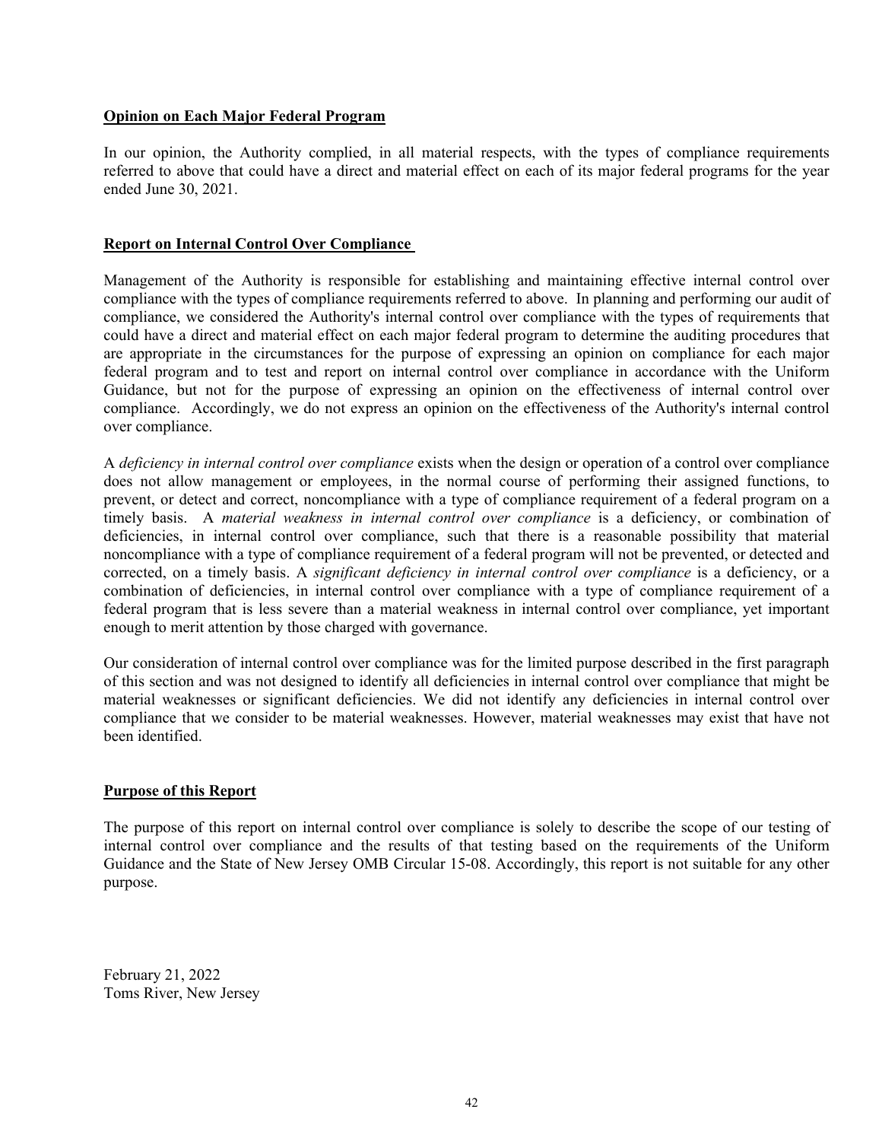### **Opinion on Each Major Federal Program**

In our opinion, the Authority complied, in all material respects, with the types of compliance requirements referred to above that could have a direct and material effect on each of its major federal programs for the year ended June 30, 2021.

#### **Report on Internal Control Over Compliance**

Management of the Authority is responsible for establishing and maintaining effective internal control over compliance with the types of compliance requirements referred to above. In planning and performing our audit of compliance, we considered the Authority's internal control over compliance with the types of requirements that could have a direct and material effect on each major federal program to determine the auditing procedures that are appropriate in the circumstances for the purpose of expressing an opinion on compliance for each major federal program and to test and report on internal control over compliance in accordance with the Uniform Guidance, but not for the purpose of expressing an opinion on the effectiveness of internal control over compliance. Accordingly, we do not express an opinion on the effectiveness of the Authority's internal control over compliance.

A *deficiency in internal control over compliance* exists when the design or operation of a control over compliance does not allow management or employees, in the normal course of performing their assigned functions, to prevent, or detect and correct, noncompliance with a type of compliance requirement of a federal program on a timely basis. A *material weakness in internal control over compliance* is a deficiency, or combination of deficiencies, in internal control over compliance, such that there is a reasonable possibility that material noncompliance with a type of compliance requirement of a federal program will not be prevented, or detected and corrected, on a timely basis. A *significant deficiency in internal control over compliance* is a deficiency, or a combination of deficiencies, in internal control over compliance with a type of compliance requirement of a federal program that is less severe than a material weakness in internal control over compliance, yet important enough to merit attention by those charged with governance.

Our consideration of internal control over compliance was for the limited purpose described in the first paragraph of this section and was not designed to identify all deficiencies in internal control over compliance that might be material weaknesses or significant deficiencies. We did not identify any deficiencies in internal control over compliance that we consider to be material weaknesses. However, material weaknesses may exist that have not been identified.

## **Purpose of this Report**

The purpose of this report on internal control over compliance is solely to describe the scope of our testing of internal control over compliance and the results of that testing based on the requirements of the Uniform Guidance and the State of New Jersey OMB Circular 15-08. Accordingly, this report is not suitable for any other purpose.

February 21, 2022 Toms River, New Jersey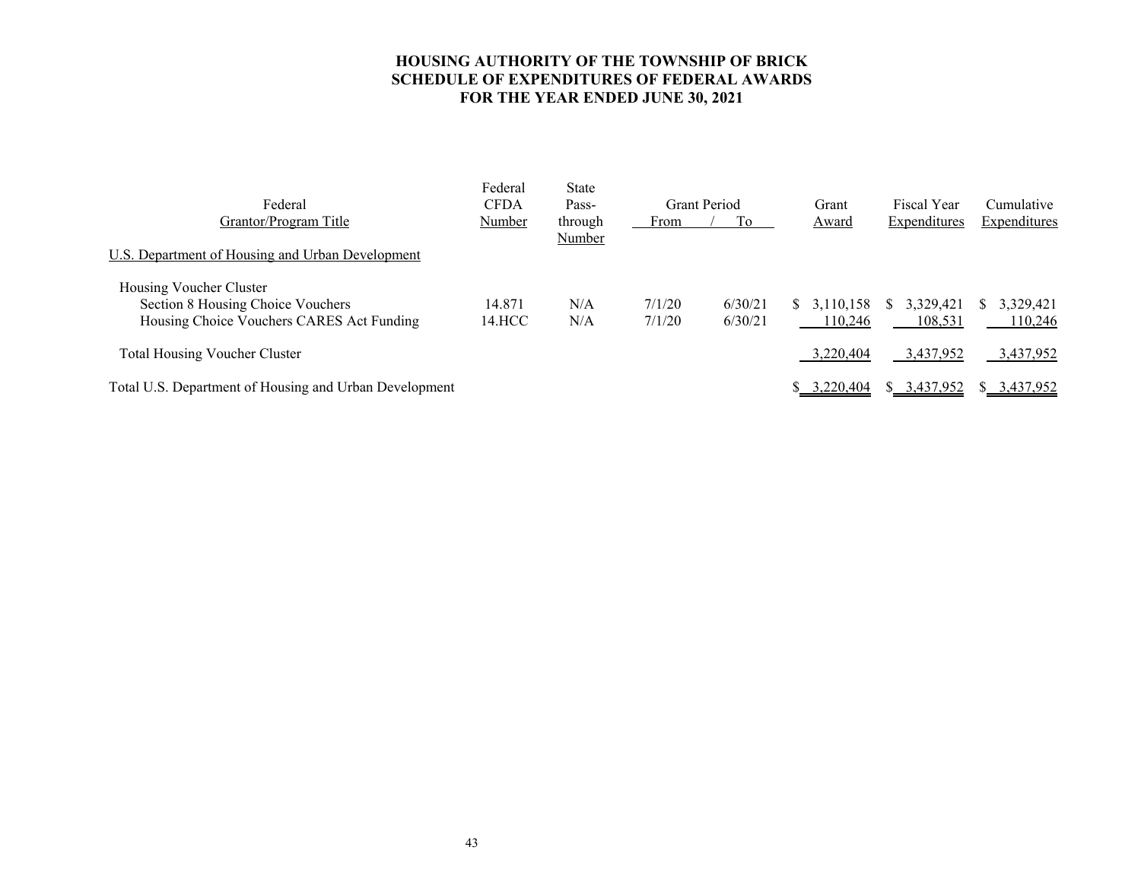# **HOUSING AUTHORITY OF THE TOWNSHIP OF BRICK SCHEDULE OF EXPENDITURES OF FEDERAL AWARDS FOR THE YEAR ENDED JUNE 30, 2021**

| Federal<br>Grantor/Program Title<br>U.S. Department of Housing and Urban Development                      | Federal<br><b>CFDA</b><br>Number | <b>State</b><br>Pass-<br>through<br>Number | From             | <b>Grant Period</b><br>Tо | Grant<br>Award             | <b>Fiscal Year</b><br>Expenditures | Cumulative<br><b>Expenditures</b> |
|-----------------------------------------------------------------------------------------------------------|----------------------------------|--------------------------------------------|------------------|---------------------------|----------------------------|------------------------------------|-----------------------------------|
| Housing Voucher Cluster<br>Section 8 Housing Choice Vouchers<br>Housing Choice Vouchers CARES Act Funding | 14.871<br>14.HCC                 | N/A<br>N/A                                 | 7/1/20<br>7/1/20 | 6/30/21<br>6/30/21        | 3.110.158<br>S.<br>110,246 | 3,329,421<br>S<br>108,531          | 3,329,421<br>110,246              |
| <b>Total Housing Voucher Cluster</b>                                                                      |                                  |                                            |                  |                           | 3,220,404                  | 3,437,952                          | 3,437,952                         |
| Total U.S. Department of Housing and Urban Development                                                    |                                  |                                            |                  |                           | 3,220,404                  | \$3,437,952                        | \$ 3,437,952                      |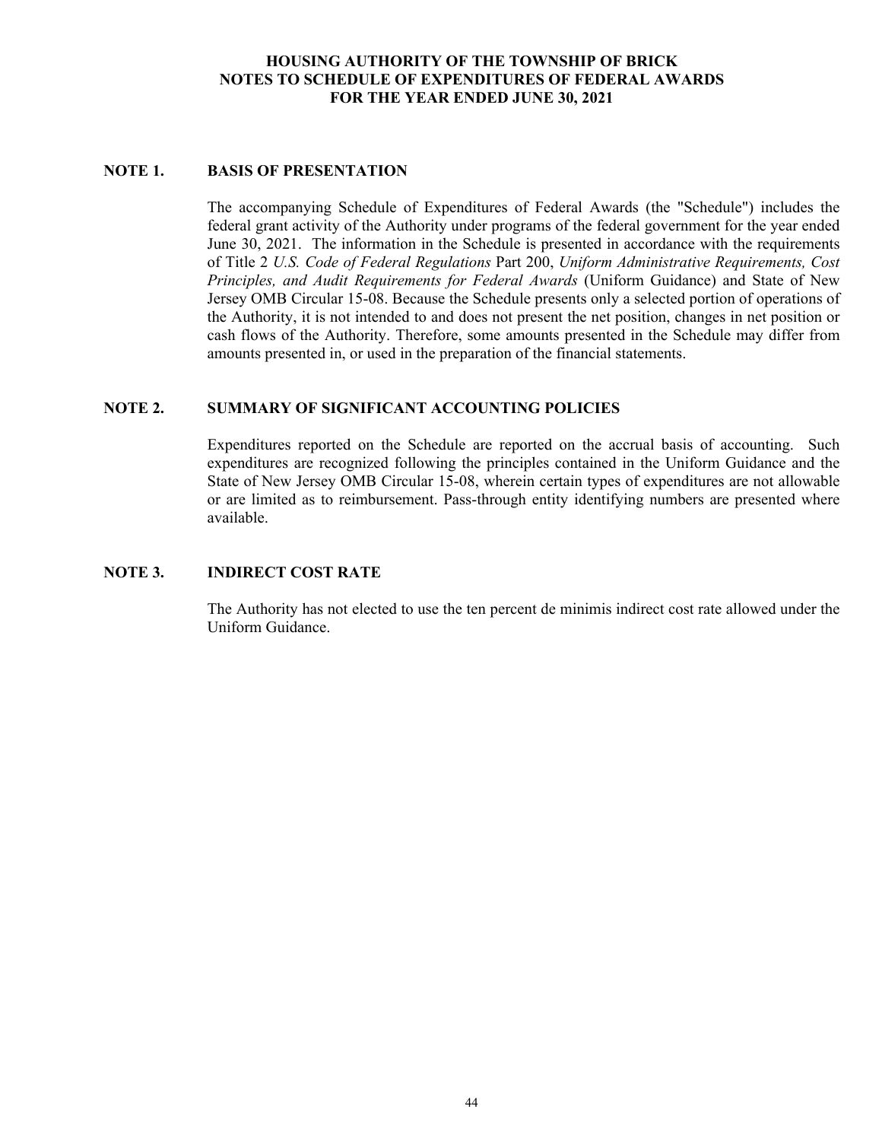# **HOUSING AUTHORITY OF THE TOWNSHIP OF BRICK NOTES TO SCHEDULE OF EXPENDITURES OF FEDERAL AWARDS FOR THE YEAR ENDED JUNE 30, 2021**

# **NOTE 1. BASIS OF PRESENTATION**

The accompanying Schedule of Expenditures of Federal Awards (the "Schedule") includes the federal grant activity of the Authority under programs of the federal government for the year ended June 30, 2021. The information in the Schedule is presented in accordance with the requirements of Title 2 *U.S. Code of Federal Regulations* Part 200, *Uniform Administrative Requirements, Cost Principles, and Audit Requirements for Federal Awards* (Uniform Guidance) and State of New Jersey OMB Circular 15-08. Because the Schedule presents only a selected portion of operations of the Authority, it is not intended to and does not present the net position, changes in net position or cash flows of the Authority. Therefore, some amounts presented in the Schedule may differ from amounts presented in, or used in the preparation of the financial statements.

# **NOTE 2. SUMMARY OF SIGNIFICANT ACCOUNTING POLICIES**

Expenditures reported on the Schedule are reported on the accrual basis of accounting. Such expenditures are recognized following the principles contained in the Uniform Guidance and the State of New Jersey OMB Circular 15-08, wherein certain types of expenditures are not allowable or are limited as to reimbursement. Pass-through entity identifying numbers are presented where available.

# **NOTE 3. INDIRECT COST RATE**

The Authority has not elected to use the ten percent de minimis indirect cost rate allowed under the Uniform Guidance.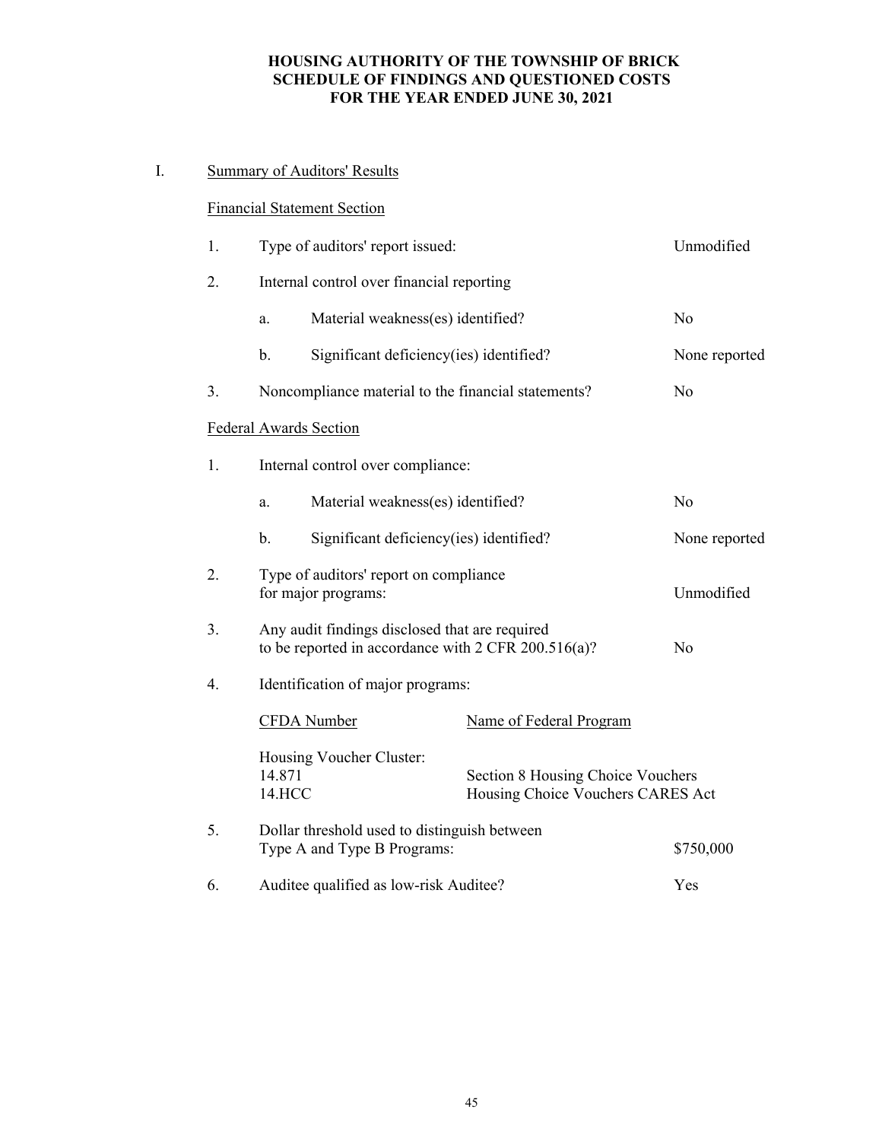# **HOUSING AUTHORITY OF THE TOWNSHIP OF BRICK SCHEDULE OF FINDINGS AND QUESTIONED COSTS FOR THE YEAR ENDED JUNE 30, 2021**

# I. Summary of Auditors' Results

# Financial Statement Section

| 1. | Type of auditors' report issued: | Unmodified                                                                                                 |                                                                        |                |
|----|----------------------------------|------------------------------------------------------------------------------------------------------------|------------------------------------------------------------------------|----------------|
| 2. |                                  | Internal control over financial reporting                                                                  |                                                                        |                |
|    | a.                               | Material weakness(es) identified?                                                                          |                                                                        | N <sub>o</sub> |
|    | b.                               | Significant deficiency(ies) identified?                                                                    |                                                                        | None reported  |
| 3. |                                  | Noncompliance material to the financial statements?                                                        |                                                                        | No             |
|    |                                  | <b>Federal Awards Section</b>                                                                              |                                                                        |                |
| 1. |                                  | Internal control over compliance:                                                                          |                                                                        |                |
|    | a.                               | Material weakness(es) identified?                                                                          |                                                                        | N <sub>o</sub> |
|    | b.                               | Significant deficiency(ies) identified?                                                                    |                                                                        | None reported  |
| 2. | for major programs:              | Type of auditors' report on compliance                                                                     | Unmodified                                                             |                |
| 3. |                                  | Any audit findings disclosed that are required<br>to be reported in accordance with $2$ CFR $200.516(a)$ ? |                                                                        | N <sub>o</sub> |
| 4. |                                  | Identification of major programs:                                                                          |                                                                        |                |
|    |                                  | CFDA Number                                                                                                | Name of Federal Program                                                |                |
|    | 14.871<br>14.HCC                 | Housing Voucher Cluster:                                                                                   | Section 8 Housing Choice Vouchers<br>Housing Choice Vouchers CARES Act |                |
| 5. |                                  | Dollar threshold used to distinguish between<br>Type A and Type B Programs:                                |                                                                        | \$750,000      |
| 6. |                                  | Auditee qualified as low-risk Auditee?                                                                     |                                                                        | Yes            |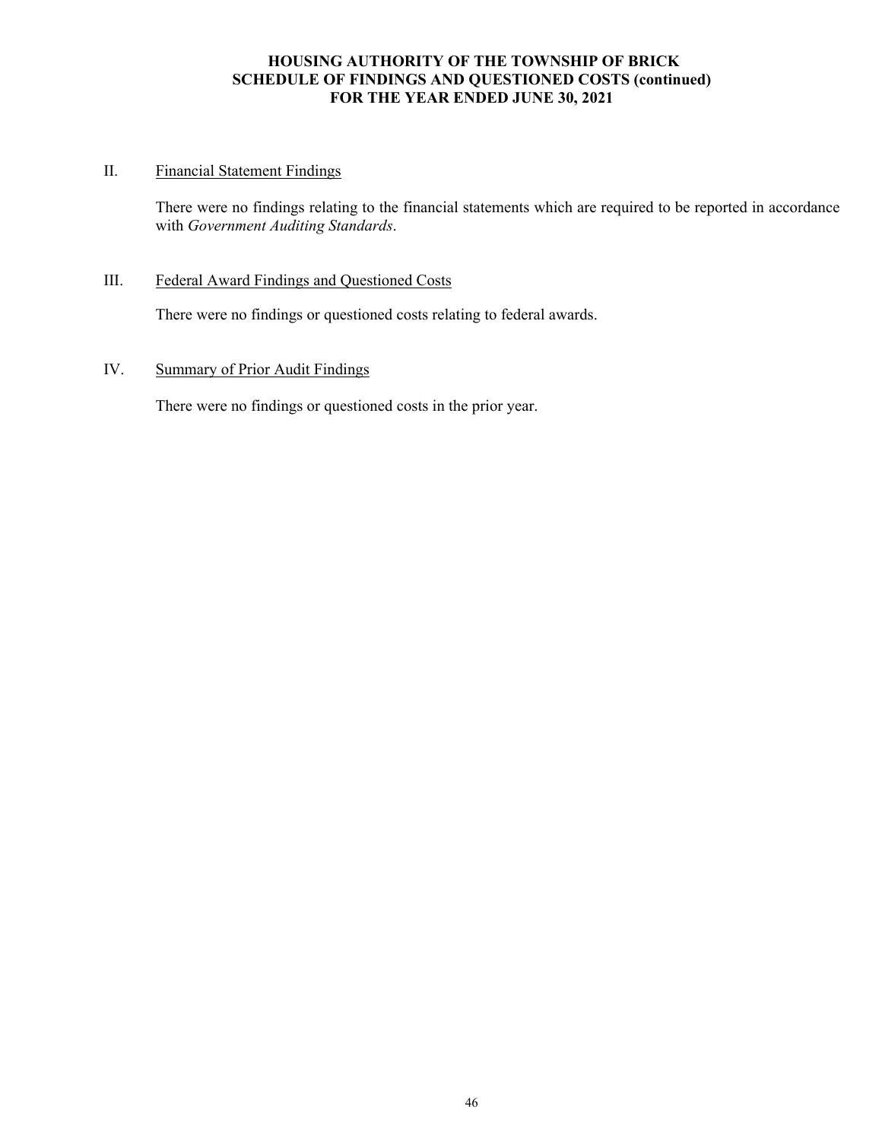# **HOUSING AUTHORITY OF THE TOWNSHIP OF BRICK SCHEDULE OF FINDINGS AND QUESTIONED COSTS (continued) FOR THE YEAR ENDED JUNE 30, 2021**

# II. Financial Statement Findings

There were no findings relating to the financial statements which are required to be reported in accordance with *Government Auditing Standards*.

## III. Federal Award Findings and Questioned Costs

There were no findings or questioned costs relating to federal awards.

# IV. Summary of Prior Audit Findings

There were no findings or questioned costs in the prior year.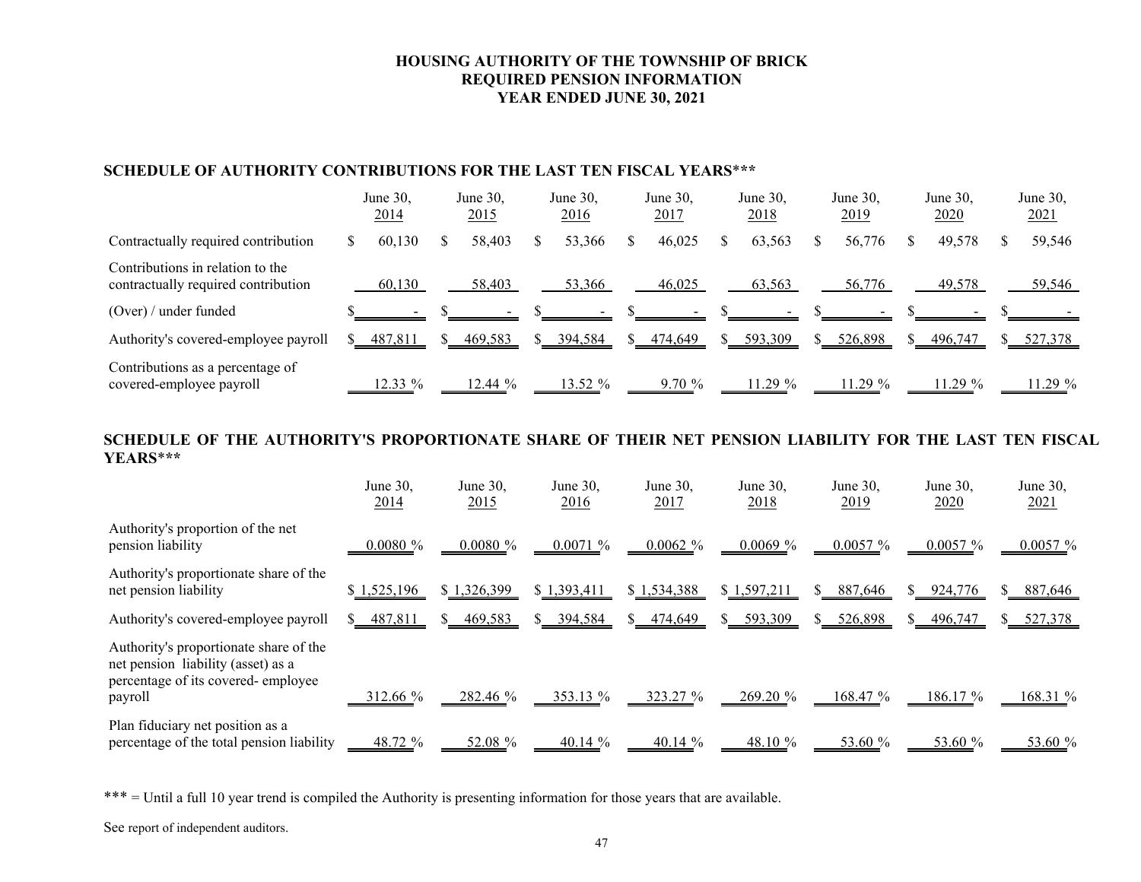# **HOUSING AUTHORITY OF THE TOWNSHIP OF BRICK REQUIRED PENSION INFORMATION YEAR ENDED JUNE 30, 2021**

# **SCHEDULE OF AUTHORITY CONTRIBUTIONS FOR THE LAST TEN FISCAL YEARS**\***\*\***

|                                                                         | June 30,<br>2014 | June 30,<br>2015 | June 30,<br>2016 | June $30$ ,<br><u>2017</u> | June $30$ ,<br><u>2018</u> | June $30$ ,<br><u>2019</u> | June 30,<br><u>2020</u> | June 30,<br>2021 |
|-------------------------------------------------------------------------|------------------|------------------|------------------|----------------------------|----------------------------|----------------------------|-------------------------|------------------|
| Contractually required contribution                                     | 60.130           | 58,403           | 53,366           | 46,025                     | 63,563                     | 56,776                     | 49,578                  | 59,546           |
| Contributions in relation to the<br>contractually required contribution | 60,130           | 58,403           | 53,366           | 46,025                     | 63,563                     | 56,776                     | 49,578                  | 59,546           |
| $(Over) /$ under funded                                                 |                  |                  |                  |                            |                            |                            |                         |                  |
| Authority's covered-employee payroll                                    | 487,811          | 469,583          | 394,584          | 474,649                    | 593,309                    | 526,898                    | 496,747                 | 527,378          |
| Contributions as a percentage of<br>covered-employee payroll            | 12.33 %          | $12.44\%$        | 13.52 %          | 9.70%                      | 11.29 %                    | 11.29 %                    | 11.29 %                 | 11.29%           |

#### **SCHEDULE OF THE AUTHORITY'S PROPORTIONATE SHARE OF THEIR NET PENSION LIABILITY FOR THE LAST TEN FISCAL YEARS**\***\*\***

|                                                                                                                               | June 30,<br><u>2014</u> | June 30,<br><u>2015</u> | June 30,<br><u>2016</u> | June 30,<br>2017 | June $30$ ,<br><u>2018</u> | June 30,<br><u>2019</u> | June 30,<br>2020 | June 30,<br>2021 |
|-------------------------------------------------------------------------------------------------------------------------------|-------------------------|-------------------------|-------------------------|------------------|----------------------------|-------------------------|------------------|------------------|
| Authority's proportion of the net<br>pension liability                                                                        | $0.0080 \%$             | $0.0080 \%$             | 0.0071%                 | 0.0062%          | 0.0069%                    | $0.0057 \%$             | $0.0057 \%$      | $0.0057 \%$      |
| Authority's proportionate share of the<br>net pension liability                                                               | \$1,525,196             | \$1,326,399             | \$1,393,411             | \$1,534,388      | \$1,597,211                | 887,646                 | 924,776          | 887,646<br>S.    |
| Authority's covered-employee payroll                                                                                          | 487,811                 | 469,583                 | 394,584                 | 474,649          | 593,309                    | 526,898                 | 496,747          | 527,378          |
| Authority's proportionate share of the<br>net pension liability (asset) as a<br>percentage of its covered-employee<br>payroll | 312.66 %                | 282.46 %                | 353.13 %                | 323.27 %         | 269.20%                    | 168.47 %                | 186.17 %         | 168.31 %         |
| Plan fiduciary net position as a<br>percentage of the total pension liability                                                 | 48.72 %                 | 52.08 %                 | 40.14 $%$               | 40.14 %          | 48.10 %                    | 53.60 %                 | $53.60\%$        | 53.60 %          |

\*\*\* = Until a full 10 year trend is compiled the Authority is presenting information for those years that are available.

See report of independent auditors.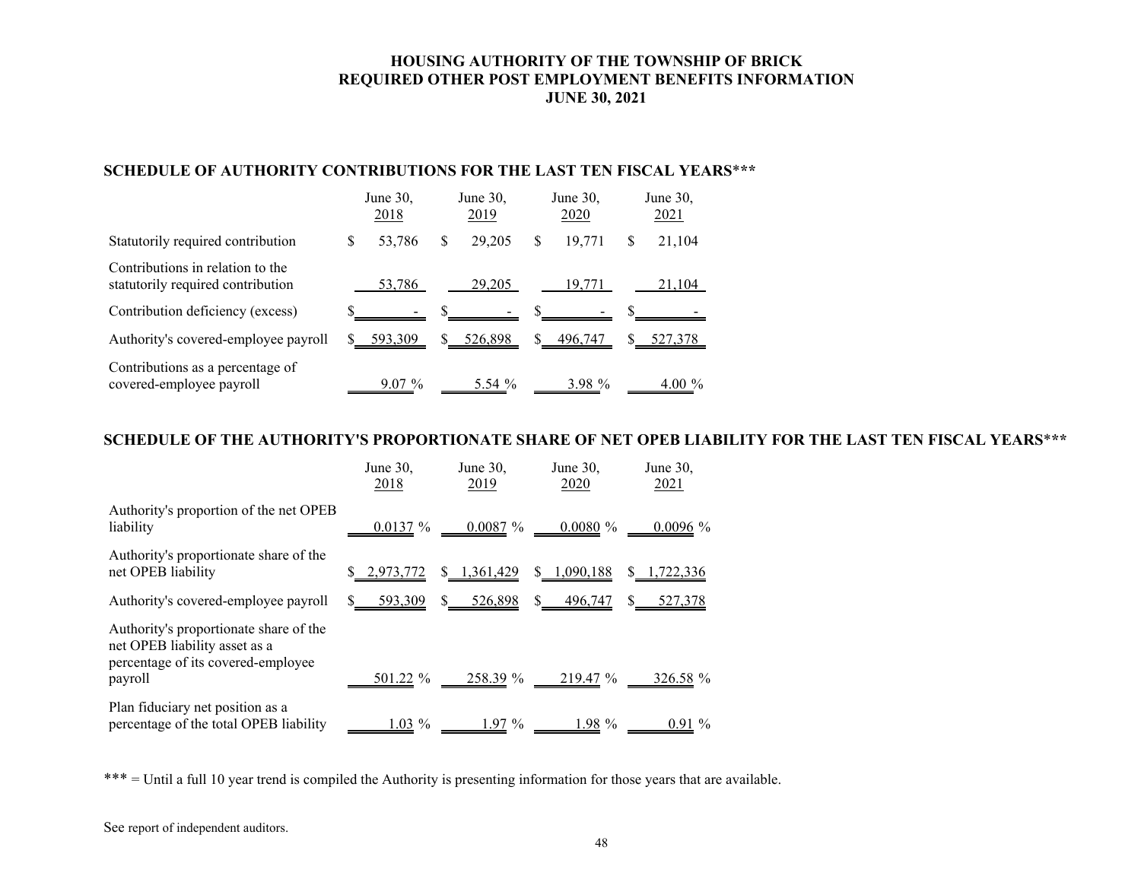# **HOUSING AUTHORITY OF THE TOWNSHIP OF BRICK REQUIRED OTHER POST EMPLOYMENT BENEFITS INFORMATION JUNE 30, 2021**

# **SCHEDULE OF AUTHORITY CONTRIBUTIONS FOR THE LAST TEN FISCAL YEARS**\***\*\***

|                                                                       | June 30,<br>2018 |          | June 30,<br>2019 |          | June 30,<br>2020 |          |   | June 30,<br>2021 |  |
|-----------------------------------------------------------------------|------------------|----------|------------------|----------|------------------|----------|---|------------------|--|
| Statutorily required contribution                                     | S                | 53,786   | S.               | 29,205   | S                | 19.771   | S | 21,104           |  |
| Contributions in relation to the<br>statutorily required contribution |                  | 53,786   |                  | 29,205   |                  | 19.771   |   | 21,104           |  |
| Contribution deficiency (excess)                                      |                  |          |                  |          |                  |          |   |                  |  |
| Authority's covered-employee payroll                                  |                  | 593,309  |                  | 526,898  |                  | 496,747  |   | 527,378          |  |
| Contributions as a percentage of<br>covered-employee payroll          |                  | $9.07\%$ |                  | 5.54 $%$ |                  | 3.98 $%$ |   | 4.00 $\%$        |  |

# **SCHEDULE OF THE AUTHORITY'S PROPORTIONATE SHARE OF NET OPEB LIABILITY FOR THE LAST TEN FISCAL YEARS**\***\*\***

|                                                                                                               | June 30,<br>2018 | June $30$ ,<br>2019 | June 30,<br>2020 | June $30$ ,<br>2021 |
|---------------------------------------------------------------------------------------------------------------|------------------|---------------------|------------------|---------------------|
| Authority's proportion of the net OPEB<br>liability                                                           | 0.0137%          | 0.0087%             | 0.0080%          | $0.0096\%$          |
| Authority's proportionate share of the<br>net OPEB liability                                                  | 2,973,772        | 1,361,429           | 1,090,188        | 1,722,336           |
| Authority's covered-employee payroll                                                                          | 593,309          | 526,898             | 496,747          | 527,378             |
| Authority's proportionate share of the<br>net OPEB liability asset as a<br>percentage of its covered-employee |                  |                     |                  |                     |
| payroll                                                                                                       | 501.22 %         | 258.39 %            | 219.47 %         | 326.58 %            |
| Plan fiduciary net position as a<br>percentage of the total OPEB liability                                    | $1.03\%$         | 1.97 %              | 1.98 %           | $0.91\%$            |

\*\*\* = Until a full 10 year trend is compiled the Authority is presenting information for those years that are available.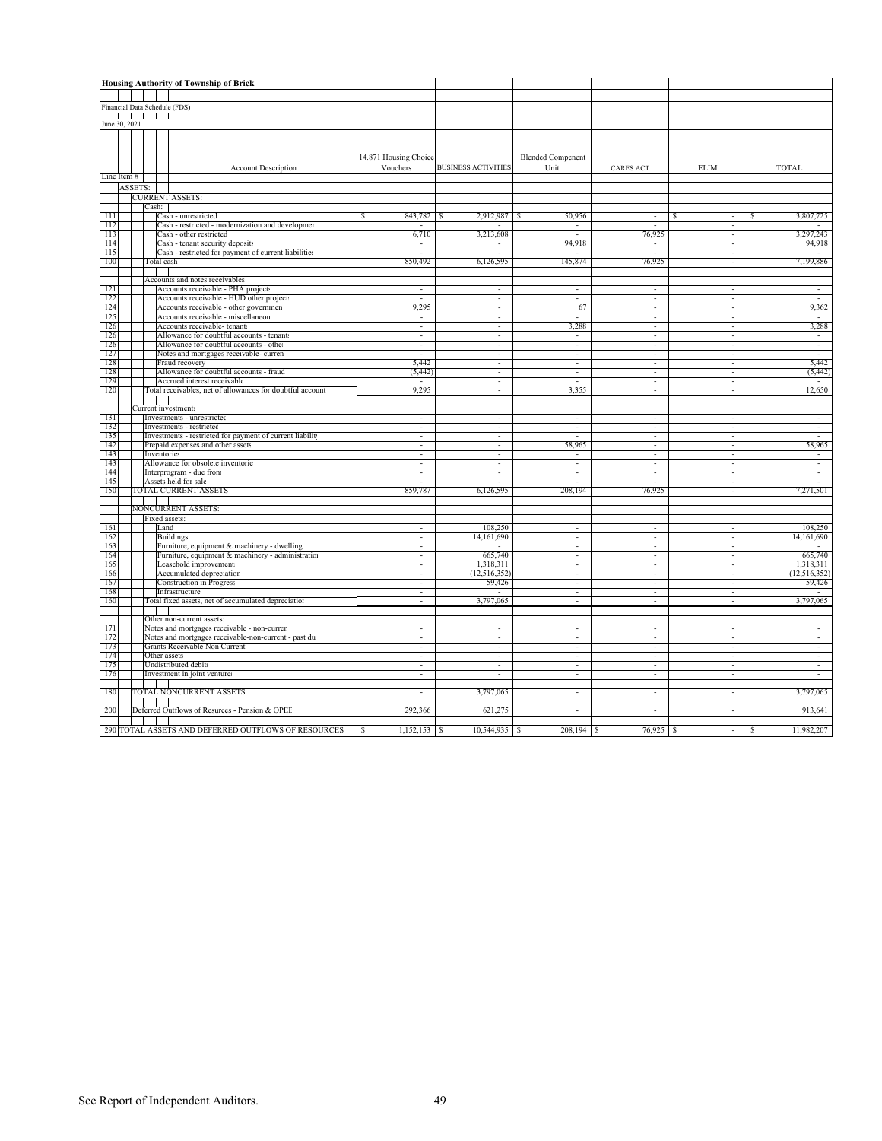|               |         |  |               | <b>Housing Authority of Township of Brick</b>                                            |                                   |                            |                                  |                          |                                                      |                          |
|---------------|---------|--|---------------|------------------------------------------------------------------------------------------|-----------------------------------|----------------------------|----------------------------------|--------------------------|------------------------------------------------------|--------------------------|
|               |         |  |               |                                                                                          |                                   |                            |                                  |                          |                                                      |                          |
|               |         |  |               | Financial Data Schedule (FDS)                                                            |                                   |                            |                                  |                          |                                                      |                          |
|               |         |  |               |                                                                                          |                                   |                            |                                  |                          |                                                      |                          |
| June 30, 2021 |         |  |               |                                                                                          |                                   |                            |                                  |                          |                                                      |                          |
|               |         |  |               | <b>Account Description</b>                                                               | 14.871 Housing Choice<br>Vouchers | <b>BUSINESS ACTIVITIES</b> | <b>Blended Compenent</b><br>Unit | <b>CARES ACT</b>         | <b>ELIM</b>                                          | <b>TOTAL</b>             |
| Line Item $#$ |         |  |               |                                                                                          |                                   |                            |                                  |                          |                                                      |                          |
|               | ASSETS: |  |               |                                                                                          |                                   |                            |                                  |                          |                                                      |                          |
|               |         |  | Cash:         | <b>CURRENT ASSETS:</b>                                                                   |                                   |                            |                                  |                          |                                                      |                          |
| 111           |         |  |               | Cash - unrestricted                                                                      | 843,782<br>s                      | 2,912,987<br>S             | 50,956<br>-8                     |                          |                                                      | 3,807,725                |
| 112           |         |  |               | Cash - restricted - modernization and developmer                                         |                                   |                            | $\sim$                           |                          | $\sim$                                               |                          |
| 113           |         |  |               | Cash - other restricted                                                                  | 6,710                             | 3,213,608                  | $\sim$                           | 76,925                   | $\sim$                                               | 3,297,243                |
| 114           |         |  |               | Cash - tenant security deposits                                                          | $\sim$                            | $\sim$                     | 94,918                           | $\overline{\phantom{a}}$ | $\sim$                                               | 94,918                   |
| 115           |         |  |               | Cash - restricted for payment of current liabilities                                     | $\overline{a}$                    | $\sim$                     | $\sim$                           | $\sim$                   | $\sim$                                               | $\sim$                   |
| 100           |         |  | Total cash    |                                                                                          | 850,492                           | 6,126,595                  | 145,874                          | 76,925                   | $\sim$                                               | 7,199,886                |
|               |         |  |               |                                                                                          |                                   |                            |                                  |                          |                                                      |                          |
| 121           |         |  |               | Accounts and notes receivables<br>Accounts receivable - PHA projects                     | $\sim$                            | τ                          | ÷.                               | $\sim$                   | ÷.                                                   | τ                        |
| 122           |         |  |               | Accounts receivable - HUD other project:                                                 |                                   | $\sim$                     | ÷.                               | $\sim$                   | $\sim$                                               | τ                        |
| 124           |         |  |               | Accounts receivable - other governmen                                                    | 9,295                             | $\sim$                     | 67                               | $\sim$                   | $\sim$                                               | 9,362                    |
| 125           |         |  |               | Accounts receivable - miscellaneou                                                       |                                   |                            | х.                               |                          |                                                      | $\sim$                   |
| 126           |         |  |               | Accounts receivable- tenants                                                             |                                   |                            | 3,288                            |                          |                                                      | 3,288                    |
| 126           |         |  |               | Allowance for doubtful accounts - tenants                                                | $\overline{\phantom{a}}$          |                            | ÷,                               |                          | $\overline{\phantom{a}}$                             | $\overline{\phantom{a}}$ |
| 126           |         |  |               | Allowance for doubtful accounts - other                                                  | $\overline{\phantom{a}}$          | $\sim$                     | $\sim$                           | $\overline{\phantom{a}}$ | $\overline{\phantom{a}}$                             | $\sim$                   |
| 127           |         |  |               | Notes and mortgages receivable- curren                                                   | $\sim$                            | $\sim$                     | $\sim$                           | $\sim$                   | $\sim$                                               | $\sim$                   |
| 128           |         |  |               | Fraud recovery                                                                           | 5,442                             | $\sim$                     | $\sim$                           | $\overline{\phantom{a}}$ | $\sim$                                               | 5,442                    |
| 128           |         |  |               | Allowance for doubtful accounts - fraud                                                  | (5, 442)                          | $\sim$                     | $\sim$                           | ÷.                       | $\sim$                                               | (5, 442)                 |
| 129<br>120    |         |  |               | Accrued interest receivable<br>Total receivables, net of allowances for doubtful account | 9,295                             | ÷<br>τ                     | ÷<br>3,355                       | $\sim$                   | ÷                                                    | $\sim$<br>12,650         |
|               |         |  |               |                                                                                          |                                   |                            |                                  |                          |                                                      |                          |
|               |         |  |               | Current investments                                                                      |                                   |                            |                                  |                          |                                                      |                          |
| 131           |         |  |               | Investments - unrestricted                                                               | $\overline{a}$                    | $\sim$                     | $\sim$                           | $\sim$                   | $\sim$                                               | $\sim$                   |
| 132           |         |  |               | Investments - restricted                                                                 |                                   |                            | ä,                               |                          |                                                      |                          |
| 135           |         |  |               | Investments - restricted for payment of current liability                                |                                   |                            |                                  |                          |                                                      |                          |
| 142           |         |  |               | Prepaid expenses and other assets                                                        |                                   | $\sim$                     | 58,965                           |                          |                                                      | 58,965                   |
| 143           |         |  | Inventories   |                                                                                          | $\overline{\phantom{a}}$          | $\sim$                     | $\overline{\phantom{a}}$         | $\sim$                   | $\overline{\phantom{a}}$                             | $\sim$                   |
| 143           |         |  |               | Allowance for obsolete inventorie                                                        | $\sim$                            | $\sim$                     | $\sim$                           | $\overline{\phantom{a}}$ | $\sim$                                               | $\sim$                   |
| 144<br>145    |         |  |               | Interprogram - due from<br>Assets held for sale                                          | $\overline{\phantom{a}}$          | $\sim$<br>$\sim$           | ÷.<br>$\overline{a}$             | $\sim$                   | $\sim$<br>$\sim$                                     | $\sim$<br>$\sim$         |
| 150           |         |  |               | TOTAL CURRENT ASSETS                                                                     | 859,787                           | 6,126,595                  | 208,194                          | 76,925                   | $\sim$                                               | 7,271,501                |
|               |         |  |               |                                                                                          |                                   |                            |                                  |                          |                                                      |                          |
|               |         |  |               | <b>NONCURRENT ASSETS:</b>                                                                |                                   |                            |                                  |                          |                                                      |                          |
|               |         |  | Fixed assets: |                                                                                          |                                   |                            |                                  |                          |                                                      |                          |
| 161           |         |  | Land          |                                                                                          | $\sim$                            | 108,250                    | $\sim$                           | $\sim$                   | $\sim$                                               | 108,250                  |
| 162           |         |  |               | <b>Buildings</b>                                                                         |                                   | 14,161,690                 | $\sim$                           |                          |                                                      | 14,161,690               |
| 163           |         |  |               | Furniture, equipment & machinery - dwelling                                              |                                   |                            |                                  |                          |                                                      |                          |
| 164<br>165    |         |  |               | Furniture, equipment & machinery - administration<br>Leasehold improvement:              | $\overline{\phantom{a}}$          | 665,740<br>1,318,311       | ٠<br>$\sim$                      |                          | $\overline{\phantom{a}}$<br>$\overline{\phantom{a}}$ | 665,740<br>1,318,311     |
| 166           |         |  |               | Accumulated depreciation                                                                 | $\overline{\phantom{a}}$          | (12, 516, 352)             | $\sim$                           | $\sim$                   | $\sim$                                               | (12,516,352)             |
| 167           |         |  |               | <b>Construction</b> in Progress                                                          | $\sim$                            | 59,426                     | $\sim$                           | $\overline{\phantom{a}}$ | $\sim$                                               | 59,426                   |
| 168           |         |  |               | Infrastructure                                                                           | $\sim$                            |                            | $\sim$                           | $\sim$                   | $\sim$                                               |                          |
| 160           |         |  |               | Total fixed assets, net of accumulated depreciation                                      | $\overline{\phantom{a}}$          | 3,797,065                  | $\sim$                           | $\overline{\phantom{a}}$ | ÷                                                    | 3,797,065                |
|               |         |  |               |                                                                                          |                                   |                            |                                  |                          |                                                      |                          |
|               |         |  |               | Other non-current assets:                                                                |                                   |                            |                                  |                          |                                                      |                          |
| 171           |         |  |               | Notes and mortgages receivable - non-curren                                              | $\sim$                            | $\sim$<br>$\sim$           | $\sim$<br>$\overline{a}$         | $\sim$                   | $\sim$<br>÷.                                         | ш.<br>$\sim$             |
| 172<br>173    |         |  |               | Notes and mortgages receivable-non-current - past du-<br>Grants Receivable Non Current   |                                   |                            |                                  |                          |                                                      |                          |
| 174           |         |  | Other assets  |                                                                                          |                                   |                            |                                  |                          |                                                      |                          |
| 175           |         |  |               | Undistributed debits                                                                     |                                   | ÷.                         | $\bar{a}$                        |                          |                                                      | $\sim$                   |
| 176           |         |  |               | Investment in joint venture:                                                             | $\overline{\phantom{a}}$          | $\sim$                     | $\sim$                           | $\sim$                   | $\sim$                                               | $\sim$                   |
|               |         |  |               |                                                                                          |                                   |                            |                                  |                          |                                                      |                          |
| 180           |         |  |               | TOTAL NONCURRENT ASSETS                                                                  | $\sim$                            | 3,797,065                  | $\sim$                           | $\sim$                   | $\sim$                                               | 3,797,065                |
|               |         |  |               |                                                                                          |                                   |                            |                                  |                          |                                                      |                          |
| 200           |         |  |               | Deferred Outflows of Resurces - Pension & OPEE                                           | 292,366                           | 621,275                    | ÷,                               |                          | $\sim$                                               | 913,641                  |
|               |         |  |               | 290 TOTAL ASSETS AND DEFERRED OUTFLOWS OF RESOURCES                                      | -S                                |                            |                                  | 76,925                   | -S                                                   | 11,982,207<br>$\sqrt{s}$ |
|               |         |  |               |                                                                                          |                                   |                            |                                  |                          |                                                      |                          |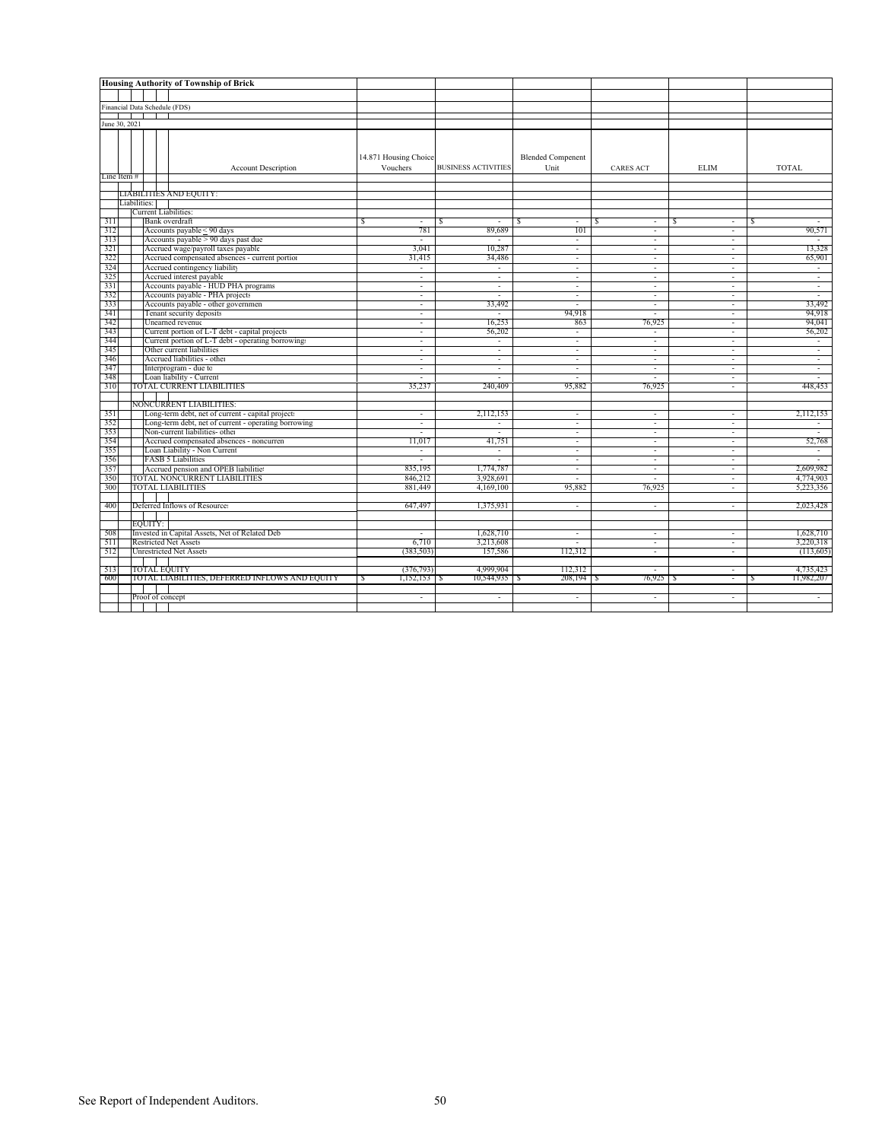|            |                               | <b>Housing Authority of Township of Brick</b>            |                          |                            |                          |                               |                     |                        |
|------------|-------------------------------|----------------------------------------------------------|--------------------------|----------------------------|--------------------------|-------------------------------|---------------------|------------------------|
|            |                               |                                                          |                          |                            |                          |                               |                     |                        |
|            |                               |                                                          |                          |                            |                          |                               |                     |                        |
|            | Financial Data Schedule (FDS) |                                                          |                          |                            |                          |                               |                     |                        |
|            | June 30, 2021                 |                                                          |                          |                            |                          |                               |                     |                        |
|            |                               |                                                          |                          |                            |                          |                               |                     |                        |
|            |                               |                                                          |                          |                            |                          |                               |                     |                        |
|            |                               |                                                          | 14.871 Housing Choice    |                            | <b>Blended Compenent</b> |                               |                     |                        |
|            |                               | <b>Account Description</b>                               | Vouchers                 | <b>BUSINESS ACTIVITIES</b> | Unit                     | <b>CARES ACT</b>              | <b>ELIM</b>         | TOTAL                  |
|            | Line Item#                    |                                                          |                          |                            |                          |                               |                     |                        |
|            |                               |                                                          |                          |                            |                          |                               |                     |                        |
|            |                               | <b>LIABILITIES AND EQUITY:</b>                           |                          |                            |                          |                               |                     |                        |
|            | Liabilities:                  | <b>Current Liabilities:</b>                              |                          |                            |                          |                               |                     |                        |
|            |                               | <b>Bank</b> overdraft                                    | $\omega$                 | ÷.                         | $\sim$                   | s<br>$\overline{\phantom{a}}$ | $\omega$            | -S<br>$\sim$           |
| 311<br>312 |                               | Accounts payable < 90 days                               | s<br>781                 | S<br>89,689                | 101                      | $\overline{\phantom{a}}$      | s<br>$\sim$         | 90,571                 |
| 313        |                               | Accounts payable > 90 days past due                      | $\overline{a}$           |                            | $\sim$                   | $\sim$                        | ÷                   |                        |
| 321        |                               | Accrued wage/payroll taxes payable                       | 3.041                    | 10,287                     | $\sim$                   | $\sim$                        | $\sim$              | 13,328                 |
| 322        |                               | Accrued compensated absences - current portion           | 31,415                   | 34,486                     | $\sim$                   | $\overline{\phantom{a}}$      | $\sim$              | 65,901                 |
| 324        |                               | Accrued contingency liability                            | $\bar{\phantom{a}}$      | $\sim$                     | $\omega$                 | $\blacksquare$                | $\bar{\phantom{a}}$ | $\sim$                 |
| 325        |                               | Accrued interest payable                                 | $\sim$                   | $\bar{\phantom{a}}$        | $\sim$                   | $\sim$                        | $\sim$              | $\sim$                 |
| 331        |                               | Accounts payable - HUD PHA programs                      | $\omega$                 | $\sim$                     | $\sim$                   | $\overline{\phantom{a}}$      | ÷.                  | $\sim$                 |
| 332        |                               | Accounts payable - PHA projects                          | $\bar{\phantom{a}}$      | $\sim$                     | $\omega$                 | $\sim$                        | $\sim$              | $\sim$                 |
| 333        |                               | Accounts payable - other governmen                       | $\sim$                   | 33,492                     | $\overline{a}$           | $\sim$                        | ÷.                  | 33,492                 |
| 341        |                               | Tenant security deposits                                 | $\sim$                   | $\sim$                     | 94,918                   | $\overline{\phantom{a}}$      | $\sim$              | 94,918                 |
| 342        |                               | Unearned revenue                                         | ÷                        | 16,253                     | 863                      | 76,925                        | ÷.                  | 94,041                 |
| 343        |                               | Current portion of L-T debt - capital projects           | $\overline{\phantom{a}}$ | 56,202                     | $\omega$                 | $\overline{\phantom{a}}$      | $\sim$              | 56,202                 |
| 344        |                               | Current portion of L-T debt - operating borrowings       | $\overline{\phantom{a}}$ | $\bar{\phantom{a}}$        | $\sim$                   | $\overline{\phantom{a}}$      | $\sim$              | $\sim$                 |
| 345        |                               | Other current liabilities                                | $\overline{\phantom{a}}$ | $\sim$                     | $\sim$                   | $\overline{\phantom{a}}$      | $\sim$              | $\sim$                 |
| 346<br>347 |                               | Accrued liabilities - other<br>Interprogram - due to     | $\blacksquare$<br>$\sim$ | $\sim$<br>$\sim$           | $\sim$<br>$\sim$         | $\sim$<br>$\sim$              | $\bar{a}$<br>$\sim$ | $\sim$<br>$\sim$       |
| 348        |                               | Loan liability - Current                                 |                          |                            |                          |                               | ٠                   |                        |
| 310        |                               | TOTAL CURRENT LIABILITIES                                | 35,237                   | 240,409                    | 95,882                   | 76,925                        | ÷.                  | 448,453                |
|            |                               |                                                          |                          |                            |                          |                               |                     |                        |
|            |                               | NONCURRENT LIABILITIES:                                  |                          |                            |                          |                               |                     |                        |
| 351        |                               | Long-term debt, net of current - capital projects        | $\overline{\phantom{a}}$ | 2,112,153                  | $\sim$                   | $\overline{\phantom{a}}$      | $\blacksquare$      | 2,112,153              |
| 352        |                               | Long-term debt, net of current - operating borrowing     | $\sim$                   | $\equiv$                   | $\sim$                   | $\overline{\phantom{a}}$      | $\sim$              | $\sim$                 |
| 353        |                               | Non-current liabilities- other                           | $\overline{\phantom{a}}$ | $\sim$                     | $\sim$                   | $\sim$                        | $\sim$              | $\sim$                 |
| 354        |                               | Accrued compensated absences - noncurren                 | 11.017                   | 41,751                     |                          | ٠                             | $\overline{a}$      | 52,768                 |
| 355        |                               | Loan Liability - Non Current                             | $\overline{\phantom{a}}$ | $\sim$                     | $\sim$                   | $\overline{\phantom{a}}$      | $\sim$              | $\sim$                 |
| 356        |                               | <b>FASB 5 Liabilities</b>                                | $\blacksquare$           | $\sim$                     | $\sim$                   | $\sim$                        | $\sim$              |                        |
| 357        |                               | Accrued pension and OPEB liabilitie:                     | 835,195                  | 1,774,787                  | $\sim$                   | $\sim$                        | ÷.                  | 2,609,982              |
| 350<br>300 |                               | TOTAL NONCURRENT LIABILITIES<br><b>TOTAL LIABILITIES</b> | 846,212<br>881,449       | 3,928,691<br>4,169,100     | $\sim$<br>95,882         | $\sim$<br>76,925              | $\sim$<br>$\sim$    | 4,774,903<br>5,223,356 |
|            |                               |                                                          |                          |                            |                          |                               |                     |                        |
| 400        |                               | Deferred Inflows of Resources                            | 647,497                  | 1,375,931                  | $\blacksquare$           | $\sim$                        | ÷,                  | 2,023,428              |
|            |                               |                                                          |                          |                            |                          |                               |                     |                        |
|            | EOUITY:                       |                                                          |                          |                            |                          |                               |                     |                        |
| 508        |                               | Invested in Capital Assets, Net of Related Deb           | ÷.                       | 1,628,710                  | $\sim$                   | $\sim$                        | $\omega$            | 1,628,710              |
| 511        |                               | <b>Restricted Net Assets</b>                             | 6,710                    | 3,213,608                  |                          | $\sim$                        | $\bar{a}$           | 3.220.318              |
| 512        |                               | <b>Unrestricted Net Assets</b>                           | (383, 503)               | 157,586                    | 112,312                  | $\sim$                        | ÷.                  | (113,605)              |
|            |                               |                                                          |                          |                            |                          |                               |                     |                        |
| 513        |                               | <b>TOTAL EQUITY</b>                                      | (376, 793)               | 4,999,904                  | 112,312                  |                               | $\sim$              | 4,735,423              |
| -600       |                               | TOTAL LIABILITIES, DEFERRED INFLOWS AND EQUITY           | 1,152,153  <br>-8        | 10,544,935<br>-5           | -S                       | 76,925 S                      | $\sim$              | 11,982,207<br>-S       |
|            |                               |                                                          |                          |                            |                          |                               |                     |                        |
|            |                               | Proof of concept                                         | $\overline{\phantom{a}}$ | $\sim$                     | $\sim$                   | $\overline{\phantom{a}}$      | $\blacksquare$      | $\sim$                 |
|            |                               |                                                          |                          |                            |                          |                               |                     |                        |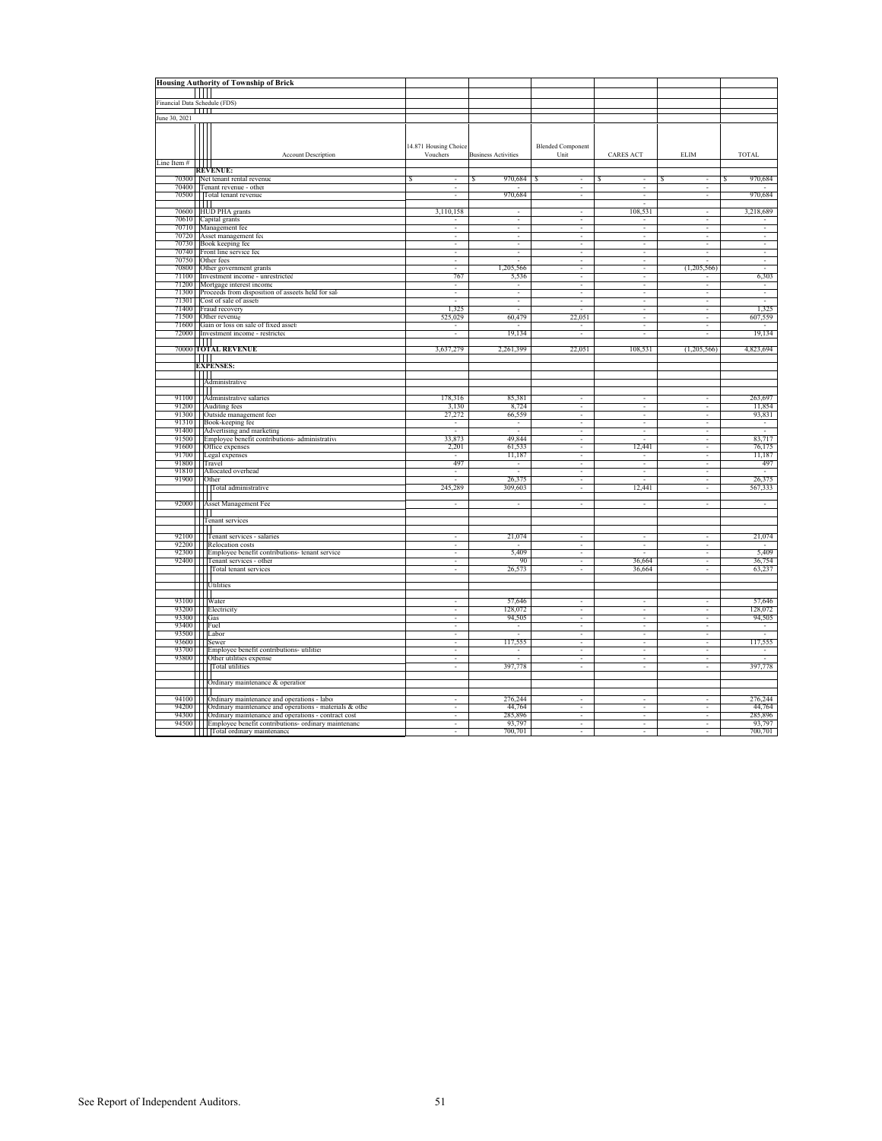|                               |                | <b>Housing Authority of Township of Brick</b>                                                                                                                                                                                                                                                                                                                                                                                                               |                          |                            |                          |                                                         |                               |                          |
|-------------------------------|----------------|-------------------------------------------------------------------------------------------------------------------------------------------------------------------------------------------------------------------------------------------------------------------------------------------------------------------------------------------------------------------------------------------------------------------------------------------------------------|--------------------------|----------------------------|--------------------------|---------------------------------------------------------|-------------------------------|--------------------------|
|                               | $\blacksquare$ |                                                                                                                                                                                                                                                                                                                                                                                                                                                             |                          |                            |                          |                                                         |                               |                          |
| Financial Data Schedule (FDS) |                |                                                                                                                                                                                                                                                                                                                                                                                                                                                             |                          |                            |                          |                                                         |                               |                          |
|                               |                | ТШ                                                                                                                                                                                                                                                                                                                                                                                                                                                          |                          |                            |                          |                                                         |                               |                          |
| June 30, 2021                 |                |                                                                                                                                                                                                                                                                                                                                                                                                                                                             |                          |                            |                          |                                                         |                               |                          |
|                               |                |                                                                                                                                                                                                                                                                                                                                                                                                                                                             | 14.871 Housing Choice    |                            | <b>Blended Component</b> |                                                         |                               |                          |
| Line Item $\#$                |                | <b>Account Description</b>                                                                                                                                                                                                                                                                                                                                                                                                                                  | Vouchers                 | <b>Business Activities</b> | Unit                     | <b>CARES ACT</b>                                        | ELIM                          | TOTAL                    |
|                               |                | <b>REVENUE:</b>                                                                                                                                                                                                                                                                                                                                                                                                                                             |                          |                            |                          |                                                         |                               |                          |
|                               |                | 70300 Net tenant rental revenue                                                                                                                                                                                                                                                                                                                                                                                                                             | s<br>٠                   | 970,684<br>S               | S<br>٠                   | S<br>×,                                                 | S<br>$\overline{\phantom{a}}$ | 970,684<br>S             |
|                               |                | 70400 Tenant revenue - other                                                                                                                                                                                                                                                                                                                                                                                                                                | $\overline{\phantom{a}}$ |                            | $\overline{\phantom{a}}$ | ٠                                                       | ٠                             |                          |
|                               |                | 70500 Total tenant revenue                                                                                                                                                                                                                                                                                                                                                                                                                                  | ٠                        | 970,684                    | ٠                        | $\overline{\phantom{a}}$                                | ٠                             | 970,684                  |
|                               |                | ЩП                                                                                                                                                                                                                                                                                                                                                                                                                                                          |                          |                            |                          |                                                         |                               |                          |
|                               |                | 70600 HUD PHA grants                                                                                                                                                                                                                                                                                                                                                                                                                                        | 3,110,158                |                            | ٠                        | 108,531                                                 | ٠                             | 3,218,689                |
|                               |                | 70610 Capital grants                                                                                                                                                                                                                                                                                                                                                                                                                                        |                          | $\overline{\phantom{a}}$   | ٠                        |                                                         | $\overline{\phantom{a}}$      |                          |
|                               |                | 70710 Management fee                                                                                                                                                                                                                                                                                                                                                                                                                                        | ×,                       | $\overline{\phantom{a}}$   | ٠                        | $\overline{\phantom{a}}$                                | $\overline{\phantom{a}}$      | $\overline{\phantom{a}}$ |
|                               |                | 70720 Asset management fee                                                                                                                                                                                                                                                                                                                                                                                                                                  | $\sim$                   | $\sim$                     | $\sim$                   | $\sim$                                                  | $\sim$                        | $\sim$                   |
|                               |                | 70730 Book keeping fee                                                                                                                                                                                                                                                                                                                                                                                                                                      | ٠                        | $\overline{\phantom{a}}$   | ٠                        | $\overline{\phantom{a}}$                                | ٠                             | $\overline{\phantom{a}}$ |
|                               |                | 70740 Front line service fee                                                                                                                                                                                                                                                                                                                                                                                                                                | ×                        | Ξ                          |                          | τ                                                       | τ                             | ÷                        |
|                               |                | 70750 Other fees                                                                                                                                                                                                                                                                                                                                                                                                                                            | $\sim$                   | a.                         | $\sim$                   | $\sim$                                                  |                               | $\overline{\phantom{a}}$ |
|                               |                | 70800 Other government grants                                                                                                                                                                                                                                                                                                                                                                                                                               | ×                        | 1,205,566                  | ×.                       | τ                                                       | (1,205,566)                   | τ                        |
|                               |                | 71100 Investment income - unrestricted                                                                                                                                                                                                                                                                                                                                                                                                                      | 767                      | 5,536                      | τ                        | τ                                                       |                               | 6,303                    |
|                               |                | 71200 Mortgage interest income                                                                                                                                                                                                                                                                                                                                                                                                                              | $\sim$                   | Ξ                          | τ                        | ٠                                                       | τ                             | ÷                        |
|                               |                | 71300 Proceeds from disposition of asseets held for sal-                                                                                                                                                                                                                                                                                                                                                                                                    | $\overline{\phantom{a}}$ | $\sim$                     | ٠                        | $\overline{\phantom{a}}$                                | ٠                             | $\overline{\phantom{a}}$ |
|                               |                | 71301 Cost of sale of assets                                                                                                                                                                                                                                                                                                                                                                                                                                |                          | ٠                          | ٠                        | $\overline{\phantom{a}}$                                | ٠                             |                          |
|                               |                | 71400 Fraud recovery                                                                                                                                                                                                                                                                                                                                                                                                                                        | 1,325                    |                            |                          |                                                         |                               | 1,325<br>607,559         |
|                               |                | 71500 Other revenue                                                                                                                                                                                                                                                                                                                                                                                                                                         | 525,029                  | 60,479                     | 22,051                   |                                                         |                               |                          |
|                               |                | 71600 Gain or loss on sale of fixed asset:                                                                                                                                                                                                                                                                                                                                                                                                                  | ٠                        |                            |                          | $\overline{\phantom{a}}$<br>$\mathcal{L}_{\mathcal{A}}$ | ٠                             | 19,134                   |
|                               |                | 72000 Investment income - restricted                                                                                                                                                                                                                                                                                                                                                                                                                        | ٠                        | 19,134                     | ٠                        |                                                         | $\overline{\phantom{a}}$      |                          |
|                               |                | $\mathbf{1}$<br>70000 TOTAL REVENUE                                                                                                                                                                                                                                                                                                                                                                                                                         | 3,637,279                | 2,261,399                  | 22,051                   | 108,531                                                 | (1,205,566)                   | 4,823,694                |
|                               |                |                                                                                                                                                                                                                                                                                                                                                                                                                                                             |                          |                            |                          |                                                         |                               |                          |
|                               |                | $\perp$<br><b>EXPENSES:</b>                                                                                                                                                                                                                                                                                                                                                                                                                                 |                          |                            |                          |                                                         |                               |                          |
|                               |                | lπ∐                                                                                                                                                                                                                                                                                                                                                                                                                                                         |                          |                            |                          |                                                         |                               |                          |
|                               |                | Administrative                                                                                                                                                                                                                                                                                                                                                                                                                                              |                          |                            |                          |                                                         |                               |                          |
|                               | $\blacksquare$ |                                                                                                                                                                                                                                                                                                                                                                                                                                                             |                          |                            |                          |                                                         |                               |                          |
|                               |                | 91100     Administrative salaries                                                                                                                                                                                                                                                                                                                                                                                                                           | 178,316                  | 85,381                     | $\sim$                   | $\sim$                                                  | $\sim$                        | 263,697                  |
|                               |                | 91200 Auditing fees                                                                                                                                                                                                                                                                                                                                                                                                                                         | 3,130                    | 8,724                      | ٠                        | $\overline{\phantom{a}}$                                | ٠                             | 11,854                   |
|                               |                | 91300 Outside management fees                                                                                                                                                                                                                                                                                                                                                                                                                               | 27,272                   | 66,559                     | ٠                        | ä,                                                      | ٠                             | 93,831                   |
|                               |                | 91310 Book-keeping fee                                                                                                                                                                                                                                                                                                                                                                                                                                      |                          | ٠                          | ×.                       | τ                                                       | ×.                            |                          |
|                               |                | 91400   Advertising and marketing                                                                                                                                                                                                                                                                                                                                                                                                                           |                          |                            | ٠                        | ٠                                                       | ٠                             | τ                        |
|                               |                | 91500 Employee benefit contributions-administrative                                                                                                                                                                                                                                                                                                                                                                                                         | 33,873                   | 49,844                     | ٠                        |                                                         | ٠                             | 83,717                   |
|                               |                | 91600 Office expenses                                                                                                                                                                                                                                                                                                                                                                                                                                       | 2,201                    | 61,533                     | $\overline{\phantom{a}}$ | 12,441                                                  | $\overline{\phantom{a}}$      | 76,175                   |
|                               |                | 91700   Legal expenses                                                                                                                                                                                                                                                                                                                                                                                                                                      | $\sim$                   | 11,187                     | ×.                       | $\sim$                                                  | $\sim$                        | 11,187                   |
| 91800 Travel                  |                |                                                                                                                                                                                                                                                                                                                                                                                                                                                             | 497                      | $\sim$                     | ٠                        | ٠                                                       | ٠                             | 497                      |
|                               |                | 91810     Allocated overhead                                                                                                                                                                                                                                                                                                                                                                                                                                |                          |                            |                          | ÷,                                                      |                               |                          |
| 91900 Other                   |                |                                                                                                                                                                                                                                                                                                                                                                                                                                                             |                          | 26,375                     |                          |                                                         |                               | 26,375                   |
|                               |                | Total administrative                                                                                                                                                                                                                                                                                                                                                                                                                                        | 245.289                  | 309,603                    | τ                        | 12,441                                                  | ×.                            | 567,333                  |
|                               | ا Π            |                                                                                                                                                                                                                                                                                                                                                                                                                                                             |                          |                            |                          |                                                         |                               |                          |
|                               |                | 92000 Asset Management Fee                                                                                                                                                                                                                                                                                                                                                                                                                                  | ×                        | $\sim$                     | $\sim$                   | $\sim$                                                  | $\sim$                        | $\sim$                   |
|                               |                | '''''                                                                                                                                                                                                                                                                                                                                                                                                                                                       |                          |                            |                          |                                                         |                               |                          |
|                               |                | Tenant services                                                                                                                                                                                                                                                                                                                                                                                                                                             |                          |                            |                          |                                                         |                               |                          |
|                               |                |                                                                                                                                                                                                                                                                                                                                                                                                                                                             |                          |                            |                          |                                                         |                               |                          |
|                               |                | 92100 Tenant services - salaries                                                                                                                                                                                                                                                                                                                                                                                                                            | ٠                        | 21,074                     | ٠                        | ٠                                                       | ٠                             | 21,074                   |
|                               |                | 92200 Relocation costs                                                                                                                                                                                                                                                                                                                                                                                                                                      | ×,                       |                            | ٠                        | τ                                                       | ٠                             |                          |
|                               |                | 92300 Employee benefit contributions- tenant service                                                                                                                                                                                                                                                                                                                                                                                                        | ٠                        | 5,409                      | ×.                       |                                                         | ٠                             | 5,409                    |
|                               |                | 92400 Tenant services - other                                                                                                                                                                                                                                                                                                                                                                                                                               | ×.                       | 90                         | $\overline{\phantom{a}}$ | 36,664                                                  | $\overline{\phantom{a}}$      | 36,754                   |
|                               |                | Total tenant services                                                                                                                                                                                                                                                                                                                                                                                                                                       | $\sim$                   | 26,573                     | ٠                        | 36,664                                                  | ٠                             | 63,237                   |
|                               |                | $\frac{1}{\sqrt{\frac{1}{1}}}{\sqrt{\frac{1}{1}}}{\sqrt{\frac{1}{1}}}{\sqrt{\frac{1}{1}}}{\sqrt{\frac{1}{1}}}{\sqrt{\frac{1}{1}}}{\sqrt{\frac{1}{1}}}{\sqrt{\frac{1}{1}}}{\sqrt{\frac{1}{1}}}{\sqrt{\frac{1}{1}}}{\sqrt{\frac{1}{1}}}{\sqrt{\frac{1}{1}}}{\sqrt{\frac{1}{1}}}{\sqrt{\frac{1}{1}}}{\sqrt{\frac{1}{1}}}{\sqrt{\frac{1}{1}}}{\sqrt{\frac{1}{1}}}{\sqrt{\frac{1}{1}}}{\sqrt{\frac{1}{1}}}{\sqrt{\frac{1}{1}}}{\sqrt{\frac{1}{1}}}{\sqrt{\frac{$ |                          |                            |                          |                                                         |                               |                          |
|                               |                |                                                                                                                                                                                                                                                                                                                                                                                                                                                             |                          |                            |                          |                                                         |                               |                          |
|                               |                | Ш                                                                                                                                                                                                                                                                                                                                                                                                                                                           |                          |                            |                          |                                                         |                               |                          |
|                               |                | 93100 Water                                                                                                                                                                                                                                                                                                                                                                                                                                                 | $\overline{\phantom{a}}$ | 57,646                     | ٠                        | $\overline{\phantom{a}}$                                | ٠                             | 57,646                   |
|                               |                | 93200 Electricity                                                                                                                                                                                                                                                                                                                                                                                                                                           | ٠                        | 128,072                    | $\overline{\phantom{a}}$ | $\overline{\phantom{a}}$                                | $\overline{\phantom{a}}$      | 128,072                  |
| 93300 Gas                     |                |                                                                                                                                                                                                                                                                                                                                                                                                                                                             | $\sim$                   | 94,505                     | $\sim$                   | $\sim$                                                  | $\sim$                        | 94,505                   |
| 93400 Fuel                    |                |                                                                                                                                                                                                                                                                                                                                                                                                                                                             | ٠                        | ٠                          | ٠                        | ٠                                                       | ٠                             | $\overline{\phantom{a}}$ |
| 93500 Labor                   |                |                                                                                                                                                                                                                                                                                                                                                                                                                                                             | ×.                       |                            | $\sim$                   | ÷.                                                      | $\sim$                        |                          |
|                               |                | 93600 Sewer<br>93700 Employee benefit contributions- utilitie                                                                                                                                                                                                                                                                                                                                                                                               | ×.                       | 117,555<br>×.              | ×.                       | τ                                                       | ×.                            | 117,555                  |
|                               |                | 93800 Other utilities expense                                                                                                                                                                                                                                                                                                                                                                                                                               | τ                        |                            | τ                        | τ                                                       | ٠                             |                          |
|                               |                | Total utilities                                                                                                                                                                                                                                                                                                                                                                                                                                             | ٠                        | 397,778                    | $\sim$                   | $\sim$                                                  | ٠                             | 397,778                  |
|                               |                |                                                                                                                                                                                                                                                                                                                                                                                                                                                             |                          |                            |                          |                                                         |                               |                          |
|                               |                | Ordinary maintenance & operation                                                                                                                                                                                                                                                                                                                                                                                                                            |                          |                            |                          |                                                         |                               |                          |
|                               | $\blacksquare$ |                                                                                                                                                                                                                                                                                                                                                                                                                                                             |                          |                            |                          |                                                         |                               |                          |
|                               |                | 94100     Ordinary maintenance and operations - labor                                                                                                                                                                                                                                                                                                                                                                                                       |                          | 276,244                    |                          |                                                         |                               | 276,244                  |
|                               |                | 94200 Ordinary maintenance and operations - materials & other                                                                                                                                                                                                                                                                                                                                                                                               | ×,                       | 44,764                     | ×.                       | ٠                                                       | ٠                             | 44,764                   |
|                               |                | 94300       Ordinary maintenance and operations - contract cost                                                                                                                                                                                                                                                                                                                                                                                             | ٠                        | 285,896                    | $\sim$                   | ٠                                                       | $\overline{\phantom{a}}$      | 285,896                  |
|                               |                | 94500 Employee benefit contributions- ordinary maintenanc                                                                                                                                                                                                                                                                                                                                                                                                   | $\sim$                   | 93,797                     | $\sim$                   | $\sim$                                                  | ٠                             | 93,797                   |
|                               |                | Total ordinary maintenance                                                                                                                                                                                                                                                                                                                                                                                                                                  |                          | 700.701                    |                          |                                                         |                               | 700.701                  |